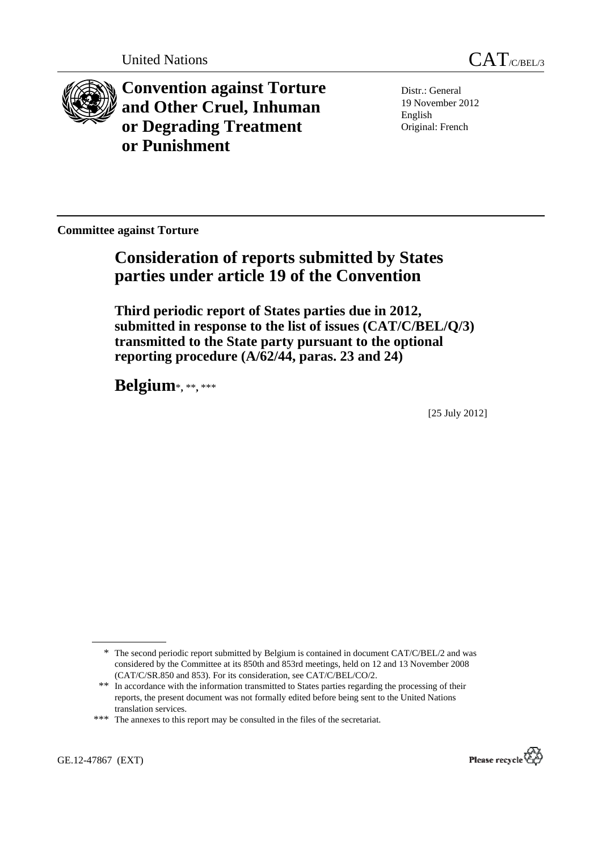



**Convention against Torture and Other Cruel, Inhuman or Degrading Treatment or Punishment**

Distr.: General 19 November 2012 English Original: French

**Committee against Torture** 

# **Consideration of reports submitted by States parties under article 19 of the Convention**

 **Third periodic report of States parties due in 2012, submitted in response to the list of issues (CAT/C/BEL/Q/3) transmitted to the State party pursuant to the optional reporting procedure (A/62/44, paras. 23 and 24)** 

 **Belgium**\***,** \*\***,** \*\*\*

[25 July 2012]



<sup>\*</sup> The second periodic report submitted by Belgium is contained in document CAT/C/BEL/2 and was considered by the Committee at its 850th and 853rd meetings, held on 12 and 13 November 2008 (CAT/C/SR.850 and 853). For its consideration, see CAT/C/BEL/CO/2.

 <sup>\*\*</sup> In accordance with the information transmitted to States parties regarding the processing of their reports, the present document was not formally edited before being sent to the United Nations translation services.

<sup>\*\*\*</sup> The annexes to this report may be consulted in the files of the secretariat.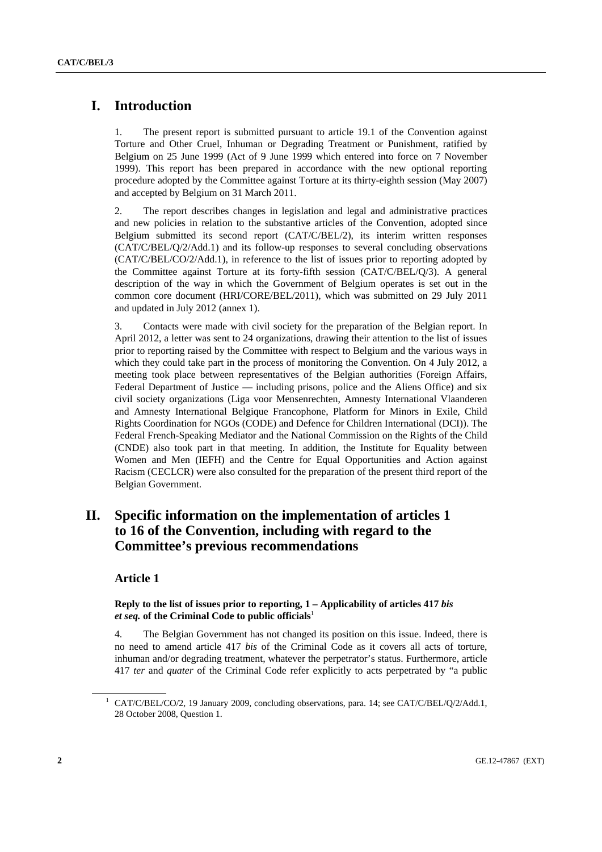## **I. Introduction**

1. The present report is submitted pursuant to article 19.1 of the Convention against Torture and Other Cruel, Inhuman or Degrading Treatment or Punishment, ratified by Belgium on 25 June 1999 (Act of 9 June 1999 which entered into force on 7 November 1999). This report has been prepared in accordance with the new optional reporting procedure adopted by the Committee against Torture at its thirty-eighth session (May 2007) and accepted by Belgium on 31 March 2011.

2. The report describes changes in legislation and legal and administrative practices and new policies in relation to the substantive articles of the Convention, adopted since Belgium submitted its second report (CAT/C/BEL/2), its interim written responses (CAT/C/BEL/Q/2/Add.1) and its follow-up responses to several concluding observations (CAT/C/BEL/CO/2/Add.1), in reference to the list of issues prior to reporting adopted by the Committee against Torture at its forty-fifth session (CAT/C/BEL/Q/3). A general description of the way in which the Government of Belgium operates is set out in the common core document (HRI/CORE/BEL/2011), which was submitted on 29 July 2011 and updated in July 2012 (annex 1).

3. Contacts were made with civil society for the preparation of the Belgian report. In April 2012, a letter was sent to 24 organizations, drawing their attention to the list of issues prior to reporting raised by the Committee with respect to Belgium and the various ways in which they could take part in the process of monitoring the Convention. On 4 July 2012, a meeting took place between representatives of the Belgian authorities (Foreign Affairs, Federal Department of Justice — including prisons, police and the Aliens Office) and six civil society organizations (Liga voor Mensenrechten, Amnesty International Vlaanderen and Amnesty International Belgique Francophone, Platform for Minors in Exile, Child Rights Coordination for NGOs (CODE) and Defence for Children International (DCI)). The Federal French-Speaking Mediator and the National Commission on the Rights of the Child (CNDE) also took part in that meeting. In addition, the Institute for Equality between Women and Men (IEFH) and the Centre for Equal Opportunities and Action against Racism (CECLCR) were also consulted for the preparation of the present third report of the Belgian Government.

## **II. Specific information on the implementation of articles 1 to 16 of the Convention, including with regard to the Committee's previous recommendations**

### **Article 1**

### **Reply to the list of issues prior to reporting, 1 – Applicability of articles 417** *bis et seq.* **of the Criminal Code to public officials**<sup>1</sup>

4. The Belgian Government has not changed its position on this issue. Indeed, there is no need to amend article 417 *bis* of the Criminal Code as it covers all acts of torture, inhuman and/or degrading treatment, whatever the perpetrator's status. Furthermore, article 417 *ter* and *quater* of the Criminal Code refer explicitly to acts perpetrated by "a public

<sup>&</sup>lt;sup>1</sup> CAT/C/BEL/CO/2, 19 January 2009, concluding observations, para. 14; see CAT/C/BEL/Q/2/Add.1, 28 October 2008, Question 1.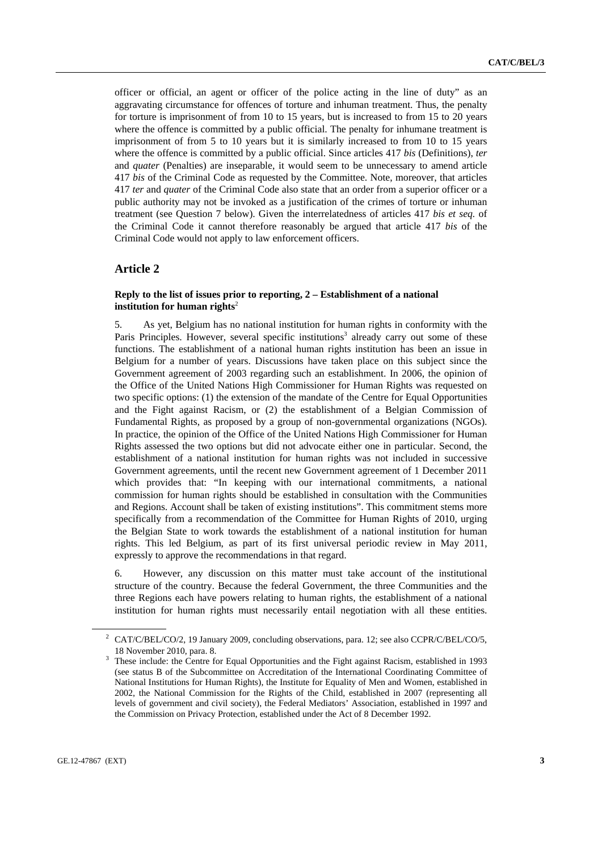officer or official, an agent or officer of the police acting in the line of duty" as an aggravating circumstance for offences of torture and inhuman treatment. Thus, the penalty for torture is imprisonment of from 10 to 15 years, but is increased to from 15 to 20 years where the offence is committed by a public official. The penalty for inhumane treatment is imprisonment of from 5 to 10 years but it is similarly increased to from 10 to 15 years where the offence is committed by a public official. Since articles 417 *bis* (Definitions), *ter* and *quater* (Penalties) are inseparable, it would seem to be unnecessary to amend article 417 *bis* of the Criminal Code as requested by the Committee. Note, moreover, that articles 417 *ter* and *quater* of the Criminal Code also state that an order from a superior officer or a public authority may not be invoked as a justification of the crimes of torture or inhuman treatment (see Question 7 below). Given the interrelatedness of articles 417 *bis et seq.* of the Criminal Code it cannot therefore reasonably be argued that article 417 *bis* of the Criminal Code would not apply to law enforcement officers.

### **Article 2**

### **Reply to the list of issues prior to reporting, 2 – Establishment of a national institution for human rights**<sup>2</sup>

5. As yet, Belgium has no national institution for human rights in conformity with the Paris Principles. However, several specific institutions<sup>3</sup> already carry out some of these functions. The establishment of a national human rights institution has been an issue in Belgium for a number of years. Discussions have taken place on this subject since the Government agreement of 2003 regarding such an establishment. In 2006, the opinion of the Office of the United Nations High Commissioner for Human Rights was requested on two specific options: (1) the extension of the mandate of the Centre for Equal Opportunities and the Fight against Racism, or (2) the establishment of a Belgian Commission of Fundamental Rights, as proposed by a group of non-governmental organizations (NGOs). In practice, the opinion of the Office of the United Nations High Commissioner for Human Rights assessed the two options but did not advocate either one in particular. Second, the establishment of a national institution for human rights was not included in successive Government agreements, until the recent new Government agreement of 1 December 2011 which provides that: "In keeping with our international commitments, a national commission for human rights should be established in consultation with the Communities and Regions. Account shall be taken of existing institutions". This commitment stems more specifically from a recommendation of the Committee for Human Rights of 2010, urging the Belgian State to work towards the establishment of a national institution for human rights. This led Belgium, as part of its first universal periodic review in May 2011, expressly to approve the recommendations in that regard.

6. However, any discussion on this matter must take account of the institutional structure of the country. Because the federal Government, the three Communities and the three Regions each have powers relating to human rights, the establishment of a national institution for human rights must necessarily entail negotiation with all these entities.

<sup>&</sup>lt;sup>2</sup> CAT/C/BEL/CO/2, 19 January 2009, concluding observations, para. 12; see also CCPR/C/BEL/CO/5, 18 November 2010, para. 8.

These include: the Centre for Equal Opportunities and the Fight against Racism, established in 1993 (see status B of the Subcommittee on Accreditation of the International Coordinating Committee of National Institutions for Human Rights), the Institute for Equality of Men and Women, established in 2002, the National Commission for the Rights of the Child, established in 2007 (representing all levels of government and civil society), the Federal Mediators' Association, established in 1997 and the Commission on Privacy Protection, established under the Act of 8 December 1992.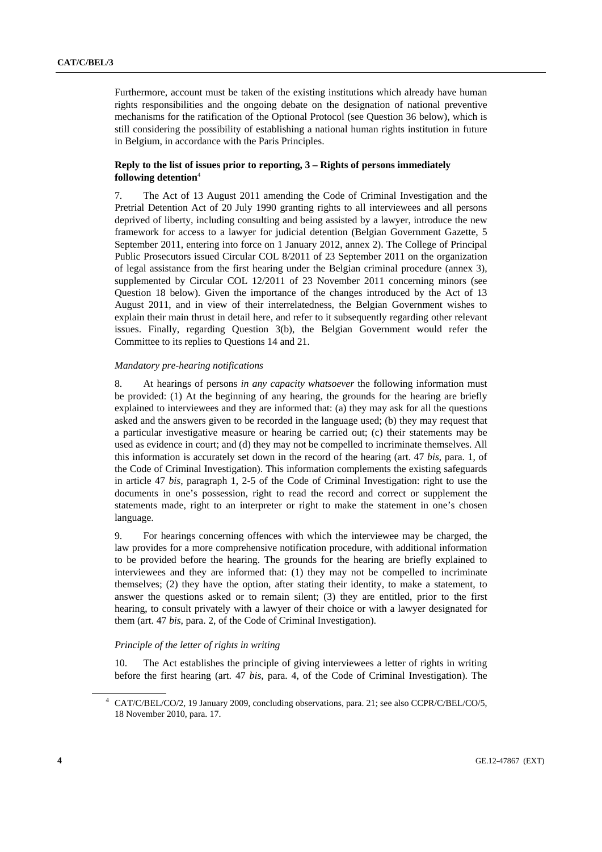Furthermore, account must be taken of the existing institutions which already have human rights responsibilities and the ongoing debate on the designation of national preventive mechanisms for the ratification of the Optional Protocol (see Question 36 below), which is still considering the possibility of establishing a national human rights institution in future in Belgium, in accordance with the Paris Principles.

### **Reply to the list of issues prior to reporting, 3 – Rights of persons immediately following detention**<sup>4</sup>

7. The Act of 13 August 2011 amending the Code of Criminal Investigation and the Pretrial Detention Act of 20 July 1990 granting rights to all interviewees and all persons deprived of liberty, including consulting and being assisted by a lawyer, introduce the new framework for access to a lawyer for judicial detention (Belgian Government Gazette, 5 September 2011, entering into force on 1 January 2012, annex 2). The College of Principal Public Prosecutors issued Circular COL 8/2011 of 23 September 2011 on the organization of legal assistance from the first hearing under the Belgian criminal procedure (annex 3), supplemented by Circular COL 12/2011 of 23 November 2011 concerning minors (see Question 18 below). Given the importance of the changes introduced by the Act of 13 August 2011, and in view of their interrelatedness, the Belgian Government wishes to explain their main thrust in detail here, and refer to it subsequently regarding other relevant issues. Finally, regarding Question 3(b), the Belgian Government would refer the Committee to its replies to Questions 14 and 21.

#### *Mandatory pre-hearing notifications*

8. At hearings of persons *in any capacity whatsoever* the following information must be provided: (1) At the beginning of any hearing, the grounds for the hearing are briefly explained to interviewees and they are informed that: (a) they may ask for all the questions asked and the answers given to be recorded in the language used; (b) they may request that a particular investigative measure or hearing be carried out; (c) their statements may be used as evidence in court; and (d) they may not be compelled to incriminate themselves. All this information is accurately set down in the record of the hearing (art. 47 *bis*, para. 1, of the Code of Criminal Investigation). This information complements the existing safeguards in article 47 *bis*, paragraph 1, 2-5 of the Code of Criminal Investigation: right to use the documents in one's possession, right to read the record and correct or supplement the statements made, right to an interpreter or right to make the statement in one's chosen language.

9. For hearings concerning offences with which the interviewee may be charged, the law provides for a more comprehensive notification procedure, with additional information to be provided before the hearing. The grounds for the hearing are briefly explained to interviewees and they are informed that: (1) they may not be compelled to incriminate themselves; (2) they have the option, after stating their identity, to make a statement, to answer the questions asked or to remain silent; (3) they are entitled, prior to the first hearing, to consult privately with a lawyer of their choice or with a lawyer designated for them (art. 47 *bis*, para. 2, of the Code of Criminal Investigation).

#### *Principle of the letter of rights in writing*

10. The Act establishes the principle of giving interviewees a letter of rights in writing before the first hearing (art. 47 *bis*, para. 4, of the Code of Criminal Investigation). The

<sup>4</sup> CAT/C/BEL/CO/2, 19 January 2009, concluding observations, para. 21; see also CCPR/C/BEL/CO/5, 18 November 2010, para. 17.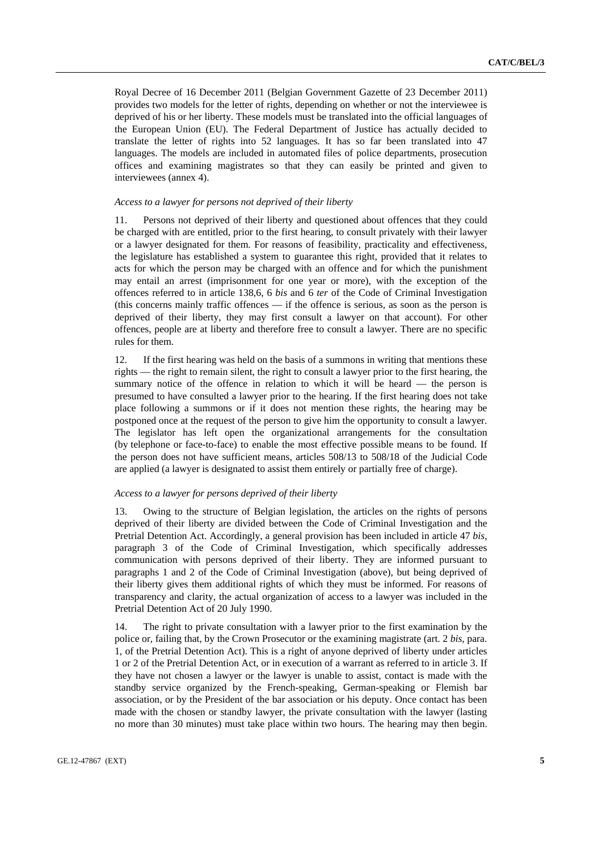Royal Decree of 16 December 2011 (Belgian Government Gazette of 23 December 2011) provides two models for the letter of rights, depending on whether or not the interviewee is deprived of his or her liberty. These models must be translated into the official languages of the European Union (EU). The Federal Department of Justice has actually decided to translate the letter of rights into 52 languages. It has so far been translated into 47 languages. The models are included in automated files of police departments, prosecution offices and examining magistrates so that they can easily be printed and given to interviewees (annex 4).

#### *Access to a lawyer for persons not deprived of their liberty*

11. Persons not deprived of their liberty and questioned about offences that they could be charged with are entitled, prior to the first hearing, to consult privately with their lawyer or a lawyer designated for them. For reasons of feasibility, practicality and effectiveness, the legislature has established a system to guarantee this right, provided that it relates to acts for which the person may be charged with an offence and for which the punishment may entail an arrest (imprisonment for one year or more), with the exception of the offences referred to in article 138,6, 6 *bis* and 6 *ter* of the Code of Criminal Investigation (this concerns mainly traffic offences — if the offence is serious, as soon as the person is deprived of their liberty, they may first consult a lawyer on that account). For other offences, people are at liberty and therefore free to consult a lawyer. There are no specific rules for them.

12. If the first hearing was held on the basis of a summons in writing that mentions these rights — the right to remain silent, the right to consult a lawyer prior to the first hearing, the summary notice of the offence in relation to which it will be heard — the person is presumed to have consulted a lawyer prior to the hearing. If the first hearing does not take place following a summons or if it does not mention these rights, the hearing may be postponed once at the request of the person to give him the opportunity to consult a lawyer. The legislator has left open the organizational arrangements for the consultation (by telephone or face-to-face) to enable the most effective possible means to be found. If the person does not have sufficient means, articles 508/13 to 508/18 of the Judicial Code are applied (a lawyer is designated to assist them entirely or partially free of charge).

#### *Access to a lawyer for persons deprived of their liberty*

13. Owing to the structure of Belgian legislation, the articles on the rights of persons deprived of their liberty are divided between the Code of Criminal Investigation and the Pretrial Detention Act. Accordingly, a general provision has been included in article 47 *bis*, paragraph 3 of the Code of Criminal Investigation, which specifically addresses communication with persons deprived of their liberty. They are informed pursuant to paragraphs 1 and 2 of the Code of Criminal Investigation (above), but being deprived of their liberty gives them additional rights of which they must be informed. For reasons of transparency and clarity, the actual organization of access to a lawyer was included in the Pretrial Detention Act of 20 July 1990.

14. The right to private consultation with a lawyer prior to the first examination by the police or, failing that, by the Crown Prosecutor or the examining magistrate (art. 2 *bis*, para. 1, of the Pretrial Detention Act). This is a right of anyone deprived of liberty under articles 1 or 2 of the Pretrial Detention Act, or in execution of a warrant as referred to in article 3. If they have not chosen a lawyer or the lawyer is unable to assist, contact is made with the standby service organized by the French-speaking, German-speaking or Flemish bar association, or by the President of the bar association or his deputy. Once contact has been made with the chosen or standby lawyer, the private consultation with the lawyer (lasting no more than 30 minutes) must take place within two hours. The hearing may then begin.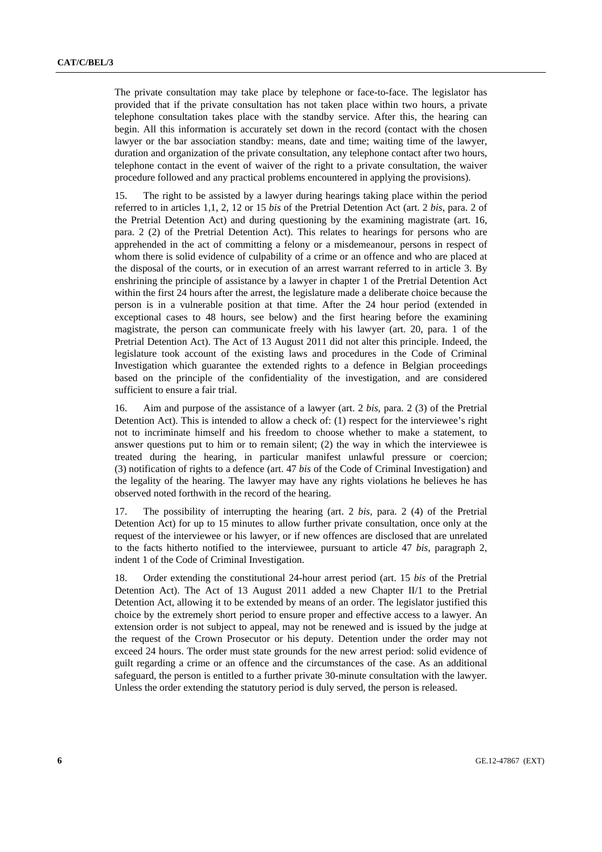The private consultation may take place by telephone or face-to-face. The legislator has provided that if the private consultation has not taken place within two hours, a private telephone consultation takes place with the standby service. After this, the hearing can begin. All this information is accurately set down in the record (contact with the chosen lawyer or the bar association standby: means, date and time; waiting time of the lawyer, duration and organization of the private consultation, any telephone contact after two hours, telephone contact in the event of waiver of the right to a private consultation, the waiver procedure followed and any practical problems encountered in applying the provisions).

15. The right to be assisted by a lawyer during hearings taking place within the period referred to in articles 1,1, 2, 12 or 15 *bis* of the Pretrial Detention Act (art. 2 *bis*, para. 2 of the Pretrial Detention Act) and during questioning by the examining magistrate (art. 16, para. 2 (2) of the Pretrial Detention Act). This relates to hearings for persons who are apprehended in the act of committing a felony or a misdemeanour, persons in respect of whom there is solid evidence of culpability of a crime or an offence and who are placed at the disposal of the courts, or in execution of an arrest warrant referred to in article 3. By enshrining the principle of assistance by a lawyer in chapter 1 of the Pretrial Detention Act within the first 24 hours after the arrest, the legislature made a deliberate choice because the person is in a vulnerable position at that time. After the 24 hour period (extended in exceptional cases to 48 hours, see below) and the first hearing before the examining magistrate, the person can communicate freely with his lawyer (art. 20, para. 1 of the Pretrial Detention Act). The Act of 13 August 2011 did not alter this principle. Indeed, the legislature took account of the existing laws and procedures in the Code of Criminal Investigation which guarantee the extended rights to a defence in Belgian proceedings based on the principle of the confidentiality of the investigation, and are considered sufficient to ensure a fair trial.

16. Aim and purpose of the assistance of a lawyer (art. 2 *bis*, para. 2 (3) of the Pretrial Detention Act). This is intended to allow a check of: (1) respect for the interviewee's right not to incriminate himself and his freedom to choose whether to make a statement, to answer questions put to him or to remain silent; (2) the way in which the interviewee is treated during the hearing, in particular manifest unlawful pressure or coercion; (3) notification of rights to a defence (art. 47 *bis* of the Code of Criminal Investigation) and the legality of the hearing. The lawyer may have any rights violations he believes he has observed noted forthwith in the record of the hearing.

17. The possibility of interrupting the hearing (art. 2 *bis*, para. 2 (4) of the Pretrial Detention Act) for up to 15 minutes to allow further private consultation, once only at the request of the interviewee or his lawyer, or if new offences are disclosed that are unrelated to the facts hitherto notified to the interviewee, pursuant to article 47 *bis*, paragraph 2, indent 1 of the Code of Criminal Investigation.

18. Order extending the constitutional 24-hour arrest period (art. 15 *bis* of the Pretrial Detention Act). The Act of 13 August 2011 added a new Chapter II/1 to the Pretrial Detention Act, allowing it to be extended by means of an order. The legislator justified this choice by the extremely short period to ensure proper and effective access to a lawyer. An extension order is not subject to appeal, may not be renewed and is issued by the judge at the request of the Crown Prosecutor or his deputy. Detention under the order may not exceed 24 hours. The order must state grounds for the new arrest period: solid evidence of guilt regarding a crime or an offence and the circumstances of the case. As an additional safeguard, the person is entitled to a further private 30-minute consultation with the lawyer. Unless the order extending the statutory period is duly served, the person is released.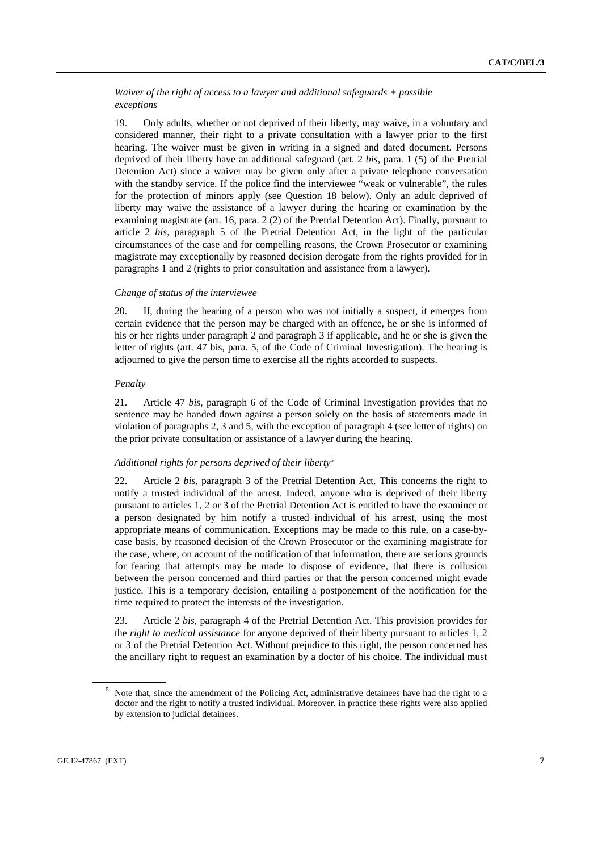### *Waiver of the right of access to a lawyer and additional safeguards + possible exceptions*

19. Only adults, whether or not deprived of their liberty, may waive, in a voluntary and considered manner, their right to a private consultation with a lawyer prior to the first hearing. The waiver must be given in writing in a signed and dated document. Persons deprived of their liberty have an additional safeguard (art. 2 *bis*, para. 1 (5) of the Pretrial Detention Act) since a waiver may be given only after a private telephone conversation with the standby service. If the police find the interviewee "weak or vulnerable", the rules for the protection of minors apply (see Question 18 below). Only an adult deprived of liberty may waive the assistance of a lawyer during the hearing or examination by the examining magistrate (art. 16, para. 2 (2) of the Pretrial Detention Act). Finally, pursuant to article 2 *bis*, paragraph 5 of the Pretrial Detention Act, in the light of the particular circumstances of the case and for compelling reasons, the Crown Prosecutor or examining magistrate may exceptionally by reasoned decision derogate from the rights provided for in paragraphs 1 and 2 (rights to prior consultation and assistance from a lawyer).

#### *Change of status of the interviewee*

20. If, during the hearing of a person who was not initially a suspect, it emerges from certain evidence that the person may be charged with an offence, he or she is informed of his or her rights under paragraph 2 and paragraph 3 if applicable, and he or she is given the letter of rights (art. 47 bis, para. 5, of the Code of Criminal Investigation). The hearing is adjourned to give the person time to exercise all the rights accorded to suspects.

### *Penalty*

21. Article 47 *bis*, paragraph 6 of the Code of Criminal Investigation provides that no sentence may be handed down against a person solely on the basis of statements made in violation of paragraphs 2, 3 and 5, with the exception of paragraph 4 (see letter of rights) on the prior private consultation or assistance of a lawyer during the hearing.

### *Additional rights for persons deprived of their liberty*<sup>5</sup>

22. Article 2 *bis*, paragraph 3 of the Pretrial Detention Act. This concerns the right to notify a trusted individual of the arrest. Indeed, anyone who is deprived of their liberty pursuant to articles 1, 2 or 3 of the Pretrial Detention Act is entitled to have the examiner or a person designated by him notify a trusted individual of his arrest, using the most appropriate means of communication. Exceptions may be made to this rule, on a case-bycase basis, by reasoned decision of the Crown Prosecutor or the examining magistrate for the case, where, on account of the notification of that information, there are serious grounds for fearing that attempts may be made to dispose of evidence, that there is collusion between the person concerned and third parties or that the person concerned might evade justice. This is a temporary decision, entailing a postponement of the notification for the time required to protect the interests of the investigation.

23. Article 2 *bis*, paragraph 4 of the Pretrial Detention Act. This provision provides for the *right to medical assistance* for anyone deprived of their liberty pursuant to articles 1, 2 or 3 of the Pretrial Detention Act. Without prejudice to this right, the person concerned has the ancillary right to request an examination by a doctor of his choice. The individual must

<sup>&</sup>lt;sup>5</sup> Note that, since the amendment of the Policing Act, administrative detainees have had the right to a doctor and the right to notify a trusted individual. Moreover, in practice these rights were also applied by extension to judicial detainees.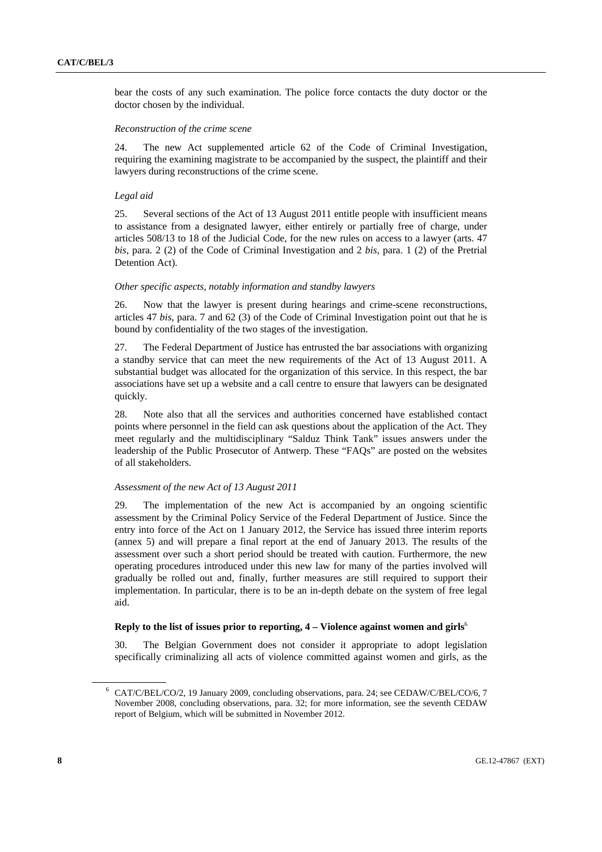bear the costs of any such examination. The police force contacts the duty doctor or the doctor chosen by the individual.

#### *Reconstruction of the crime scene*

24. The new Act supplemented article 62 of the Code of Criminal Investigation, requiring the examining magistrate to be accompanied by the suspect, the plaintiff and their lawyers during reconstructions of the crime scene.

#### *Legal aid*

25. Several sections of the Act of 13 August 2011 entitle people with insufficient means to assistance from a designated lawyer, either entirely or partially free of charge, under articles 508/13 to 18 of the Judicial Code, for the new rules on access to a lawyer (arts. 47 *bis*, para. 2 (2) of the Code of Criminal Investigation and 2 *bis*, para. 1 (2) of the Pretrial Detention Act).

#### *Other specific aspects, notably information and standby lawyers*

26. Now that the lawyer is present during hearings and crime-scene reconstructions, articles 47 *bis*, para. 7 and 62 (3) of the Code of Criminal Investigation point out that he is bound by confidentiality of the two stages of the investigation.

27. The Federal Department of Justice has entrusted the bar associations with organizing a standby service that can meet the new requirements of the Act of 13 August 2011. A substantial budget was allocated for the organization of this service. In this respect, the bar associations have set up a website and a call centre to ensure that lawyers can be designated quickly.

28. Note also that all the services and authorities concerned have established contact points where personnel in the field can ask questions about the application of the Act. They meet regularly and the multidisciplinary "Salduz Think Tank" issues answers under the leadership of the Public Prosecutor of Antwerp. These "FAQs" are posted on the websites of all stakeholders.

#### *Assessment of the new Act of 13 August 2011*

29. The implementation of the new Act is accompanied by an ongoing scientific assessment by the Criminal Policy Service of the Federal Department of Justice. Since the entry into force of the Act on 1 January 2012, the Service has issued three interim reports (annex 5) and will prepare a final report at the end of January 2013. The results of the assessment over such a short period should be treated with caution. Furthermore, the new operating procedures introduced under this new law for many of the parties involved will gradually be rolled out and, finally, further measures are still required to support their implementation. In particular, there is to be an in-depth debate on the system of free legal aid.

### **Reply to the list of issues prior to reporting, 4 – Violence against women and girls**<sup>6</sup>

30. The Belgian Government does not consider it appropriate to adopt legislation specifically criminalizing all acts of violence committed against women and girls, as the

<sup>6</sup> CAT/C/BEL/CO/2, 19 January 2009, concluding observations, para. 24; see CEDAW/C/BEL/CO/6, 7 November 2008, concluding observations, para. 32; for more information, see the seventh CEDAW report of Belgium, which will be submitted in November 2012.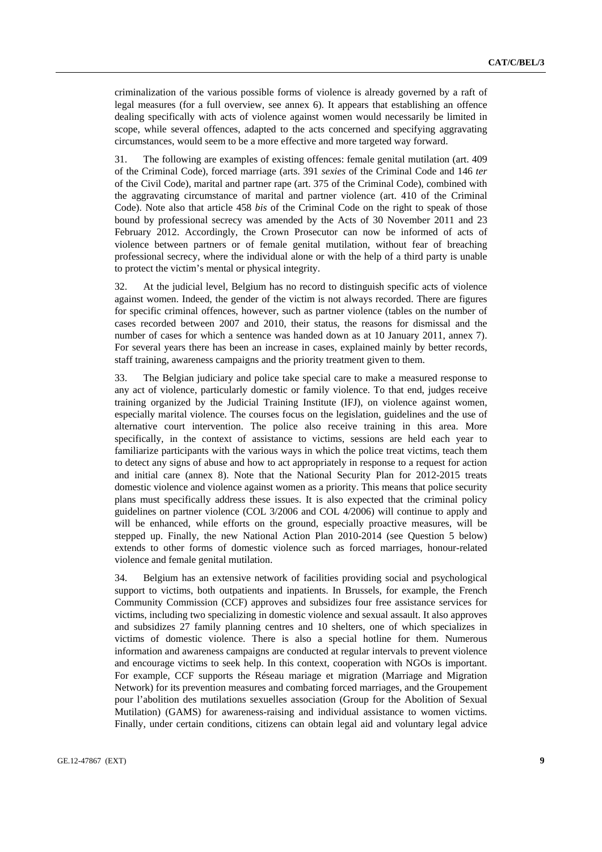criminalization of the various possible forms of violence is already governed by a raft of legal measures (for a full overview, see annex 6). It appears that establishing an offence dealing specifically with acts of violence against women would necessarily be limited in scope, while several offences, adapted to the acts concerned and specifying aggravating circumstances, would seem to be a more effective and more targeted way forward.

31. The following are examples of existing offences: female genital mutilation (art. 409 of the Criminal Code), forced marriage (arts. 391 *sexies* of the Criminal Code and 146 *ter* of the Civil Code), marital and partner rape (art. 375 of the Criminal Code), combined with the aggravating circumstance of marital and partner violence (art. 410 of the Criminal Code). Note also that article 458 *bis* of the Criminal Code on the right to speak of those bound by professional secrecy was amended by the Acts of 30 November 2011 and 23 February 2012. Accordingly, the Crown Prosecutor can now be informed of acts of violence between partners or of female genital mutilation, without fear of breaching professional secrecy, where the individual alone or with the help of a third party is unable to protect the victim's mental or physical integrity.

32. At the judicial level, Belgium has no record to distinguish specific acts of violence against women. Indeed, the gender of the victim is not always recorded. There are figures for specific criminal offences, however, such as partner violence (tables on the number of cases recorded between 2007 and 2010, their status, the reasons for dismissal and the number of cases for which a sentence was handed down as at 10 January 2011, annex 7). For several years there has been an increase in cases, explained mainly by better records, staff training, awareness campaigns and the priority treatment given to them.

33. The Belgian judiciary and police take special care to make a measured response to any act of violence, particularly domestic or family violence. To that end, judges receive training organized by the Judicial Training Institute (IFJ), on violence against women, especially marital violence. The courses focus on the legislation, guidelines and the use of alternative court intervention. The police also receive training in this area. More specifically, in the context of assistance to victims, sessions are held each year to familiarize participants with the various ways in which the police treat victims, teach them to detect any signs of abuse and how to act appropriately in response to a request for action and initial care (annex 8). Note that the National Security Plan for 2012-2015 treats domestic violence and violence against women as a priority. This means that police security plans must specifically address these issues. It is also expected that the criminal policy guidelines on partner violence (COL 3/2006 and COL 4/2006) will continue to apply and will be enhanced, while efforts on the ground, especially proactive measures, will be stepped up. Finally, the new National Action Plan 2010-2014 (see Question 5 below) extends to other forms of domestic violence such as forced marriages, honour-related violence and female genital mutilation.

34. Belgium has an extensive network of facilities providing social and psychological support to victims, both outpatients and inpatients. In Brussels, for example, the French Community Commission (CCF) approves and subsidizes four free assistance services for victims, including two specializing in domestic violence and sexual assault. It also approves and subsidizes 27 family planning centres and 10 shelters, one of which specializes in victims of domestic violence. There is also a special hotline for them. Numerous information and awareness campaigns are conducted at regular intervals to prevent violence and encourage victims to seek help. In this context, cooperation with NGOs is important. For example, CCF supports the Réseau mariage et migration (Marriage and Migration Network) for its prevention measures and combating forced marriages, and the Groupement pour l'abolition des mutilations sexuelles association (Group for the Abolition of Sexual Mutilation) (GAMS) for awareness-raising and individual assistance to women victims. Finally, under certain conditions, citizens can obtain legal aid and voluntary legal advice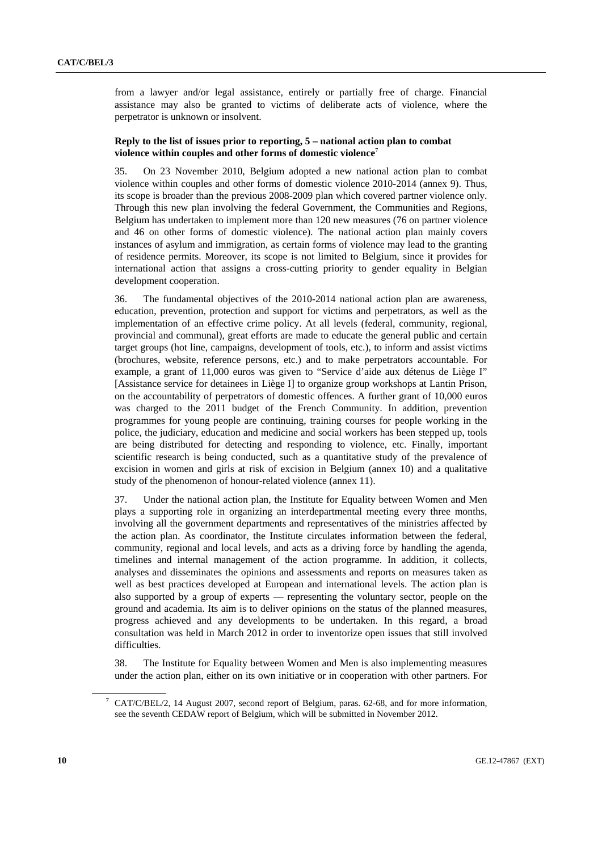from a lawyer and/or legal assistance, entirely or partially free of charge. Financial assistance may also be granted to victims of deliberate acts of violence, where the perpetrator is unknown or insolvent.

### **Reply to the list of issues prior to reporting, 5 – national action plan to combat violence within couples and other forms of domestic violence**<sup>7</sup>

35. On 23 November 2010, Belgium adopted a new national action plan to combat violence within couples and other forms of domestic violence 2010-2014 (annex 9). Thus, its scope is broader than the previous 2008-2009 plan which covered partner violence only. Through this new plan involving the federal Government, the Communities and Regions, Belgium has undertaken to implement more than 120 new measures (76 on partner violence and 46 on other forms of domestic violence). The national action plan mainly covers instances of asylum and immigration, as certain forms of violence may lead to the granting of residence permits. Moreover, its scope is not limited to Belgium, since it provides for international action that assigns a cross-cutting priority to gender equality in Belgian development cooperation.

36. The fundamental objectives of the 2010-2014 national action plan are awareness, education, prevention, protection and support for victims and perpetrators, as well as the implementation of an effective crime policy. At all levels (federal, community, regional, provincial and communal), great efforts are made to educate the general public and certain target groups (hot line, campaigns, development of tools, etc.), to inform and assist victims (brochures, website, reference persons, etc.) and to make perpetrators accountable. For example, a grant of 11,000 euros was given to "Service d'aide aux détenus de Liège I" [Assistance service for detainees in Liège I] to organize group workshops at Lantin Prison, on the accountability of perpetrators of domestic offences. A further grant of 10,000 euros was charged to the 2011 budget of the French Community. In addition, prevention programmes for young people are continuing, training courses for people working in the police, the judiciary, education and medicine and social workers has been stepped up, tools are being distributed for detecting and responding to violence, etc. Finally, important scientific research is being conducted, such as a quantitative study of the prevalence of excision in women and girls at risk of excision in Belgium (annex 10) and a qualitative study of the phenomenon of honour-related violence (annex 11).

37. Under the national action plan, the Institute for Equality between Women and Men plays a supporting role in organizing an interdepartmental meeting every three months, involving all the government departments and representatives of the ministries affected by the action plan. As coordinator, the Institute circulates information between the federal, community, regional and local levels, and acts as a driving force by handling the agenda, timelines and internal management of the action programme. In addition, it collects, analyses and disseminates the opinions and assessments and reports on measures taken as well as best practices developed at European and international levels. The action plan is also supported by a group of experts — representing the voluntary sector, people on the ground and academia. Its aim is to deliver opinions on the status of the planned measures, progress achieved and any developments to be undertaken. In this regard, a broad consultation was held in March 2012 in order to inventorize open issues that still involved difficulties.

38. The Institute for Equality between Women and Men is also implementing measures under the action plan, either on its own initiative or in cooperation with other partners. For

<sup>&</sup>lt;sup>7</sup> CAT/C/BEL/2, 14 August 2007, second report of Belgium, paras. 62-68, and for more information, see the seventh CEDAW report of Belgium, which will be submitted in November 2012.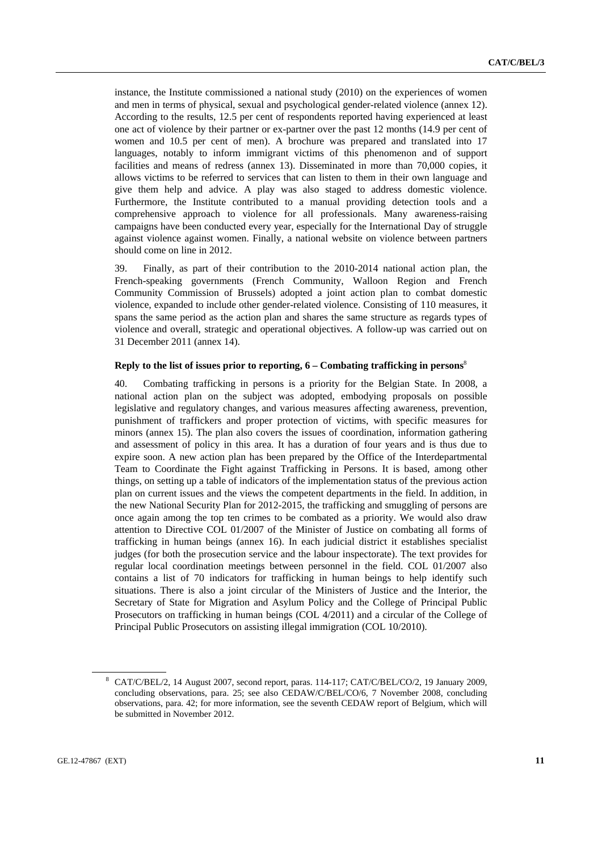instance, the Institute commissioned a national study (2010) on the experiences of women and men in terms of physical, sexual and psychological gender-related violence (annex 12). According to the results, 12.5 per cent of respondents reported having experienced at least one act of violence by their partner or ex-partner over the past 12 months (14.9 per cent of women and 10.5 per cent of men). A brochure was prepared and translated into 17 languages, notably to inform immigrant victims of this phenomenon and of support facilities and means of redress (annex 13). Disseminated in more than 70,000 copies, it allows victims to be referred to services that can listen to them in their own language and give them help and advice. A play was also staged to address domestic violence. Furthermore, the Institute contributed to a manual providing detection tools and a comprehensive approach to violence for all professionals. Many awareness-raising campaigns have been conducted every year, especially for the International Day of struggle against violence against women. Finally, a national website on violence between partners should come on line in 2012.

39. Finally, as part of their contribution to the 2010-2014 national action plan, the French-speaking governments (French Community, Walloon Region and French Community Commission of Brussels) adopted a joint action plan to combat domestic violence, expanded to include other gender-related violence. Consisting of 110 measures, it spans the same period as the action plan and shares the same structure as regards types of violence and overall, strategic and operational objectives. A follow-up was carried out on 31 December 2011 (annex 14).

#### **Reply to the list of issues prior to reporting, 6 – Combating trafficking in persons**<sup>8</sup>

40. Combating trafficking in persons is a priority for the Belgian State. In 2008, a national action plan on the subject was adopted, embodying proposals on possible legislative and regulatory changes, and various measures affecting awareness, prevention, punishment of traffickers and proper protection of victims, with specific measures for minors (annex 15). The plan also covers the issues of coordination, information gathering and assessment of policy in this area. It has a duration of four years and is thus due to expire soon. A new action plan has been prepared by the Office of the Interdepartmental Team to Coordinate the Fight against Trafficking in Persons. It is based, among other things, on setting up a table of indicators of the implementation status of the previous action plan on current issues and the views the competent departments in the field. In addition, in the new National Security Plan for 2012-2015, the trafficking and smuggling of persons are once again among the top ten crimes to be combated as a priority. We would also draw attention to Directive COL 01/2007 of the Minister of Justice on combating all forms of trafficking in human beings (annex 16). In each judicial district it establishes specialist judges (for both the prosecution service and the labour inspectorate). The text provides for regular local coordination meetings between personnel in the field. COL 01/2007 also contains a list of 70 indicators for trafficking in human beings to help identify such situations. There is also a joint circular of the Ministers of Justice and the Interior, the Secretary of State for Migration and Asylum Policy and the College of Principal Public Prosecutors on trafficking in human beings (COL 4/2011) and a circular of the College of Principal Public Prosecutors on assisting illegal immigration (COL 10/2010).

<sup>8</sup> CAT/C/BEL/2, 14 August 2007, second report, paras. 114-117; CAT/C/BEL/CO/2, 19 January 2009, concluding observations, para. 25; see also CEDAW/C/BEL/CO/6, 7 November 2008, concluding observations, para. 42; for more information, see the seventh CEDAW report of Belgium, which will be submitted in November 2012.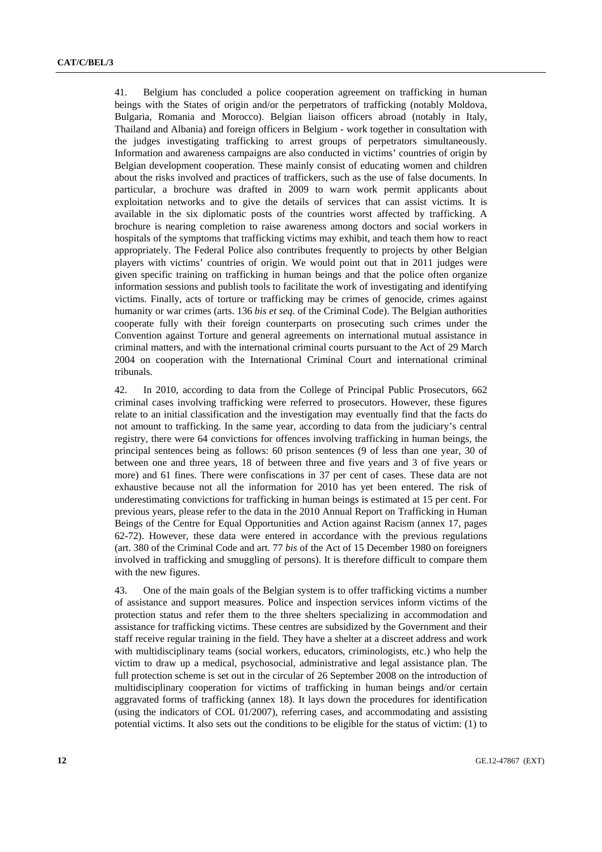41. Belgium has concluded a police cooperation agreement on trafficking in human beings with the States of origin and/or the perpetrators of trafficking (notably Moldova, Bulgaria, Romania and Morocco). Belgian liaison officers abroad (notably in Italy, Thailand and Albania) and foreign officers in Belgium - work together in consultation with the judges investigating trafficking to arrest groups of perpetrators simultaneously. Information and awareness campaigns are also conducted in victims' countries of origin by Belgian development cooperation. These mainly consist of educating women and children about the risks involved and practices of traffickers, such as the use of false documents. In particular, a brochure was drafted in 2009 to warn work permit applicants about exploitation networks and to give the details of services that can assist victims. It is available in the six diplomatic posts of the countries worst affected by trafficking. A brochure is nearing completion to raise awareness among doctors and social workers in hospitals of the symptoms that trafficking victims may exhibit, and teach them how to react appropriately. The Federal Police also contributes frequently to projects by other Belgian players with victims' countries of origin. We would point out that in 2011 judges were given specific training on trafficking in human beings and that the police often organize information sessions and publish tools to facilitate the work of investigating and identifying victims. Finally, acts of torture or trafficking may be crimes of genocide, crimes against humanity or war crimes (arts. 136 *bis et seq.* of the Criminal Code). The Belgian authorities cooperate fully with their foreign counterparts on prosecuting such crimes under the Convention against Torture and general agreements on international mutual assistance in criminal matters, and with the international criminal courts pursuant to the Act of 29 March 2004 on cooperation with the International Criminal Court and international criminal tribunals.

42. In 2010, according to data from the College of Principal Public Prosecutors, 662 criminal cases involving trafficking were referred to prosecutors. However, these figures relate to an initial classification and the investigation may eventually find that the facts do not amount to trafficking. In the same year, according to data from the judiciary's central registry, there were 64 convictions for offences involving trafficking in human beings, the principal sentences being as follows: 60 prison sentences (9 of less than one year, 30 of between one and three years, 18 of between three and five years and 3 of five years or more) and 61 fines. There were confiscations in 37 per cent of cases. These data are not exhaustive because not all the information for 2010 has yet been entered. The risk of underestimating convictions for trafficking in human beings is estimated at 15 per cent. For previous years, please refer to the data in the 2010 Annual Report on Trafficking in Human Beings of the Centre for Equal Opportunities and Action against Racism (annex 17, pages 62-72). However, these data were entered in accordance with the previous regulations (art. 380 of the Criminal Code and art. 77 *bis* of the Act of 15 December 1980 on foreigners involved in trafficking and smuggling of persons). It is therefore difficult to compare them with the new figures.

43. One of the main goals of the Belgian system is to offer trafficking victims a number of assistance and support measures. Police and inspection services inform victims of the protection status and refer them to the three shelters specializing in accommodation and assistance for trafficking victims. These centres are subsidized by the Government and their staff receive regular training in the field. They have a shelter at a discreet address and work with multidisciplinary teams (social workers, educators, criminologists, etc.) who help the victim to draw up a medical, psychosocial, administrative and legal assistance plan. The full protection scheme is set out in the circular of 26 September 2008 on the introduction of multidisciplinary cooperation for victims of trafficking in human beings and/or certain aggravated forms of trafficking (annex 18). It lays down the procedures for identification (using the indicators of COL 01/2007), referring cases, and accommodating and assisting potential victims. It also sets out the conditions to be eligible for the status of victim: (1) to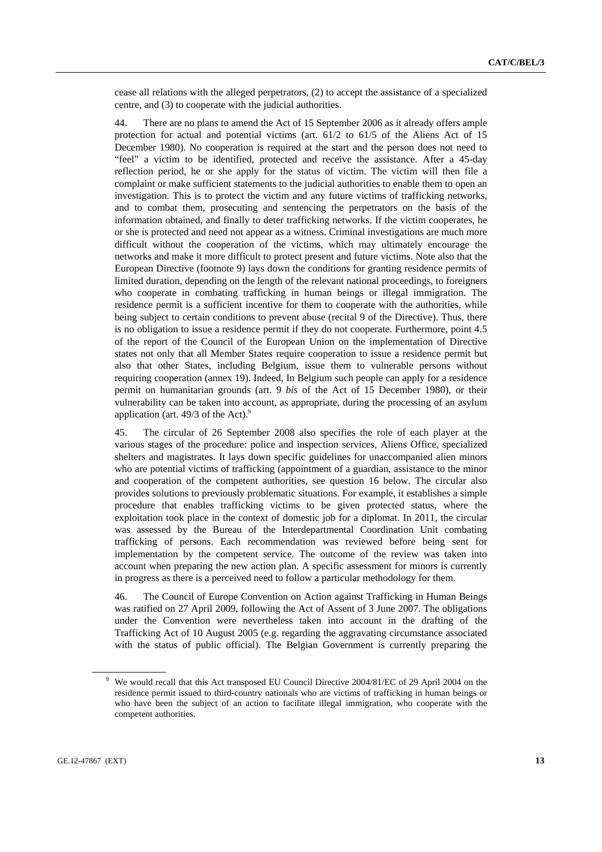cease all relations with the alleged perpetrators, (2) to accept the assistance of a specialized centre, and (3) to cooperate with the judicial authorities.

44. There are no plans to amend the Act of 15 September 2006 as it already offers ample protection for actual and potential victims (art. 61/2 to 61/5 of the Aliens Act of 15 December 1980). No cooperation is required at the start and the person does not need to "feel" a victim to be identified, protected and receive the assistance. After a 45-day reflection period, he or she apply for the status of victim. The victim will then file a complaint or make sufficient statements to the judicial authorities to enable them to open an investigation. This is to protect the victim and any future victims of trafficking networks, and to combat them, prosecuting and sentencing the perpetrators on the basis of the information obtained, and finally to deter trafficking networks. If the victim cooperates, he or she is protected and need not appear as a witness. Criminal investigations are much more difficult without the cooperation of the victims, which may ultimately encourage the networks and make it more difficult to protect present and future victims. Note also that the European Directive (footnote 9) lays down the conditions for granting residence permits of limited duration, depending on the length of the relevant national proceedings, to foreigners who cooperate in combating trafficking in human beings or illegal immigration. The residence permit is a sufficient incentive for them to cooperate with the authorities, while being subject to certain conditions to prevent abuse (recital 9 of the Directive). Thus, there is no obligation to issue a residence permit if they do not cooperate. Furthermore, point 4.5 of the report of the Council of the European Union on the implementation of Directive states not only that all Member States require cooperation to issue a residence permit but also that other States, including Belgium, issue them to vulnerable persons without requiring cooperation (annex 19). Indeed, In Belgium such people can apply for a residence permit on humanitarian grounds (art. 9 *bis* of the Act of 15 December 1980), or their vulnerability can be taken into account, as appropriate, during the processing of an asylum application (art. 49/3 of the Act).<sup>9</sup>

45. The circular of 26 September 2008 also specifies the role of each player at the various stages of the procedure: police and inspection services, Aliens Office, specialized shelters and magistrates. It lays down specific guidelines for unaccompanied alien minors who are potential victims of trafficking (appointment of a guardian, assistance to the minor and cooperation of the competent authorities, see question 16 below. The circular also provides solutions to previously problematic situations. For example, it establishes a simple procedure that enables trafficking victims to be given protected status, where the exploitation took place in the context of domestic job for a diplomat. In 2011, the circular was assessed by the Bureau of the Interdepartmental Coordination Unit combating trafficking of persons. Each recommendation was reviewed before being sent for implementation by the competent service. The outcome of the review was taken into account when preparing the new action plan. A specific assessment for minors is currently in progress as there is a perceived need to follow a particular methodology for them.

46. The Council of Europe Convention on Action against Trafficking in Human Beings was ratified on 27 April 2009, following the Act of Assent of 3 June 2007. The obligations under the Convention were nevertheless taken into account in the drafting of the Trafficking Act of 10 August 2005 (e.g. regarding the aggravating circumstance associated with the status of public official). The Belgian Government is currently preparing the

<sup>&</sup>lt;sup>9</sup> We would recall that this Act transposed EU Council Directive 2004/81/EC of 29 April 2004 on the residence permit issued to third-country nationals who are victims of trafficking in human beings or who have been the subject of an action to facilitate illegal immigration, who cooperate with the competent authorities.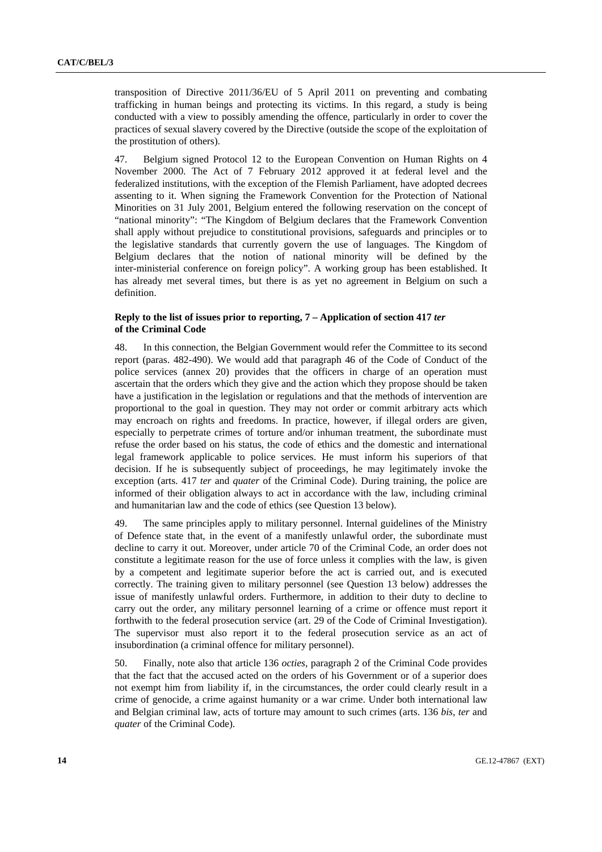transposition of Directive 2011/36/EU of 5 April 2011 on preventing and combating trafficking in human beings and protecting its victims. In this regard, a study is being conducted with a view to possibly amending the offence, particularly in order to cover the practices of sexual slavery covered by the Directive (outside the scope of the exploitation of the prostitution of others).

47. Belgium signed Protocol 12 to the European Convention on Human Rights on 4 November 2000. The Act of 7 February 2012 approved it at federal level and the federalized institutions, with the exception of the Flemish Parliament, have adopted decrees assenting to it. When signing the Framework Convention for the Protection of National Minorities on 31 July 2001, Belgium entered the following reservation on the concept of "national minority": "The Kingdom of Belgium declares that the Framework Convention shall apply without prejudice to constitutional provisions, safeguards and principles or to the legislative standards that currently govern the use of languages. The Kingdom of Belgium declares that the notion of national minority will be defined by the inter-ministerial conference on foreign policy". A working group has been established. It has already met several times, but there is as yet no agreement in Belgium on such a definition.

### **Reply to the list of issues prior to reporting, 7 – Application of section 417** *ter* **of the Criminal Code**

48. In this connection, the Belgian Government would refer the Committee to its second report (paras. 482-490). We would add that paragraph 46 of the Code of Conduct of the police services (annex 20) provides that the officers in charge of an operation must ascertain that the orders which they give and the action which they propose should be taken have a justification in the legislation or regulations and that the methods of intervention are proportional to the goal in question. They may not order or commit arbitrary acts which may encroach on rights and freedoms. In practice, however, if illegal orders are given, especially to perpetrate crimes of torture and/or inhuman treatment, the subordinate must refuse the order based on his status, the code of ethics and the domestic and international legal framework applicable to police services. He must inform his superiors of that decision. If he is subsequently subject of proceedings, he may legitimately invoke the exception (arts. 417 *ter* and *quater* of the Criminal Code). During training, the police are informed of their obligation always to act in accordance with the law, including criminal and humanitarian law and the code of ethics (see Question 13 below).

49. The same principles apply to military personnel. Internal guidelines of the Ministry of Defence state that, in the event of a manifestly unlawful order, the subordinate must decline to carry it out. Moreover, under article 70 of the Criminal Code, an order does not constitute a legitimate reason for the use of force unless it complies with the law, is given by a competent and legitimate superior before the act is carried out, and is executed correctly. The training given to military personnel (see Question 13 below) addresses the issue of manifestly unlawful orders. Furthermore, in addition to their duty to decline to carry out the order, any military personnel learning of a crime or offence must report it forthwith to the federal prosecution service (art. 29 of the Code of Criminal Investigation). The supervisor must also report it to the federal prosecution service as an act of insubordination (a criminal offence for military personnel).

50. Finally, note also that article 136 *octies*, paragraph 2 of the Criminal Code provides that the fact that the accused acted on the orders of his Government or of a superior does not exempt him from liability if, in the circumstances, the order could clearly result in a crime of genocide, a crime against humanity or a war crime. Under both international law and Belgian criminal law, acts of torture may amount to such crimes (arts. 136 *bis*, *ter* and *quater* of the Criminal Code).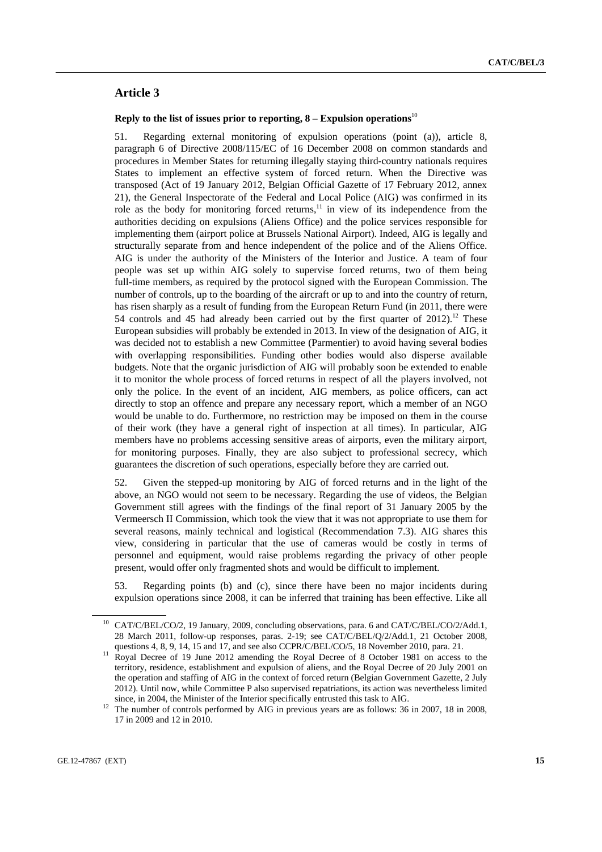## **Article 3**

#### **Reply to the list of issues prior to reporting, 8 – Expulsion operations**<sup>10</sup>

51. Regarding external monitoring of expulsion operations (point (a)), article 8, paragraph 6 of Directive 2008/115/EC of 16 December 2008 on common standards and procedures in Member States for returning illegally staying third-country nationals requires States to implement an effective system of forced return. When the Directive was transposed (Act of 19 January 2012, Belgian Official Gazette of 17 February 2012, annex 21), the General Inspectorate of the Federal and Local Police (AIG) was confirmed in its role as the body for monitoring forced returns, $11$  in view of its independence from the authorities deciding on expulsions (Aliens Office) and the police services responsible for implementing them (airport police at Brussels National Airport). Indeed, AIG is legally and structurally separate from and hence independent of the police and of the Aliens Office. AIG is under the authority of the Ministers of the Interior and Justice. A team of four people was set up within AIG solely to supervise forced returns, two of them being full-time members, as required by the protocol signed with the European Commission. The number of controls, up to the boarding of the aircraft or up to and into the country of return, has risen sharply as a result of funding from the European Return Fund (in 2011, there were 54 controls and 45 had already been carried out by the first quarter of  $2012$ ).<sup>12</sup> These European subsidies will probably be extended in 2013. In view of the designation of AIG, it was decided not to establish a new Committee (Parmentier) to avoid having several bodies with overlapping responsibilities. Funding other bodies would also disperse available budgets. Note that the organic jurisdiction of AIG will probably soon be extended to enable it to monitor the whole process of forced returns in respect of all the players involved, not only the police. In the event of an incident, AIG members, as police officers, can act directly to stop an offence and prepare any necessary report, which a member of an NGO would be unable to do. Furthermore, no restriction may be imposed on them in the course of their work (they have a general right of inspection at all times). In particular, AIG members have no problems accessing sensitive areas of airports, even the military airport, for monitoring purposes. Finally, they are also subject to professional secrecy, which guarantees the discretion of such operations, especially before they are carried out.

52. Given the stepped-up monitoring by AIG of forced returns and in the light of the above, an NGO would not seem to be necessary. Regarding the use of videos, the Belgian Government still agrees with the findings of the final report of 31 January 2005 by the Vermeersch II Commission, which took the view that it was not appropriate to use them for several reasons, mainly technical and logistical (Recommendation 7.3). AIG shares this view, considering in particular that the use of cameras would be costly in terms of personnel and equipment, would raise problems regarding the privacy of other people present, would offer only fragmented shots and would be difficult to implement.

53. Regarding points (b) and (c), since there have been no major incidents during expulsion operations since 2008, it can be inferred that training has been effective. Like all

<sup>10</sup> CAT/C/BEL/CO/2, 19 January, 2009, concluding observations, para. 6 and CAT/C/BEL/CO/2/Add.1, 28 March 2011, follow-up responses, paras. 2-19; see CAT/C/BEL/Q/2/Add.1, 21 October 2008,

questions 4, 8, 9, 14, 15 and 17, and see also CCPR/C/BEL/CO/5, 18 November 2010, para. 21.<br><sup>11</sup> Royal Decree of 19 June 2012 amending the Royal Decree of 8 October 1981 on access to the territory, residence, establishment and expulsion of aliens, and the Royal Decree of 20 July 2001 on the operation and staffing of AIG in the context of forced return (Belgian Government Gazette, 2 July 2012). Until now, while Committee P also supervised repatriations, its action was nevertheless limited

since, in 2004, the Minister of the Interior specifically entrusted this task to AIG.<br><sup>12</sup> The number of controls performed by AIG in previous years are as follows: 36 in 2007, 18 in 2008, 17 in 2009 and 12 in 2010.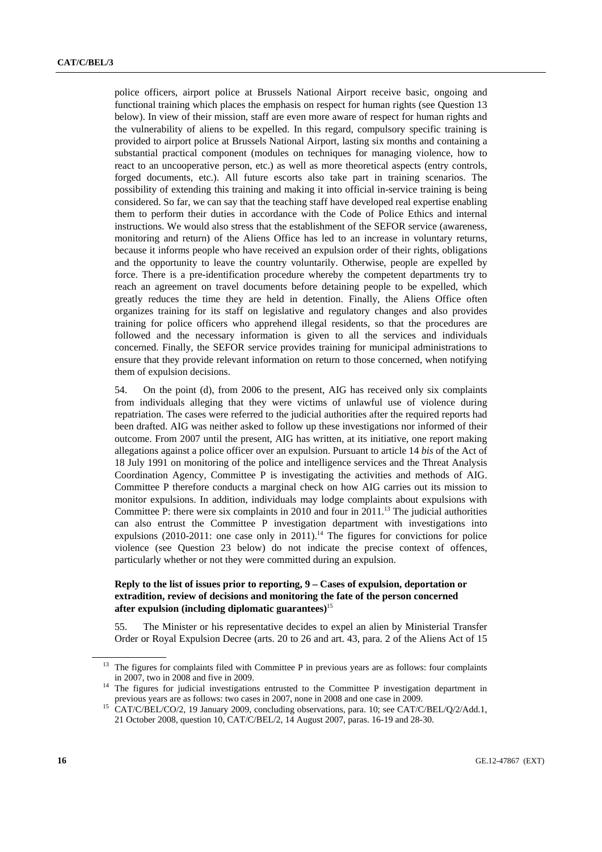police officers, airport police at Brussels National Airport receive basic, ongoing and functional training which places the emphasis on respect for human rights (see Question 13 below). In view of their mission, staff are even more aware of respect for human rights and the vulnerability of aliens to be expelled. In this regard, compulsory specific training is provided to airport police at Brussels National Airport, lasting six months and containing a substantial practical component (modules on techniques for managing violence, how to react to an uncooperative person, etc.) as well as more theoretical aspects (entry controls, forged documents, etc.). All future escorts also take part in training scenarios. The possibility of extending this training and making it into official in-service training is being considered. So far, we can say that the teaching staff have developed real expertise enabling them to perform their duties in accordance with the Code of Police Ethics and internal instructions. We would also stress that the establishment of the SEFOR service (awareness, monitoring and return) of the Aliens Office has led to an increase in voluntary returns, because it informs people who have received an expulsion order of their rights, obligations and the opportunity to leave the country voluntarily. Otherwise, people are expelled by force. There is a pre-identification procedure whereby the competent departments try to reach an agreement on travel documents before detaining people to be expelled, which greatly reduces the time they are held in detention. Finally, the Aliens Office often organizes training for its staff on legislative and regulatory changes and also provides training for police officers who apprehend illegal residents, so that the procedures are followed and the necessary information is given to all the services and individuals concerned. Finally, the SEFOR service provides training for municipal administrations to ensure that they provide relevant information on return to those concerned, when notifying them of expulsion decisions.

54. On the point (d), from 2006 to the present, AIG has received only six complaints from individuals alleging that they were victims of unlawful use of violence during repatriation. The cases were referred to the judicial authorities after the required reports had been drafted. AIG was neither asked to follow up these investigations nor informed of their outcome. From 2007 until the present, AIG has written, at its initiative, one report making allegations against a police officer over an expulsion. Pursuant to article 14 *bis* of the Act of 18 July 1991 on monitoring of the police and intelligence services and the Threat Analysis Coordination Agency, Committee P is investigating the activities and methods of AIG. Committee P therefore conducts a marginal check on how AIG carries out its mission to monitor expulsions. In addition, individuals may lodge complaints about expulsions with Committee P: there were six complaints in 2010 and four in 2011.<sup>13</sup> The judicial authorities can also entrust the Committee P investigation department with investigations into expulsions (2010-2011: one case only in  $2011$ ).<sup>14</sup> The figures for convictions for police violence (see Question 23 below) do not indicate the precise context of offences, particularly whether or not they were committed during an expulsion.

### **Reply to the list of issues prior to reporting, 9 – Cases of expulsion, deportation or extradition, review of decisions and monitoring the fate of the person concerned after expulsion (including diplomatic guarantees)**<sup>15</sup>

55. The Minister or his representative decides to expel an alien by Ministerial Transfer Order or Royal Expulsion Decree (arts. 20 to 26 and art. 43, para. 2 of the Aliens Act of 15

<sup>&</sup>lt;sup>13</sup> The figures for complaints filed with Committee P in previous years are as follows: four complaints

in 2007, two in 2008 and five in 2009.<br><sup>14</sup> The figures for judicial investigations entrusted to the Committee P investigation department in previous years are as follows: two cases in 2007, none in 2008 and one case in 2

<sup>&</sup>lt;sup>15</sup> CAT/C/BEL/CO/2, 19 January 2009, concluding observations, para. 10; see CAT/C/BEL/Q/2/Add.1, 21 October 2008, question 10, CAT/C/BEL/2, 14 August 2007, paras. 16-19 and 28-30.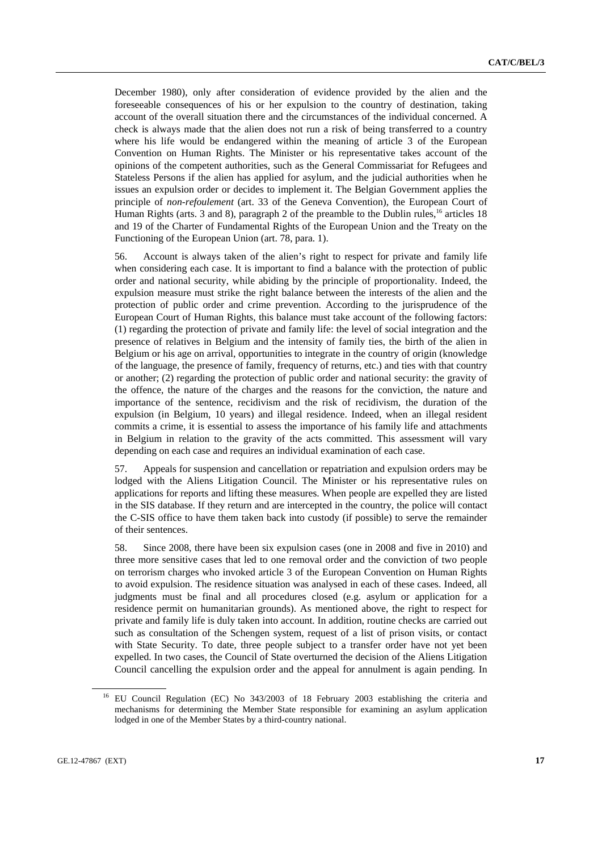December 1980), only after consideration of evidence provided by the alien and the foreseeable consequences of his or her expulsion to the country of destination, taking account of the overall situation there and the circumstances of the individual concerned. A check is always made that the alien does not run a risk of being transferred to a country where his life would be endangered within the meaning of article 3 of the European Convention on Human Rights. The Minister or his representative takes account of the opinions of the competent authorities, such as the General Commissariat for Refugees and Stateless Persons if the alien has applied for asylum, and the judicial authorities when he issues an expulsion order or decides to implement it. The Belgian Government applies the principle of *non-refoulement* (art. 33 of the Geneva Convention), the European Court of Human Rights (arts. 3 and 8), paragraph 2 of the preamble to the Dublin rules,<sup>16</sup> articles 18 and 19 of the Charter of Fundamental Rights of the European Union and the Treaty on the Functioning of the European Union (art. 78, para. 1).

56. Account is always taken of the alien's right to respect for private and family life when considering each case. It is important to find a balance with the protection of public order and national security, while abiding by the principle of proportionality. Indeed, the expulsion measure must strike the right balance between the interests of the alien and the protection of public order and crime prevention. According to the jurisprudence of the European Court of Human Rights, this balance must take account of the following factors: (1) regarding the protection of private and family life: the level of social integration and the presence of relatives in Belgium and the intensity of family ties, the birth of the alien in Belgium or his age on arrival, opportunities to integrate in the country of origin (knowledge of the language, the presence of family, frequency of returns, etc.) and ties with that country or another; (2) regarding the protection of public order and national security: the gravity of the offence, the nature of the charges and the reasons for the conviction, the nature and importance of the sentence, recidivism and the risk of recidivism, the duration of the expulsion (in Belgium, 10 years) and illegal residence. Indeed, when an illegal resident commits a crime, it is essential to assess the importance of his family life and attachments in Belgium in relation to the gravity of the acts committed. This assessment will vary depending on each case and requires an individual examination of each case.

57. Appeals for suspension and cancellation or repatriation and expulsion orders may be lodged with the Aliens Litigation Council. The Minister or his representative rules on applications for reports and lifting these measures. When people are expelled they are listed in the SIS database. If they return and are intercepted in the country, the police will contact the C-SIS office to have them taken back into custody (if possible) to serve the remainder of their sentences.

58. Since 2008, there have been six expulsion cases (one in 2008 and five in 2010) and three more sensitive cases that led to one removal order and the conviction of two people on terrorism charges who invoked article 3 of the European Convention on Human Rights to avoid expulsion. The residence situation was analysed in each of these cases. Indeed, all judgments must be final and all procedures closed (e.g. asylum or application for a residence permit on humanitarian grounds). As mentioned above, the right to respect for private and family life is duly taken into account. In addition, routine checks are carried out such as consultation of the Schengen system, request of a list of prison visits, or contact with State Security. To date, three people subject to a transfer order have not yet been expelled. In two cases, the Council of State overturned the decision of the Aliens Litigation Council cancelling the expulsion order and the appeal for annulment is again pending. In

<sup>&</sup>lt;sup>16</sup> EU Council Regulation (EC) No 343/2003 of 18 February 2003 establishing the criteria and mechanisms for determining the Member State responsible for examining an asylum application lodged in one of the Member States by a third-country national.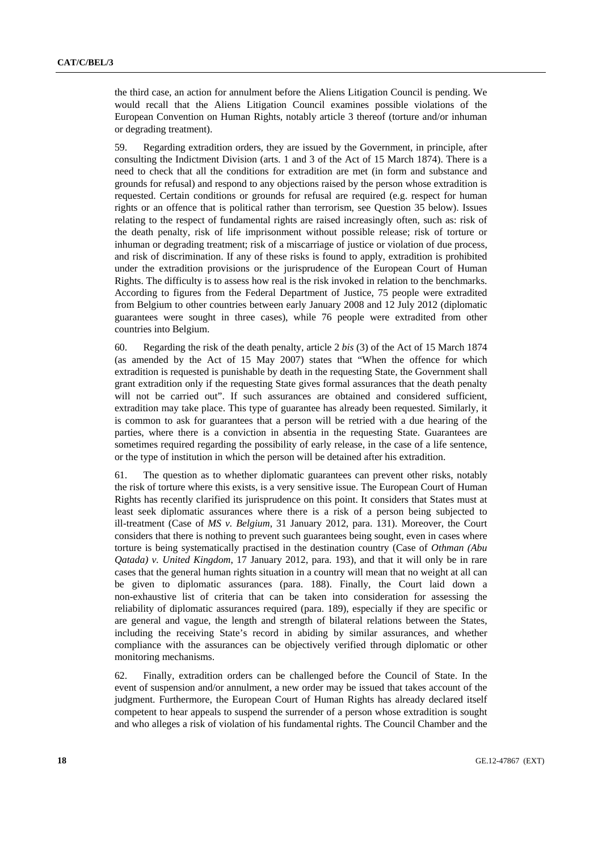the third case, an action for annulment before the Aliens Litigation Council is pending. We would recall that the Aliens Litigation Council examines possible violations of the European Convention on Human Rights, notably article 3 thereof (torture and/or inhuman or degrading treatment).

59. Regarding extradition orders, they are issued by the Government, in principle, after consulting the Indictment Division (arts. 1 and 3 of the Act of 15 March 1874). There is a need to check that all the conditions for extradition are met (in form and substance and grounds for refusal) and respond to any objections raised by the person whose extradition is requested. Certain conditions or grounds for refusal are required (e.g. respect for human rights or an offence that is political rather than terrorism, see Question 35 below). Issues relating to the respect of fundamental rights are raised increasingly often, such as: risk of the death penalty, risk of life imprisonment without possible release; risk of torture or inhuman or degrading treatment; risk of a miscarriage of justice or violation of due process, and risk of discrimination. If any of these risks is found to apply, extradition is prohibited under the extradition provisions or the jurisprudence of the European Court of Human Rights. The difficulty is to assess how real is the risk invoked in relation to the benchmarks. According to figures from the Federal Department of Justice, 75 people were extradited from Belgium to other countries between early January 2008 and 12 July 2012 (diplomatic guarantees were sought in three cases), while 76 people were extradited from other countries into Belgium.

60. Regarding the risk of the death penalty, article 2 *bis* (3) of the Act of 15 March 1874 (as amended by the Act of 15 May 2007) states that "When the offence for which extradition is requested is punishable by death in the requesting State, the Government shall grant extradition only if the requesting State gives formal assurances that the death penalty will not be carried out". If such assurances are obtained and considered sufficient, extradition may take place. This type of guarantee has already been requested. Similarly, it is common to ask for guarantees that a person will be retried with a due hearing of the parties, where there is a conviction in absentia in the requesting State. Guarantees are sometimes required regarding the possibility of early release, in the case of a life sentence, or the type of institution in which the person will be detained after his extradition.

61. The question as to whether diplomatic guarantees can prevent other risks, notably the risk of torture where this exists, is a very sensitive issue. The European Court of Human Rights has recently clarified its jurisprudence on this point. It considers that States must at least seek diplomatic assurances where there is a risk of a person being subjected to ill-treatment (Case of *MS v. Belgium*, 31 January 2012, para. 131). Moreover, the Court considers that there is nothing to prevent such guarantees being sought, even in cases where torture is being systematically practised in the destination country (Case of *Othman (Abu Qatada) v. United Kingdom*, 17 January 2012, para. 193), and that it will only be in rare cases that the general human rights situation in a country will mean that no weight at all can be given to diplomatic assurances (para. 188). Finally, the Court laid down a non-exhaustive list of criteria that can be taken into consideration for assessing the reliability of diplomatic assurances required (para. 189), especially if they are specific or are general and vague, the length and strength of bilateral relations between the States, including the receiving State's record in abiding by similar assurances, and whether compliance with the assurances can be objectively verified through diplomatic or other monitoring mechanisms.

62. Finally, extradition orders can be challenged before the Council of State. In the event of suspension and/or annulment, a new order may be issued that takes account of the judgment. Furthermore, the European Court of Human Rights has already declared itself competent to hear appeals to suspend the surrender of a person whose extradition is sought and who alleges a risk of violation of his fundamental rights. The Council Chamber and the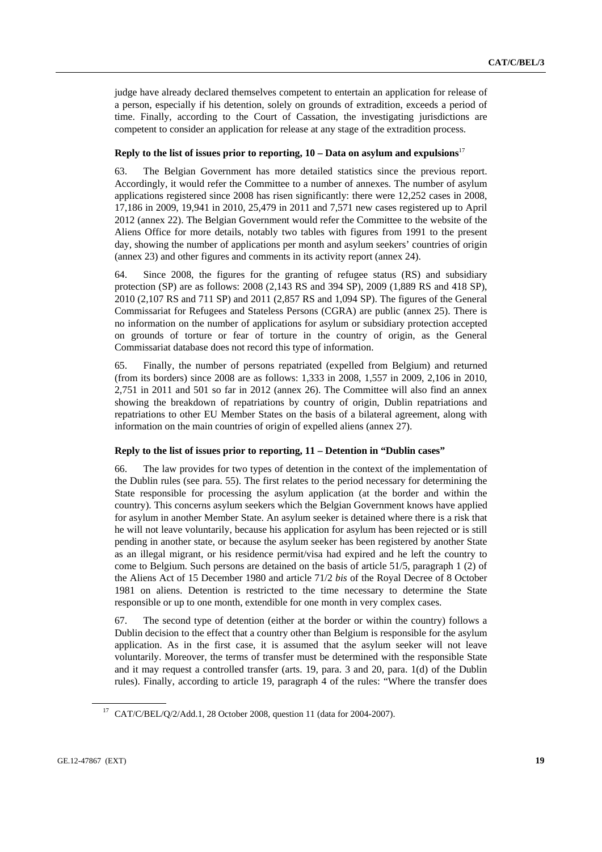judge have already declared themselves competent to entertain an application for release of a person, especially if his detention, solely on grounds of extradition, exceeds a period of time. Finally, according to the Court of Cassation, the investigating jurisdictions are competent to consider an application for release at any stage of the extradition process.

#### **Reply to the list of issues prior to reporting, 10 – Data on asylum and expulsions**<sup>17</sup>

63. The Belgian Government has more detailed statistics since the previous report. Accordingly, it would refer the Committee to a number of annexes. The number of asylum applications registered since 2008 has risen significantly: there were 12,252 cases in 2008, 17,186 in 2009, 19,941 in 2010, 25,479 in 2011 and 7,571 new cases registered up to April 2012 (annex 22). The Belgian Government would refer the Committee to the website of the Aliens Office for more details, notably two tables with figures from 1991 to the present day, showing the number of applications per month and asylum seekers' countries of origin (annex 23) and other figures and comments in its activity report (annex 24).

64. Since 2008, the figures for the granting of refugee status (RS) and subsidiary protection (SP) are as follows: 2008 (2,143 RS and 394 SP), 2009 (1,889 RS and 418 SP), 2010 (2,107 RS and 711 SP) and 2011 (2,857 RS and 1,094 SP). The figures of the General Commissariat for Refugees and Stateless Persons (CGRA) are public (annex 25). There is no information on the number of applications for asylum or subsidiary protection accepted on grounds of torture or fear of torture in the country of origin, as the General Commissariat database does not record this type of information.

65. Finally, the number of persons repatriated (expelled from Belgium) and returned (from its borders) since 2008 are as follows: 1,333 in 2008, 1,557 in 2009, 2,106 in 2010, 2,751 in 2011 and 501 so far in 2012 (annex 26). The Committee will also find an annex showing the breakdown of repatriations by country of origin, Dublin repatriations and repatriations to other EU Member States on the basis of a bilateral agreement, along with information on the main countries of origin of expelled aliens (annex 27).

#### **Reply to the list of issues prior to reporting, 11 – Detention in "Dublin cases"**

66. The law provides for two types of detention in the context of the implementation of the Dublin rules (see para. 55). The first relates to the period necessary for determining the State responsible for processing the asylum application (at the border and within the country). This concerns asylum seekers which the Belgian Government knows have applied for asylum in another Member State. An asylum seeker is detained where there is a risk that he will not leave voluntarily, because his application for asylum has been rejected or is still pending in another state, or because the asylum seeker has been registered by another State as an illegal migrant, or his residence permit/visa had expired and he left the country to come to Belgium. Such persons are detained on the basis of article 51/5, paragraph 1 (2) of the Aliens Act of 15 December 1980 and article 71/2 *bis* of the Royal Decree of 8 October 1981 on aliens. Detention is restricted to the time necessary to determine the State responsible or up to one month, extendible for one month in very complex cases.

67. The second type of detention (either at the border or within the country) follows a Dublin decision to the effect that a country other than Belgium is responsible for the asylum application. As in the first case, it is assumed that the asylum seeker will not leave voluntarily. Moreover, the terms of transfer must be determined with the responsible State and it may request a controlled transfer (arts. 19, para. 3 and 20, para. 1(d) of the Dublin rules). Finally, according to article 19, paragraph 4 of the rules: "Where the transfer does

<sup>17</sup> CAT/C/BEL/Q/2/Add.1, 28 October 2008, question 11 (data for 2004-2007).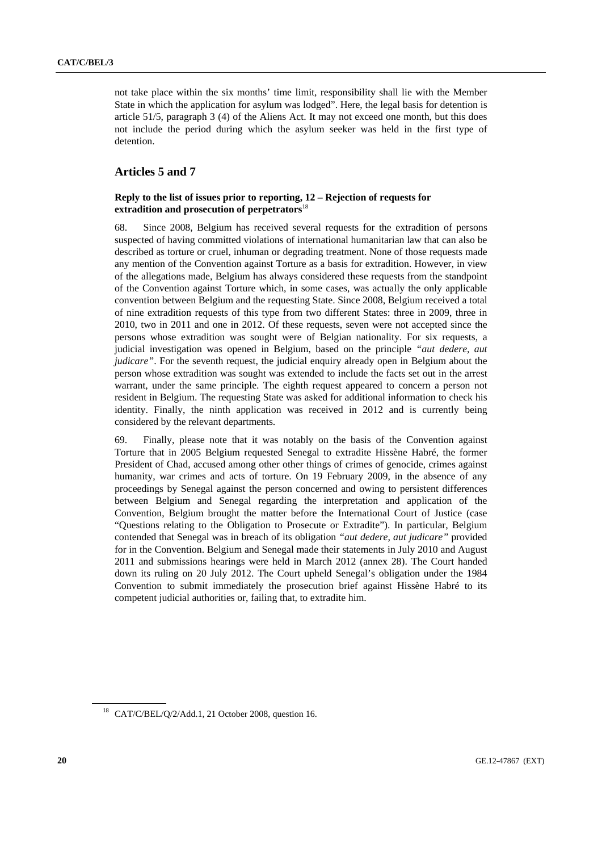not take place within the six months' time limit, responsibility shall lie with the Member State in which the application for asylum was lodged". Here, the legal basis for detention is article 51/5, paragraph 3 (4) of the Aliens Act. It may not exceed one month, but this does not include the period during which the asylum seeker was held in the first type of detention.

### **Articles 5 and 7**

### **Reply to the list of issues prior to reporting, 12 – Rejection of requests for extradition and prosecution of perpetrators**<sup>18</sup>

68. Since 2008, Belgium has received several requests for the extradition of persons suspected of having committed violations of international humanitarian law that can also be described as torture or cruel, inhuman or degrading treatment. None of those requests made any mention of the Convention against Torture as a basis for extradition. However, in view of the allegations made, Belgium has always considered these requests from the standpoint of the Convention against Torture which, in some cases, was actually the only applicable convention between Belgium and the requesting State. Since 2008, Belgium received a total of nine extradition requests of this type from two different States: three in 2009, three in 2010, two in 2011 and one in 2012. Of these requests, seven were not accepted since the persons whose extradition was sought were of Belgian nationality. For six requests, a judicial investigation was opened in Belgium, based on the principle *"aut dedere, aut judicare"*. For the seventh request, the judicial enquiry already open in Belgium about the person whose extradition was sought was extended to include the facts set out in the arrest warrant, under the same principle. The eighth request appeared to concern a person not resident in Belgium. The requesting State was asked for additional information to check his identity. Finally, the ninth application was received in 2012 and is currently being considered by the relevant departments.

69. Finally, please note that it was notably on the basis of the Convention against Torture that in 2005 Belgium requested Senegal to extradite Hissène Habré, the former President of Chad, accused among other other things of crimes of genocide, crimes against humanity, war crimes and acts of torture. On 19 February 2009, in the absence of any proceedings by Senegal against the person concerned and owing to persistent differences between Belgium and Senegal regarding the interpretation and application of the Convention, Belgium brought the matter before the International Court of Justice (case "Questions relating to the Obligation to Prosecute or Extradite"). In particular, Belgium contended that Senegal was in breach of its obligation *"aut dedere, aut judicare"* provided for in the Convention. Belgium and Senegal made their statements in July 2010 and August 2011 and submissions hearings were held in March 2012 (annex 28). The Court handed down its ruling on 20 July 2012. The Court upheld Senegal's obligation under the 1984 Convention to submit immediately the prosecution brief against Hissène Habré to its competent judicial authorities or, failing that, to extradite him.

<sup>18</sup> CAT/C/BEL/Q/2/Add.1, 21 October 2008, question 16.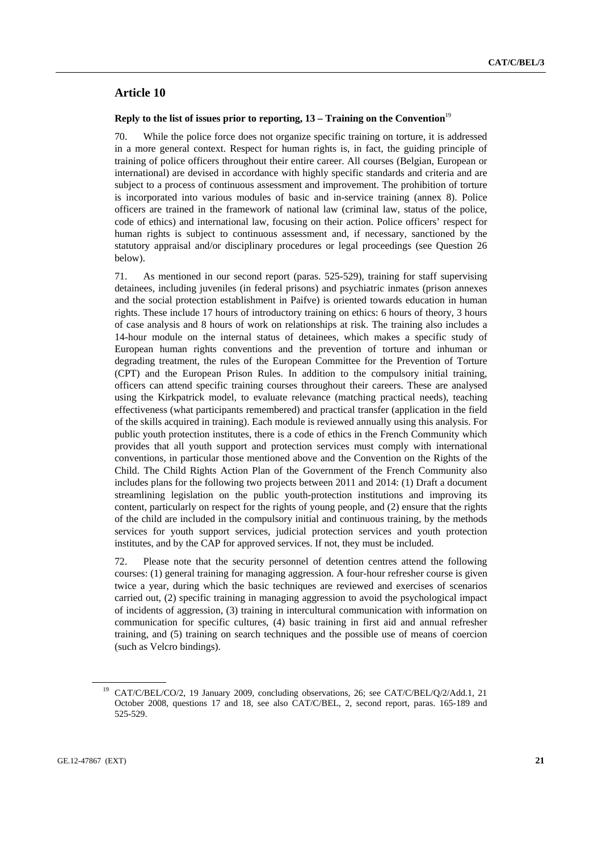## **Article 10**

#### **Reply to the list of issues prior to reporting, 13 – Training on the Convention**<sup>19</sup>

70. While the police force does not organize specific training on torture, it is addressed in a more general context. Respect for human rights is, in fact, the guiding principle of training of police officers throughout their entire career. All courses (Belgian, European or international) are devised in accordance with highly specific standards and criteria and are subject to a process of continuous assessment and improvement. The prohibition of torture is incorporated into various modules of basic and in-service training (annex 8). Police officers are trained in the framework of national law (criminal law, status of the police, code of ethics) and international law, focusing on their action. Police officers' respect for human rights is subject to continuous assessment and, if necessary, sanctioned by the statutory appraisal and/or disciplinary procedures or legal proceedings (see Question 26 below).

71. As mentioned in our second report (paras. 525-529), training for staff supervising detainees, including juveniles (in federal prisons) and psychiatric inmates (prison annexes and the social protection establishment in Paifve) is oriented towards education in human rights. These include 17 hours of introductory training on ethics: 6 hours of theory, 3 hours of case analysis and 8 hours of work on relationships at risk. The training also includes a 14-hour module on the internal status of detainees, which makes a specific study of European human rights conventions and the prevention of torture and inhuman or degrading treatment, the rules of the European Committee for the Prevention of Torture (CPT) and the European Prison Rules. In addition to the compulsory initial training, officers can attend specific training courses throughout their careers. These are analysed using the Kirkpatrick model, to evaluate relevance (matching practical needs), teaching effectiveness (what participants remembered) and practical transfer (application in the field of the skills acquired in training). Each module is reviewed annually using this analysis. For public youth protection institutes, there is a code of ethics in the French Community which provides that all youth support and protection services must comply with international conventions, in particular those mentioned above and the Convention on the Rights of the Child. The Child Rights Action Plan of the Government of the French Community also includes plans for the following two projects between 2011 and 2014: (1) Draft a document streamlining legislation on the public youth-protection institutions and improving its content, particularly on respect for the rights of young people, and (2) ensure that the rights of the child are included in the compulsory initial and continuous training, by the methods services for youth support services, judicial protection services and youth protection institutes, and by the CAP for approved services. If not, they must be included.

72. Please note that the security personnel of detention centres attend the following courses: (1) general training for managing aggression. A four-hour refresher course is given twice a year, during which the basic techniques are reviewed and exercises of scenarios carried out, (2) specific training in managing aggression to avoid the psychological impact of incidents of aggression, (3) training in intercultural communication with information on communication for specific cultures, (4) basic training in first aid and annual refresher training, and (5) training on search techniques and the possible use of means of coercion (such as Velcro bindings).

<sup>&</sup>lt;sup>19</sup> CAT/C/BEL/CO/2, 19 January 2009, concluding observations, 26; see CAT/C/BEL/Q/2/Add.1, 21 October 2008, questions 17 and 18, see also CAT/C/BEL, 2, second report, paras. 165-189 and 525-529.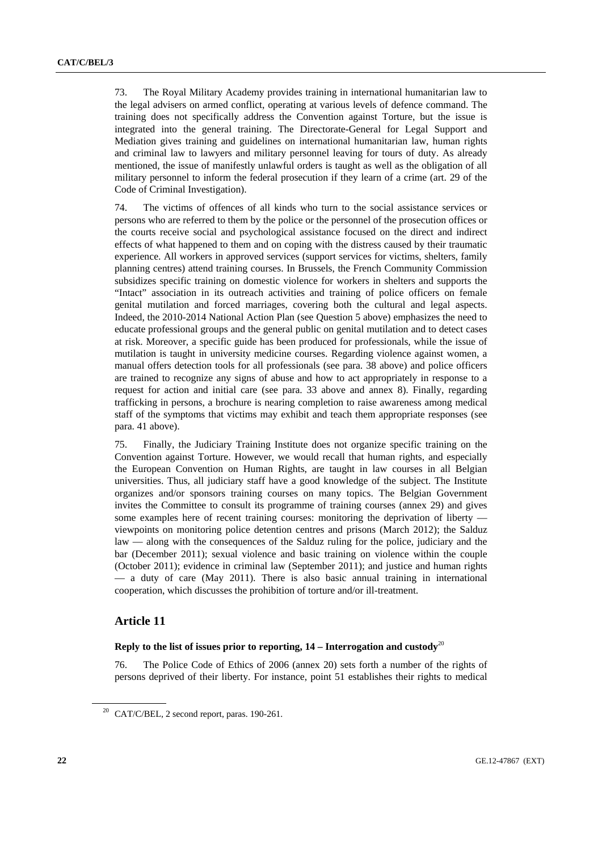73. The Royal Military Academy provides training in international humanitarian law to the legal advisers on armed conflict, operating at various levels of defence command. The training does not specifically address the Convention against Torture, but the issue is integrated into the general training. The Directorate-General for Legal Support and Mediation gives training and guidelines on international humanitarian law, human rights and criminal law to lawyers and military personnel leaving for tours of duty. As already mentioned, the issue of manifestly unlawful orders is taught as well as the obligation of all military personnel to inform the federal prosecution if they learn of a crime (art. 29 of the Code of Criminal Investigation).

74. The victims of offences of all kinds who turn to the social assistance services or persons who are referred to them by the police or the personnel of the prosecution offices or the courts receive social and psychological assistance focused on the direct and indirect effects of what happened to them and on coping with the distress caused by their traumatic experience. All workers in approved services (support services for victims, shelters, family planning centres) attend training courses. In Brussels, the French Community Commission subsidizes specific training on domestic violence for workers in shelters and supports the "Intact" association in its outreach activities and training of police officers on female genital mutilation and forced marriages, covering both the cultural and legal aspects. Indeed, the 2010-2014 National Action Plan (see Question 5 above) emphasizes the need to educate professional groups and the general public on genital mutilation and to detect cases at risk. Moreover, a specific guide has been produced for professionals, while the issue of mutilation is taught in university medicine courses. Regarding violence against women, a manual offers detection tools for all professionals (see para. 38 above) and police officers are trained to recognize any signs of abuse and how to act appropriately in response to a request for action and initial care (see para. 33 above and annex 8). Finally, regarding trafficking in persons, a brochure is nearing completion to raise awareness among medical staff of the symptoms that victims may exhibit and teach them appropriate responses (see para. 41 above).

75. Finally, the Judiciary Training Institute does not organize specific training on the Convention against Torture. However, we would recall that human rights, and especially the European Convention on Human Rights, are taught in law courses in all Belgian universities. Thus, all judiciary staff have a good knowledge of the subject. The Institute organizes and/or sponsors training courses on many topics. The Belgian Government invites the Committee to consult its programme of training courses (annex 29) and gives some examples here of recent training courses: monitoring the deprivation of liberty viewpoints on monitoring police detention centres and prisons (March 2012); the Salduz law — along with the consequences of the Salduz ruling for the police, judiciary and the bar (December 2011); sexual violence and basic training on violence within the couple (October 2011); evidence in criminal law (September 2011); and justice and human rights — a duty of care (May 2011). There is also basic annual training in international cooperation, which discusses the prohibition of torture and/or ill-treatment.

### **Article 11**

### **Reply to the list of issues prior to reporting,**  $14$  **– Interrogation and custody<sup>20</sup>**

76. The Police Code of Ethics of 2006 (annex 20) sets forth a number of the rights of persons deprived of their liberty. For instance, point 51 establishes their rights to medical

<sup>20</sup> CAT/C/BEL, 2 second report, paras. 190-261.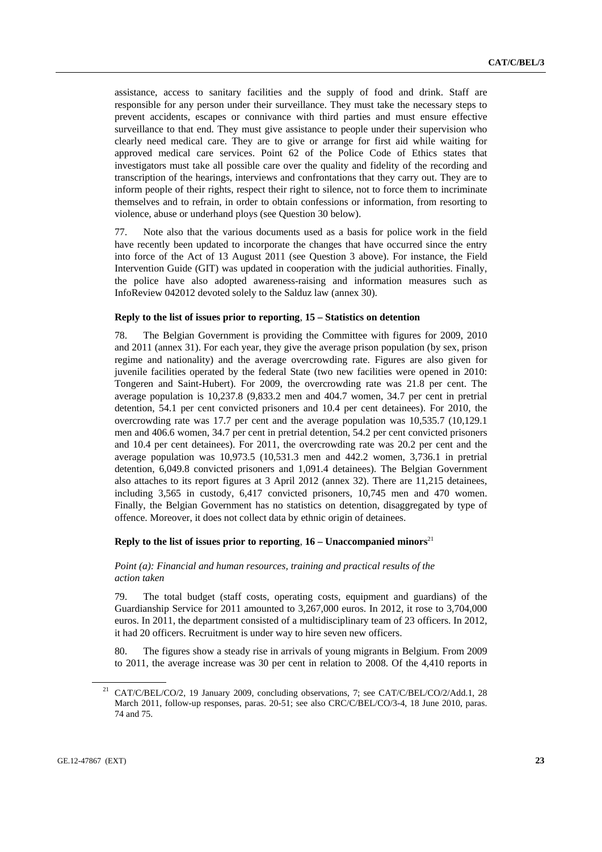assistance, access to sanitary facilities and the supply of food and drink. Staff are responsible for any person under their surveillance. They must take the necessary steps to prevent accidents, escapes or connivance with third parties and must ensure effective surveillance to that end. They must give assistance to people under their supervision who clearly need medical care. They are to give or arrange for first aid while waiting for approved medical care services. Point 62 of the Police Code of Ethics states that investigators must take all possible care over the quality and fidelity of the recording and transcription of the hearings, interviews and confrontations that they carry out. They are to inform people of their rights, respect their right to silence, not to force them to incriminate themselves and to refrain, in order to obtain confessions or information, from resorting to violence, abuse or underhand ploys (see Question 30 below).

77. Note also that the various documents used as a basis for police work in the field have recently been updated to incorporate the changes that have occurred since the entry into force of the Act of 13 August 2011 (see Question 3 above). For instance, the Field Intervention Guide (GIT) was updated in cooperation with the judicial authorities. Finally, the police have also adopted awareness-raising and information measures such as InfoReview 042012 devoted solely to the Salduz law (annex 30).

#### **Reply to the list of issues prior to reporting**, **15 – Statistics on detention**

78. The Belgian Government is providing the Committee with figures for 2009, 2010 and 2011 (annex 31). For each year, they give the average prison population (by sex, prison regime and nationality) and the average overcrowding rate. Figures are also given for juvenile facilities operated by the federal State (two new facilities were opened in 2010: Tongeren and Saint-Hubert). For 2009, the overcrowding rate was 21.8 per cent. The average population is 10,237.8 (9,833.2 men and 404.7 women, 34.7 per cent in pretrial detention, 54.1 per cent convicted prisoners and 10.4 per cent detainees). For 2010, the overcrowding rate was 17.7 per cent and the average population was 10,535.7 (10,129.1 men and 406.6 women, 34.7 per cent in pretrial detention, 54.2 per cent convicted prisoners and 10.4 per cent detainees). For 2011, the overcrowding rate was 20.2 per cent and the average population was 10,973.5 (10,531.3 men and 442.2 women, 3,736.1 in pretrial detention, 6,049.8 convicted prisoners and 1,091.4 detainees). The Belgian Government also attaches to its report figures at 3 April 2012 (annex 32). There are 11,215 detainees, including 3,565 in custody, 6,417 convicted prisoners, 10,745 men and 470 women. Finally, the Belgian Government has no statistics on detention, disaggregated by type of offence. Moreover, it does not collect data by ethnic origin of detainees.

#### **Reply to the list of issues prior to reporting,**  $16$  **– Unaccompanied minors**<sup>21</sup>

### *Point (a): Financial and human resources, training and practical results of the action taken*

79. The total budget (staff costs, operating costs, equipment and guardians) of the Guardianship Service for 2011 amounted to 3,267,000 euros. In 2012, it rose to 3,704,000 euros. In 2011, the department consisted of a multidisciplinary team of 23 officers. In 2012, it had 20 officers. Recruitment is under way to hire seven new officers.

80. The figures show a steady rise in arrivals of young migrants in Belgium. From 2009 to 2011, the average increase was 30 per cent in relation to 2008. Of the 4,410 reports in

<sup>&</sup>lt;sup>21</sup> CAT/C/BEL/CO/2, 19 January 2009, concluding observations, 7; see CAT/C/BEL/CO/2/Add.1, 28 March 2011, follow-up responses, paras. 20-51; see also CRC/C/BEL/CO/3-4, 18 June 2010, paras. 74 and 75.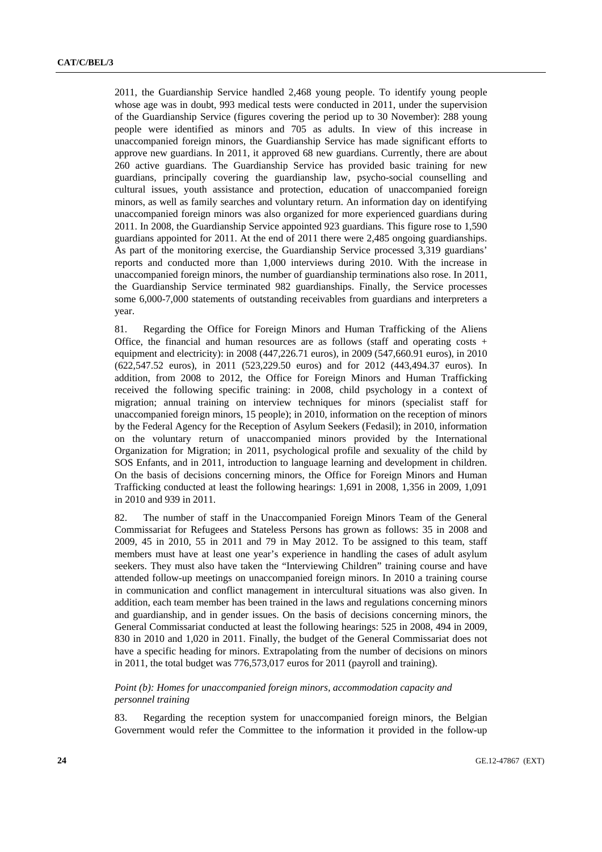2011, the Guardianship Service handled 2,468 young people. To identify young people whose age was in doubt, 993 medical tests were conducted in 2011, under the supervision of the Guardianship Service (figures covering the period up to 30 November): 288 young people were identified as minors and 705 as adults. In view of this increase in unaccompanied foreign minors, the Guardianship Service has made significant efforts to approve new guardians. In 2011, it approved 68 new guardians. Currently, there are about 260 active guardians. The Guardianship Service has provided basic training for new guardians, principally covering the guardianship law, psycho-social counselling and cultural issues, youth assistance and protection, education of unaccompanied foreign minors, as well as family searches and voluntary return. An information day on identifying unaccompanied foreign minors was also organized for more experienced guardians during 2011. In 2008, the Guardianship Service appointed 923 guardians. This figure rose to 1,590 guardians appointed for 2011. At the end of 2011 there were 2,485 ongoing guardianships. As part of the monitoring exercise, the Guardianship Service processed 3,319 guardians' reports and conducted more than 1,000 interviews during 2010. With the increase in unaccompanied foreign minors, the number of guardianship terminations also rose. In 2011, the Guardianship Service terminated 982 guardianships. Finally, the Service processes some 6,000-7,000 statements of outstanding receivables from guardians and interpreters a year.

81. Regarding the Office for Foreign Minors and Human Trafficking of the Aliens Office, the financial and human resources are as follows (staff and operating costs + equipment and electricity): in 2008 (447,226.71 euros), in 2009 (547,660.91 euros), in 2010 (622,547.52 euros), in 2011 (523,229.50 euros) and for 2012 (443,494.37 euros). In addition, from 2008 to 2012, the Office for Foreign Minors and Human Trafficking received the following specific training: in 2008, child psychology in a context of migration; annual training on interview techniques for minors (specialist staff for unaccompanied foreign minors, 15 people); in 2010, information on the reception of minors by the Federal Agency for the Reception of Asylum Seekers (Fedasil); in 2010, information on the voluntary return of unaccompanied minors provided by the International Organization for Migration; in 2011, psychological profile and sexuality of the child by SOS Enfants, and in 2011, introduction to language learning and development in children. On the basis of decisions concerning minors, the Office for Foreign Minors and Human Trafficking conducted at least the following hearings: 1,691 in 2008, 1,356 in 2009, 1,091 in 2010 and 939 in 2011.

82. The number of staff in the Unaccompanied Foreign Minors Team of the General Commissariat for Refugees and Stateless Persons has grown as follows: 35 in 2008 and 2009, 45 in 2010, 55 in 2011 and 79 in May 2012. To be assigned to this team, staff members must have at least one year's experience in handling the cases of adult asylum seekers. They must also have taken the "Interviewing Children" training course and have attended follow-up meetings on unaccompanied foreign minors. In 2010 a training course in communication and conflict management in intercultural situations was also given. In addition, each team member has been trained in the laws and regulations concerning minors and guardianship, and in gender issues. On the basis of decisions concerning minors, the General Commissariat conducted at least the following hearings: 525 in 2008, 494 in 2009, 830 in 2010 and 1,020 in 2011. Finally, the budget of the General Commissariat does not have a specific heading for minors. Extrapolating from the number of decisions on minors in 2011, the total budget was 776,573,017 euros for 2011 (payroll and training).

### *Point (b): Homes for unaccompanied foreign minors, accommodation capacity and personnel training*

83. Regarding the reception system for unaccompanied foreign minors, the Belgian Government would refer the Committee to the information it provided in the follow-up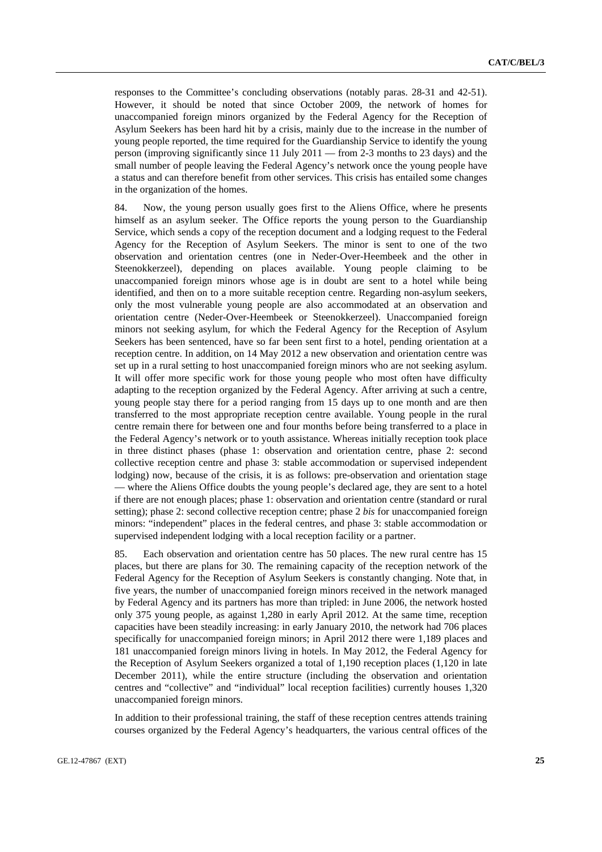responses to the Committee's concluding observations (notably paras. 28-31 and 42-51). However, it should be noted that since October 2009, the network of homes for unaccompanied foreign minors organized by the Federal Agency for the Reception of Asylum Seekers has been hard hit by a crisis, mainly due to the increase in the number of young people reported, the time required for the Guardianship Service to identify the young person (improving significantly since 11 July 2011 — from 2-3 months to 23 days) and the small number of people leaving the Federal Agency's network once the young people have a status and can therefore benefit from other services. This crisis has entailed some changes in the organization of the homes.

84. Now, the young person usually goes first to the Aliens Office, where he presents himself as an asylum seeker. The Office reports the young person to the Guardianship Service, which sends a copy of the reception document and a lodging request to the Federal Agency for the Reception of Asylum Seekers. The minor is sent to one of the two observation and orientation centres (one in Neder-Over-Heembeek and the other in Steenokkerzeel), depending on places available. Young people claiming to be unaccompanied foreign minors whose age is in doubt are sent to a hotel while being identified, and then on to a more suitable reception centre. Regarding non-asylum seekers, only the most vulnerable young people are also accommodated at an observation and orientation centre (Neder-Over-Heembeek or Steenokkerzeel). Unaccompanied foreign minors not seeking asylum, for which the Federal Agency for the Reception of Asylum Seekers has been sentenced, have so far been sent first to a hotel, pending orientation at a reception centre. In addition, on 14 May 2012 a new observation and orientation centre was set up in a rural setting to host unaccompanied foreign minors who are not seeking asylum. It will offer more specific work for those young people who most often have difficulty adapting to the reception organized by the Federal Agency. After arriving at such a centre, young people stay there for a period ranging from 15 days up to one month and are then transferred to the most appropriate reception centre available. Young people in the rural centre remain there for between one and four months before being transferred to a place in the Federal Agency's network or to youth assistance. Whereas initially reception took place in three distinct phases (phase 1: observation and orientation centre, phase 2: second collective reception centre and phase 3: stable accommodation or supervised independent lodging) now, because of the crisis, it is as follows: pre-observation and orientation stage — where the Aliens Office doubts the young people's declared age, they are sent to a hotel if there are not enough places; phase 1: observation and orientation centre (standard or rural setting); phase 2: second collective reception centre; phase 2 *bis* for unaccompanied foreign minors: "independent" places in the federal centres, and phase 3: stable accommodation or supervised independent lodging with a local reception facility or a partner.

85. Each observation and orientation centre has 50 places. The new rural centre has 15 places, but there are plans for 30. The remaining capacity of the reception network of the Federal Agency for the Reception of Asylum Seekers is constantly changing. Note that, in five years, the number of unaccompanied foreign minors received in the network managed by Federal Agency and its partners has more than tripled: in June 2006, the network hosted only 375 young people, as against 1,280 in early April 2012. At the same time, reception capacities have been steadily increasing: in early January 2010, the network had 706 places specifically for unaccompanied foreign minors; in April 2012 there were 1,189 places and 181 unaccompanied foreign minors living in hotels. In May 2012, the Federal Agency for the Reception of Asylum Seekers organized a total of 1,190 reception places (1,120 in late December 2011), while the entire structure (including the observation and orientation centres and "collective" and "individual" local reception facilities) currently houses 1,320 unaccompanied foreign minors.

In addition to their professional training, the staff of these reception centres attends training courses organized by the Federal Agency's headquarters, the various central offices of the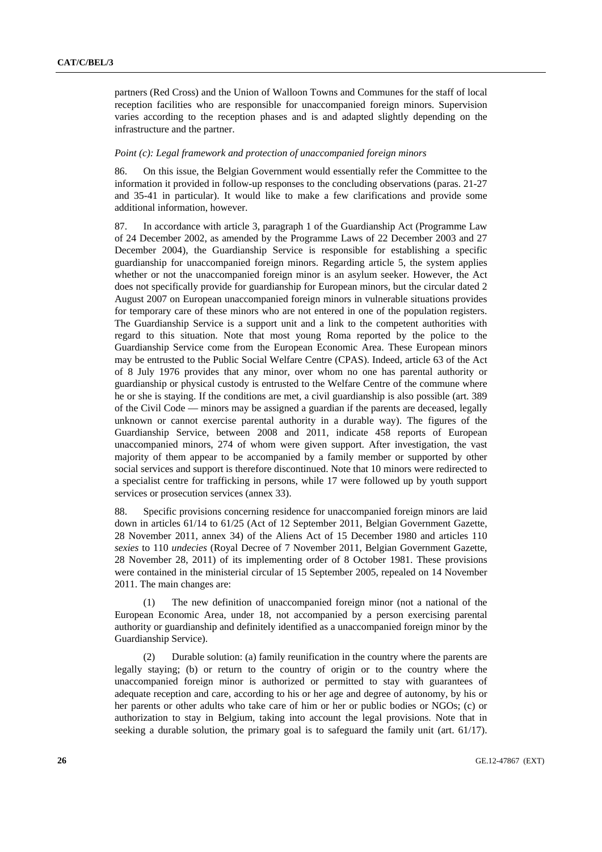partners (Red Cross) and the Union of Walloon Towns and Communes for the staff of local reception facilities who are responsible for unaccompanied foreign minors. Supervision varies according to the reception phases and is and adapted slightly depending on the infrastructure and the partner.

#### *Point (c): Legal framework and protection of unaccompanied foreign minors*

86. On this issue, the Belgian Government would essentially refer the Committee to the information it provided in follow-up responses to the concluding observations (paras. 21-27 and 35-41 in particular). It would like to make a few clarifications and provide some additional information, however.

87. In accordance with article 3, paragraph 1 of the Guardianship Act (Programme Law of 24 December 2002, as amended by the Programme Laws of 22 December 2003 and 27 December 2004), the Guardianship Service is responsible for establishing a specific guardianship for unaccompanied foreign minors. Regarding article 5, the system applies whether or not the unaccompanied foreign minor is an asylum seeker. However, the Act does not specifically provide for guardianship for European minors, but the circular dated 2 August 2007 on European unaccompanied foreign minors in vulnerable situations provides for temporary care of these minors who are not entered in one of the population registers. The Guardianship Service is a support unit and a link to the competent authorities with regard to this situation. Note that most young Roma reported by the police to the Guardianship Service come from the European Economic Area. These European minors may be entrusted to the Public Social Welfare Centre (CPAS). Indeed, article 63 of the Act of 8 July 1976 provides that any minor, over whom no one has parental authority or guardianship or physical custody is entrusted to the Welfare Centre of the commune where he or she is staying. If the conditions are met, a civil guardianship is also possible (art. 389 of the Civil Code — minors may be assigned a guardian if the parents are deceased, legally unknown or cannot exercise parental authority in a durable way). The figures of the Guardianship Service, between 2008 and 2011, indicate 458 reports of European unaccompanied minors, 274 of whom were given support. After investigation, the vast majority of them appear to be accompanied by a family member or supported by other social services and support is therefore discontinued. Note that 10 minors were redirected to a specialist centre for trafficking in persons, while 17 were followed up by youth support services or prosecution services (annex 33).

88. Specific provisions concerning residence for unaccompanied foreign minors are laid down in articles 61/14 to 61/25 (Act of 12 September 2011, Belgian Government Gazette, 28 November 2011, annex 34) of the Aliens Act of 15 December 1980 and articles 110 *sexies* to 110 *undecies* (Royal Decree of 7 November 2011, Belgian Government Gazette, 28 November 28, 2011) of its implementing order of 8 October 1981. These provisions were contained in the ministerial circular of 15 September 2005, repealed on 14 November 2011. The main changes are:

 (1) The new definition of unaccompanied foreign minor (not a national of the European Economic Area, under 18, not accompanied by a person exercising parental authority or guardianship and definitely identified as a unaccompanied foreign minor by the Guardianship Service).

 (2) Durable solution: (a) family reunification in the country where the parents are legally staying; (b) or return to the country of origin or to the country where the unaccompanied foreign minor is authorized or permitted to stay with guarantees of adequate reception and care, according to his or her age and degree of autonomy, by his or her parents or other adults who take care of him or her or public bodies or NGOs; (c) or authorization to stay in Belgium, taking into account the legal provisions. Note that in seeking a durable solution, the primary goal is to safeguard the family unit (art. 61/17).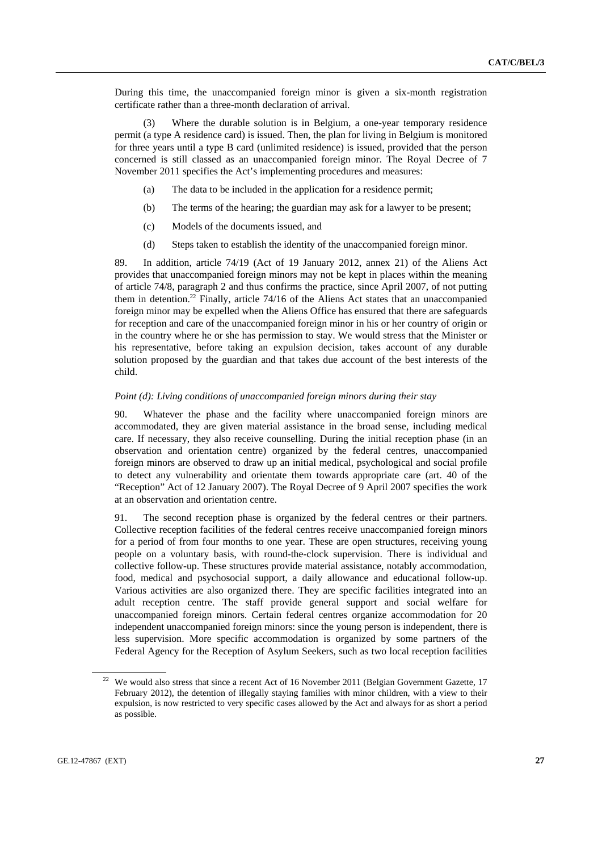During this time, the unaccompanied foreign minor is given a six-month registration certificate rather than a three-month declaration of arrival.

 (3) Where the durable solution is in Belgium, a one-year temporary residence permit (a type A residence card) is issued. Then, the plan for living in Belgium is monitored for three years until a type B card (unlimited residence) is issued, provided that the person concerned is still classed as an unaccompanied foreign minor. The Royal Decree of 7 November 2011 specifies the Act's implementing procedures and measures:

- (a) The data to be included in the application for a residence permit;
- (b) The terms of the hearing; the guardian may ask for a lawyer to be present;
- (c) Models of the documents issued, and
- (d) Steps taken to establish the identity of the unaccompanied foreign minor.

89. In addition, article 74/19 (Act of 19 January 2012, annex 21) of the Aliens Act provides that unaccompanied foreign minors may not be kept in places within the meaning of article 74/8, paragraph 2 and thus confirms the practice, since April 2007, of not putting them in detention.<sup>22</sup> Finally, article  $74/16$  of the Aliens Act states that an unaccompanied foreign minor may be expelled when the Aliens Office has ensured that there are safeguards for reception and care of the unaccompanied foreign minor in his or her country of origin or in the country where he or she has permission to stay. We would stress that the Minister or his representative, before taking an expulsion decision, takes account of any durable solution proposed by the guardian and that takes due account of the best interests of the child.

#### *Point (d): Living conditions of unaccompanied foreign minors during their stay*

90. Whatever the phase and the facility where unaccompanied foreign minors are accommodated, they are given material assistance in the broad sense, including medical care. If necessary, they also receive counselling. During the initial reception phase (in an observation and orientation centre) organized by the federal centres, unaccompanied foreign minors are observed to draw up an initial medical, psychological and social profile to detect any vulnerability and orientate them towards appropriate care (art. 40 of the "Reception" Act of 12 January 2007). The Royal Decree of 9 April 2007 specifies the work at an observation and orientation centre.

91. The second reception phase is organized by the federal centres or their partners. Collective reception facilities of the federal centres receive unaccompanied foreign minors for a period of from four months to one year. These are open structures, receiving young people on a voluntary basis, with round-the-clock supervision. There is individual and collective follow-up. These structures provide material assistance, notably accommodation, food, medical and psychosocial support, a daily allowance and educational follow-up. Various activities are also organized there. They are specific facilities integrated into an adult reception centre. The staff provide general support and social welfare for unaccompanied foreign minors. Certain federal centres organize accommodation for 20 independent unaccompanied foreign minors: since the young person is independent, there is less supervision. More specific accommodation is organized by some partners of the Federal Agency for the Reception of Asylum Seekers, such as two local reception facilities

<sup>&</sup>lt;sup>22</sup> We would also stress that since a recent Act of 16 November 2011 (Belgian Government Gazette, 17 February 2012), the detention of illegally staying families with minor children, with a view to their expulsion, is now restricted to very specific cases allowed by the Act and always for as short a period as possible.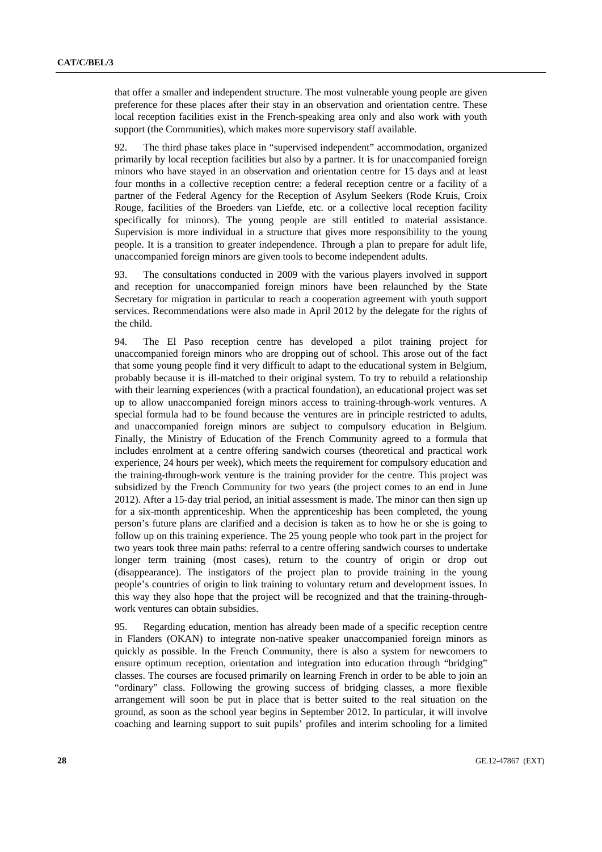that offer a smaller and independent structure. The most vulnerable young people are given preference for these places after their stay in an observation and orientation centre. These local reception facilities exist in the French-speaking area only and also work with youth support (the Communities), which makes more supervisory staff available.

92. The third phase takes place in "supervised independent" accommodation, organized primarily by local reception facilities but also by a partner. It is for unaccompanied foreign minors who have stayed in an observation and orientation centre for 15 days and at least four months in a collective reception centre: a federal reception centre or a facility of a partner of the Federal Agency for the Reception of Asylum Seekers (Rode Kruis, Croix Rouge, facilities of the Broeders van Liefde, etc. or a collective local reception facility specifically for minors). The young people are still entitled to material assistance. Supervision is more individual in a structure that gives more responsibility to the young people. It is a transition to greater independence. Through a plan to prepare for adult life, unaccompanied foreign minors are given tools to become independent adults.

93. The consultations conducted in 2009 with the various players involved in support and reception for unaccompanied foreign minors have been relaunched by the State Secretary for migration in particular to reach a cooperation agreement with youth support services. Recommendations were also made in April 2012 by the delegate for the rights of the child.

94. The El Paso reception centre has developed a pilot training project for unaccompanied foreign minors who are dropping out of school. This arose out of the fact that some young people find it very difficult to adapt to the educational system in Belgium, probably because it is ill-matched to their original system. To try to rebuild a relationship with their learning experiences (with a practical foundation), an educational project was set up to allow unaccompanied foreign minors access to training-through-work ventures. A special formula had to be found because the ventures are in principle restricted to adults, and unaccompanied foreign minors are subject to compulsory education in Belgium. Finally, the Ministry of Education of the French Community agreed to a formula that includes enrolment at a centre offering sandwich courses (theoretical and practical work experience, 24 hours per week), which meets the requirement for compulsory education and the training-through-work venture is the training provider for the centre. This project was subsidized by the French Community for two years (the project comes to an end in June 2012). After a 15-day trial period, an initial assessment is made. The minor can then sign up for a six-month apprenticeship. When the apprenticeship has been completed, the young person's future plans are clarified and a decision is taken as to how he or she is going to follow up on this training experience. The 25 young people who took part in the project for two years took three main paths: referral to a centre offering sandwich courses to undertake longer term training (most cases), return to the country of origin or drop out (disappearance). The instigators of the project plan to provide training in the young people's countries of origin to link training to voluntary return and development issues. In this way they also hope that the project will be recognized and that the training-throughwork ventures can obtain subsidies.

95. Regarding education, mention has already been made of a specific reception centre in Flanders (OKAN) to integrate non-native speaker unaccompanied foreign minors as quickly as possible. In the French Community, there is also a system for newcomers to ensure optimum reception, orientation and integration into education through "bridging" classes. The courses are focused primarily on learning French in order to be able to join an "ordinary" class. Following the growing success of bridging classes, a more flexible arrangement will soon be put in place that is better suited to the real situation on the ground, as soon as the school year begins in September 2012. In particular, it will involve coaching and learning support to suit pupils' profiles and interim schooling for a limited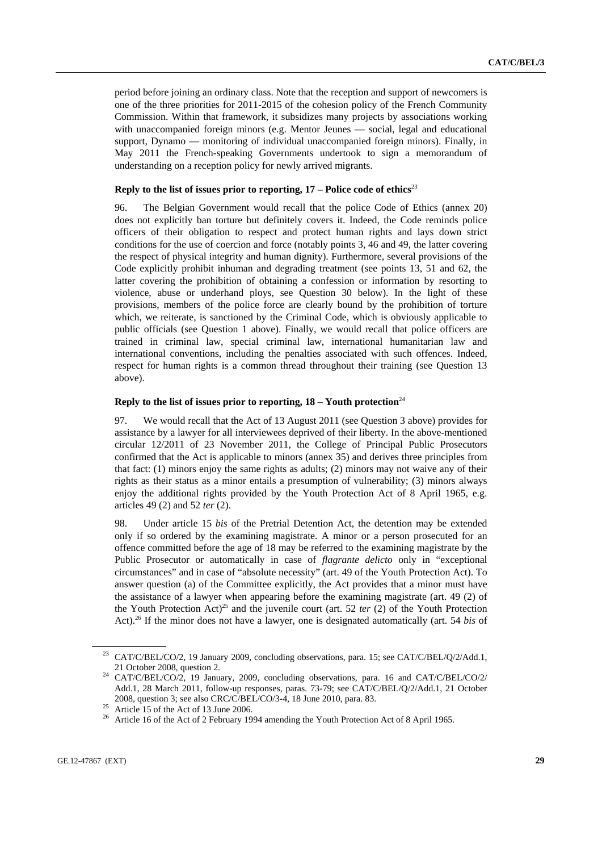period before joining an ordinary class. Note that the reception and support of newcomers is one of the three priorities for 2011-2015 of the cohesion policy of the French Community Commission. Within that framework, it subsidizes many projects by associations working with unaccompanied foreign minors (e.g. Mentor Jeunes — social, legal and educational support, Dynamo — monitoring of individual unaccompanied foreign minors). Finally, in May 2011 the French-speaking Governments undertook to sign a memorandum of understanding on a reception policy for newly arrived migrants.

#### **Reply to the list of issues prior to reporting, 17 – Police code of ethics**<sup>23</sup>

96. The Belgian Government would recall that the police Code of Ethics (annex 20) does not explicitly ban torture but definitely covers it. Indeed, the Code reminds police officers of their obligation to respect and protect human rights and lays down strict conditions for the use of coercion and force (notably points 3, 46 and 49, the latter covering the respect of physical integrity and human dignity). Furthermore, several provisions of the Code explicitly prohibit inhuman and degrading treatment (see points 13, 51 and 62, the latter covering the prohibition of obtaining a confession or information by resorting to violence, abuse or underhand ploys, see Question 30 below). In the light of these provisions, members of the police force are clearly bound by the prohibition of torture which, we reiterate, is sanctioned by the Criminal Code, which is obviously applicable to public officials (see Question 1 above). Finally, we would recall that police officers are trained in criminal law, special criminal law, international humanitarian law and international conventions, including the penalties associated with such offences. Indeed, respect for human rights is a common thread throughout their training (see Question 13 above).

#### **Reply to the list of issues prior to reporting,**  $18 -$  **Youth protection**<sup>24</sup>

97. We would recall that the Act of 13 August 2011 (see Question 3 above) provides for assistance by a lawyer for all interviewees deprived of their liberty. In the above-mentioned circular 12/2011 of 23 November 2011, the College of Principal Public Prosecutors confirmed that the Act is applicable to minors (annex 35) and derives three principles from that fact: (1) minors enjoy the same rights as adults; (2) minors may not waive any of their rights as their status as a minor entails a presumption of vulnerability; (3) minors always enjoy the additional rights provided by the Youth Protection Act of 8 April 1965, e.g. articles 49 (2) and 52 *ter* (2).

98. Under article 15 *bis* of the Pretrial Detention Act, the detention may be extended only if so ordered by the examining magistrate. A minor or a person prosecuted for an offence committed before the age of 18 may be referred to the examining magistrate by the Public Prosecutor or automatically in case of *flagrante delicto* only in "exceptional circumstances" and in case of "absolute necessity" (art. 49 of the Youth Protection Act). To answer question (a) of the Committee explicitly, the Act provides that a minor must have the assistance of a lawyer when appearing before the examining magistrate (art. 49 (2) of the Youth Protection Act)<sup>25</sup> and the juvenile court (art. 52 *ter* (2) of the Youth Protection Act).26 If the minor does not have a lawyer, one is designated automatically (art. 54 *bis* of

<sup>&</sup>lt;sup>23</sup> CAT/C/BEL/CO/2, 19 January 2009, concluding observations, para. 15; see CAT/C/BEL/Q/2/Add.1,

<sup>21</sup> October 2008, question 2. 24 CAT/C/BEL/CO/2, 19 January, 2009, concluding observations, para. 16 and CAT/C/BEL/CO/2/ Add.1, 28 March 2011, follow-up responses, paras. 73-79; see CAT/C/BEL/Q/2/Add.1, 21 October 2008, question 3; see also CRC/C/BEL/CO/3-4, 18 June 2010, para. 83. 25 Article 15 of the Act of 13 June 2006.

<sup>26</sup> Article 16 of the Act of 2 February 1994 amending the Youth Protection Act of 8 April 1965.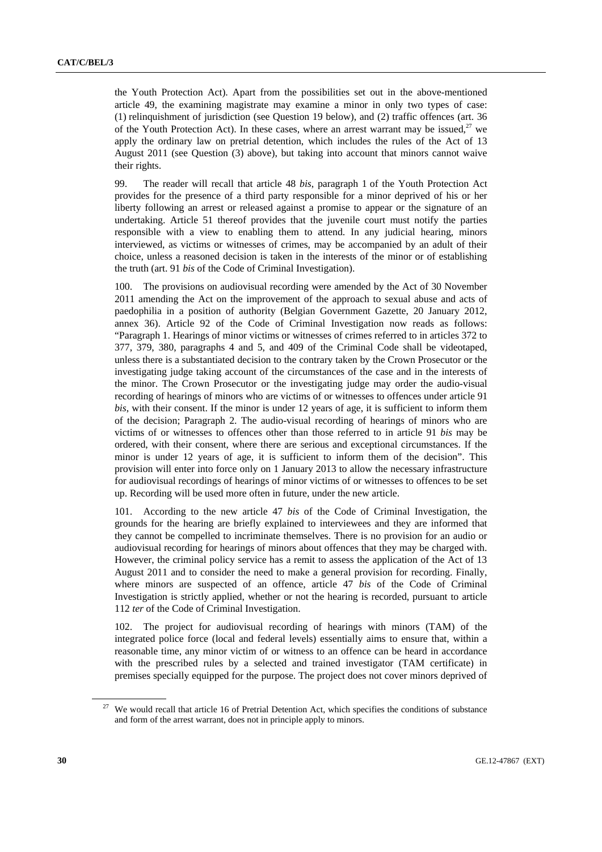the Youth Protection Act). Apart from the possibilities set out in the above-mentioned article 49, the examining magistrate may examine a minor in only two types of case: (1) relinquishment of jurisdiction (see Question 19 below), and (2) traffic offences (art. 36 of the Youth Protection Act). In these cases, where an arrest warrant may be issued,  $27$  we apply the ordinary law on pretrial detention, which includes the rules of the Act of 13 August 2011 (see Question (3) above), but taking into account that minors cannot waive their rights.

99. The reader will recall that article 48 *bis*, paragraph 1 of the Youth Protection Act provides for the presence of a third party responsible for a minor deprived of his or her liberty following an arrest or released against a promise to appear or the signature of an undertaking. Article 51 thereof provides that the juvenile court must notify the parties responsible with a view to enabling them to attend. In any judicial hearing, minors interviewed, as victims or witnesses of crimes, may be accompanied by an adult of their choice, unless a reasoned decision is taken in the interests of the minor or of establishing the truth (art. 91 *bis* of the Code of Criminal Investigation).

100. The provisions on audiovisual recording were amended by the Act of 30 November 2011 amending the Act on the improvement of the approach to sexual abuse and acts of paedophilia in a position of authority (Belgian Government Gazette, 20 January 2012, annex 36). Article 92 of the Code of Criminal Investigation now reads as follows: "Paragraph 1. Hearings of minor victims or witnesses of crimes referred to in articles 372 to 377, 379, 380, paragraphs 4 and 5, and 409 of the Criminal Code shall be videotaped, unless there is a substantiated decision to the contrary taken by the Crown Prosecutor or the investigating judge taking account of the circumstances of the case and in the interests of the minor. The Crown Prosecutor or the investigating judge may order the audio-visual recording of hearings of minors who are victims of or witnesses to offences under article 91 *bis*, with their consent. If the minor is under 12 years of age, it is sufficient to inform them of the decision; Paragraph 2. The audio-visual recording of hearings of minors who are victims of or witnesses to offences other than those referred to in article 91 *bis* may be ordered, with their consent, where there are serious and exceptional circumstances. If the minor is under 12 years of age, it is sufficient to inform them of the decision". This provision will enter into force only on 1 January 2013 to allow the necessary infrastructure for audiovisual recordings of hearings of minor victims of or witnesses to offences to be set up. Recording will be used more often in future, under the new article.

101. According to the new article 47 *bis* of the Code of Criminal Investigation, the grounds for the hearing are briefly explained to interviewees and they are informed that they cannot be compelled to incriminate themselves. There is no provision for an audio or audiovisual recording for hearings of minors about offences that they may be charged with. However, the criminal policy service has a remit to assess the application of the Act of 13 August 2011 and to consider the need to make a general provision for recording. Finally, where minors are suspected of an offence, article 47 *bis* of the Code of Criminal Investigation is strictly applied, whether or not the hearing is recorded, pursuant to article 112 *ter* of the Code of Criminal Investigation.

102. The project for audiovisual recording of hearings with minors (TAM) of the integrated police force (local and federal levels) essentially aims to ensure that, within a reasonable time, any minor victim of or witness to an offence can be heard in accordance with the prescribed rules by a selected and trained investigator (TAM certificate) in premises specially equipped for the purpose. The project does not cover minors deprived of

<sup>&</sup>lt;sup>27</sup> We would recall that article 16 of Pretrial Detention Act, which specifies the conditions of substance and form of the arrest warrant, does not in principle apply to minors.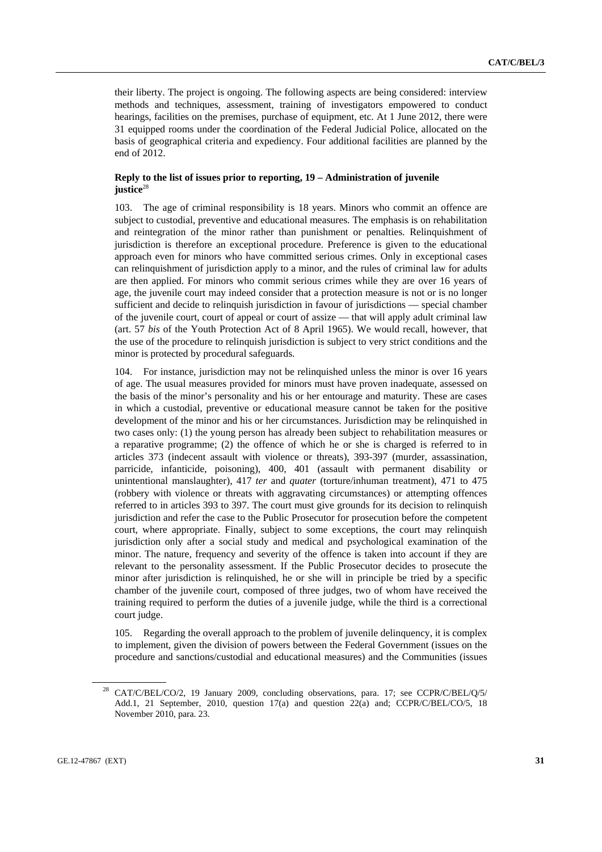their liberty. The project is ongoing. The following aspects are being considered: interview methods and techniques, assessment, training of investigators empowered to conduct hearings, facilities on the premises, purchase of equipment, etc. At 1 June 2012, there were 31 equipped rooms under the coordination of the Federal Judicial Police, allocated on the basis of geographical criteria and expediency. Four additional facilities are planned by the end of 2012.

### **Reply to the list of issues prior to reporting, 19 – Administration of juvenile**  iustice<sup>28</sup>

103. The age of criminal responsibility is 18 years. Minors who commit an offence are subject to custodial, preventive and educational measures. The emphasis is on rehabilitation and reintegration of the minor rather than punishment or penalties. Relinquishment of jurisdiction is therefore an exceptional procedure. Preference is given to the educational approach even for minors who have committed serious crimes. Only in exceptional cases can relinquishment of jurisdiction apply to a minor, and the rules of criminal law for adults are then applied. For minors who commit serious crimes while they are over 16 years of age, the juvenile court may indeed consider that a protection measure is not or is no longer sufficient and decide to relinquish jurisdiction in favour of jurisdictions — special chamber of the juvenile court, court of appeal or court of assize — that will apply adult criminal law (art. 57 *bis* of the Youth Protection Act of 8 April 1965). We would recall, however, that the use of the procedure to relinquish jurisdiction is subject to very strict conditions and the minor is protected by procedural safeguards.

104. For instance, jurisdiction may not be relinquished unless the minor is over 16 years of age. The usual measures provided for minors must have proven inadequate, assessed on the basis of the minor's personality and his or her entourage and maturity. These are cases in which a custodial, preventive or educational measure cannot be taken for the positive development of the minor and his or her circumstances. Jurisdiction may be relinquished in two cases only: (1) the young person has already been subject to rehabilitation measures or a reparative programme; (2) the offence of which he or she is charged is referred to in articles 373 (indecent assault with violence or threats), 393-397 (murder, assassination, parricide, infanticide, poisoning), 400, 401 (assault with permanent disability or unintentional manslaughter), 417 *ter* and *quater* (torture/inhuman treatment), 471 to 475 (robbery with violence or threats with aggravating circumstances) or attempting offences referred to in articles 393 to 397. The court must give grounds for its decision to relinquish jurisdiction and refer the case to the Public Prosecutor for prosecution before the competent court, where appropriate. Finally, subject to some exceptions, the court may relinquish jurisdiction only after a social study and medical and psychological examination of the minor. The nature, frequency and severity of the offence is taken into account if they are relevant to the personality assessment. If the Public Prosecutor decides to prosecute the minor after jurisdiction is relinquished, he or she will in principle be tried by a specific chamber of the juvenile court, composed of three judges, two of whom have received the training required to perform the duties of a juvenile judge, while the third is a correctional court judge.

105. Regarding the overall approach to the problem of juvenile delinquency, it is complex to implement, given the division of powers between the Federal Government (issues on the procedure and sanctions/custodial and educational measures) and the Communities (issues

<sup>28</sup> CAT/C/BEL/CO/2, 19 January 2009, concluding observations, para. 17; see CCPR/C/BEL/Q/5/ Add.1, 21 September, 2010, question 17(a) and question 22(a) and; CCPR/C/BEL/CO/5, 18 November 2010, para. 23.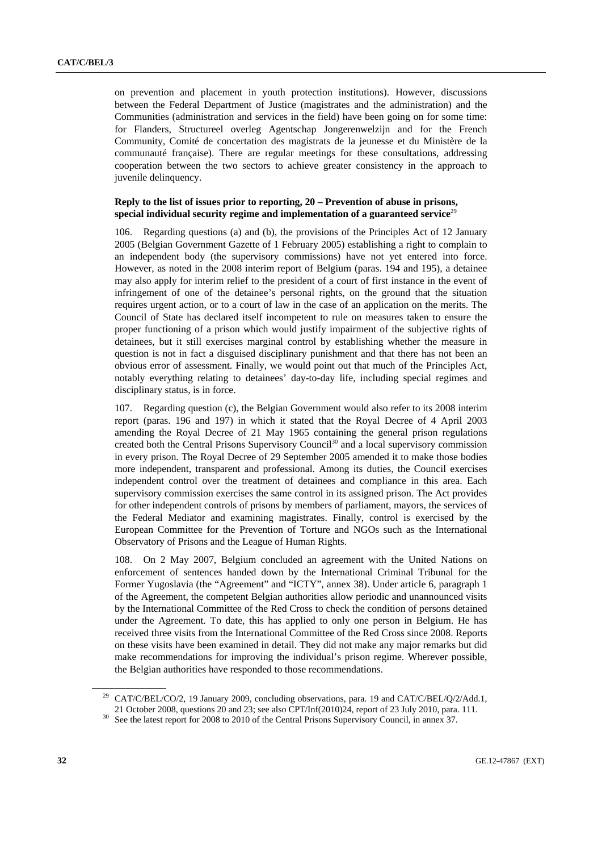on prevention and placement in youth protection institutions). However, discussions between the Federal Department of Justice (magistrates and the administration) and the Communities (administration and services in the field) have been going on for some time: for Flanders, Structureel overleg Agentschap Jongerenwelzijn and for the French Community, Comité de concertation des magistrats de la jeunesse et du Ministère de la communauté française). There are regular meetings for these consultations, addressing cooperation between the two sectors to achieve greater consistency in the approach to juvenile delinquency.

### **Reply to the list of issues prior to reporting, 20 – Prevention of abuse in prisons, special individual security regime and implementation of a guaranteed service**<sup>29</sup>

106. Regarding questions (a) and (b), the provisions of the Principles Act of 12 January 2005 (Belgian Government Gazette of 1 February 2005) establishing a right to complain to an independent body (the supervisory commissions) have not yet entered into force. However, as noted in the 2008 interim report of Belgium (paras. 194 and 195), a detainee may also apply for interim relief to the president of a court of first instance in the event of infringement of one of the detainee's personal rights, on the ground that the situation requires urgent action, or to a court of law in the case of an application on the merits. The Council of State has declared itself incompetent to rule on measures taken to ensure the proper functioning of a prison which would justify impairment of the subjective rights of detainees, but it still exercises marginal control by establishing whether the measure in question is not in fact a disguised disciplinary punishment and that there has not been an obvious error of assessment. Finally, we would point out that much of the Principles Act, notably everything relating to detainees' day-to-day life, including special regimes and disciplinary status, is in force.

107. Regarding question (c), the Belgian Government would also refer to its 2008 interim report (paras. 196 and 197) in which it stated that the Royal Decree of 4 April 2003 amending the Royal Decree of 21 May 1965 containing the general prison regulations created both the Central Prisons Supervisory Council<sup>30</sup> and a local supervisory commission in every prison. The Royal Decree of 29 September 2005 amended it to make those bodies more independent, transparent and professional. Among its duties, the Council exercises independent control over the treatment of detainees and compliance in this area. Each supervisory commission exercises the same control in its assigned prison. The Act provides for other independent controls of prisons by members of parliament, mayors, the services of the Federal Mediator and examining magistrates. Finally, control is exercised by the European Committee for the Prevention of Torture and NGOs such as the International Observatory of Prisons and the League of Human Rights.

108. On 2 May 2007, Belgium concluded an agreement with the United Nations on enforcement of sentences handed down by the International Criminal Tribunal for the Former Yugoslavia (the "Agreement" and "ICTY", annex 38). Under article 6, paragraph 1 of the Agreement, the competent Belgian authorities allow periodic and unannounced visits by the International Committee of the Red Cross to check the condition of persons detained under the Agreement. To date, this has applied to only one person in Belgium. He has received three visits from the International Committee of the Red Cross since 2008. Reports on these visits have been examined in detail. They did not make any major remarks but did make recommendations for improving the individual's prison regime. Wherever possible, the Belgian authorities have responded to those recommendations.

<sup>&</sup>lt;sup>29</sup> CAT/C/BEL/CO/2, 19 January 2009, concluding observations, para. 19 and CAT/C/BEL/Q/2/Add.1,

<sup>21</sup> October 2008, questions 20 and 23; see also CPT/Inf(2010)24, report of 23 July 2010, para. 111. 30 See the latest report for 2008 to 2010 of the Central Prisons Supervisory Council, in annex 37.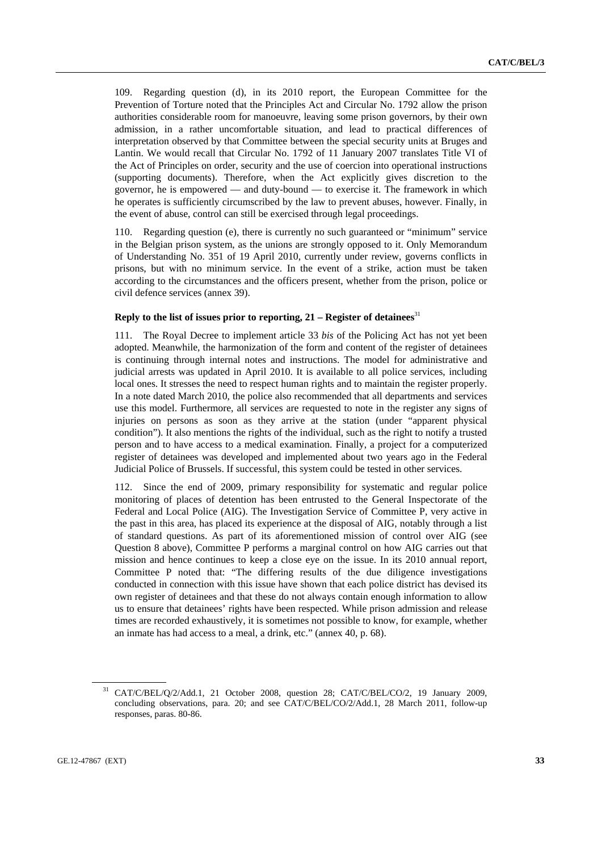109. Regarding question (d), in its 2010 report, the European Committee for the Prevention of Torture noted that the Principles Act and Circular No. 1792 allow the prison authorities considerable room for manoeuvre, leaving some prison governors, by their own admission, in a rather uncomfortable situation, and lead to practical differences of interpretation observed by that Committee between the special security units at Bruges and Lantin. We would recall that Circular No. 1792 of 11 January 2007 translates Title VI of the Act of Principles on order, security and the use of coercion into operational instructions (supporting documents). Therefore, when the Act explicitly gives discretion to the governor, he is empowered — and duty-bound — to exercise it. The framework in which he operates is sufficiently circumscribed by the law to prevent abuses, however. Finally, in the event of abuse, control can still be exercised through legal proceedings.

110. Regarding question (e), there is currently no such guaranteed or "minimum" service in the Belgian prison system, as the unions are strongly opposed to it. Only Memorandum of Understanding No. 351 of 19 April 2010, currently under review, governs conflicts in prisons, but with no minimum service. In the event of a strike, action must be taken according to the circumstances and the officers present, whether from the prison, police or civil defence services (annex 39).

### **Reply to the list of issues prior to reporting, 21 – Register of detainees**<sup>31</sup>

111. The Royal Decree to implement article 33 *bis* of the Policing Act has not yet been adopted. Meanwhile, the harmonization of the form and content of the register of detainees is continuing through internal notes and instructions. The model for administrative and judicial arrests was updated in April 2010. It is available to all police services, including local ones. It stresses the need to respect human rights and to maintain the register properly. In a note dated March 2010, the police also recommended that all departments and services use this model. Furthermore, all services are requested to note in the register any signs of injuries on persons as soon as they arrive at the station (under "apparent physical condition"). It also mentions the rights of the individual, such as the right to notify a trusted person and to have access to a medical examination. Finally, a project for a computerized register of detainees was developed and implemented about two years ago in the Federal Judicial Police of Brussels. If successful, this system could be tested in other services.

112. Since the end of 2009, primary responsibility for systematic and regular police monitoring of places of detention has been entrusted to the General Inspectorate of the Federal and Local Police (AIG). The Investigation Service of Committee P, very active in the past in this area, has placed its experience at the disposal of AIG, notably through a list of standard questions. As part of its aforementioned mission of control over AIG (see Question 8 above), Committee P performs a marginal control on how AIG carries out that mission and hence continues to keep a close eye on the issue. In its 2010 annual report, Committee P noted that: "The differing results of the due diligence investigations conducted in connection with this issue have shown that each police district has devised its own register of detainees and that these do not always contain enough information to allow us to ensure that detainees' rights have been respected. While prison admission and release times are recorded exhaustively, it is sometimes not possible to know, for example, whether an inmate has had access to a meal, a drink, etc." (annex 40, p. 68).

<sup>31</sup> CAT/C/BEL/Q/2/Add.1, 21 October 2008, question 28; CAT/C/BEL/CO/2, 19 January 2009, concluding observations, para. 20; and see CAT/C/BEL/CO/2/Add.1, 28 March 2011, follow-up responses, paras. 80-86.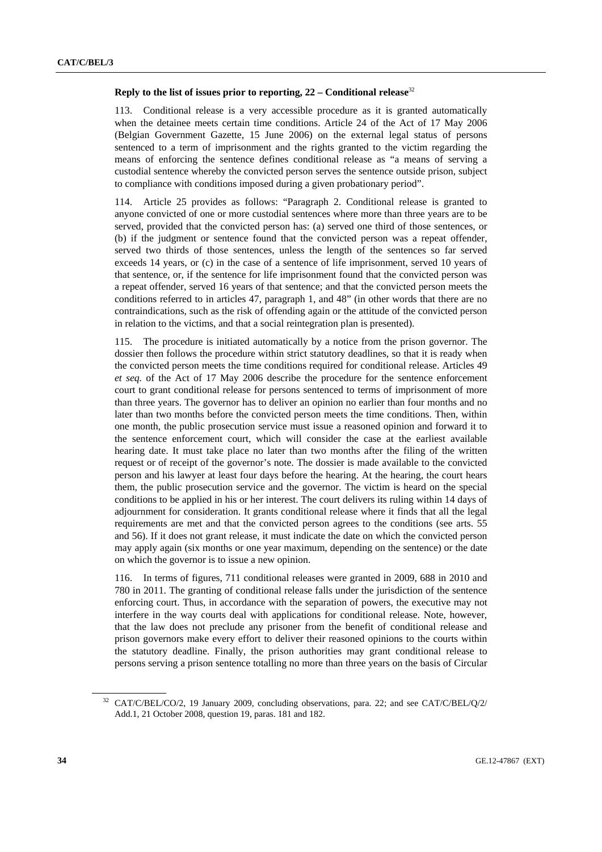#### **Reply to the list of issues prior to reporting, 22 – Conditional release**<sup>32</sup>

113. Conditional release is a very accessible procedure as it is granted automatically when the detainee meets certain time conditions. Article 24 of the Act of 17 May 2006 (Belgian Government Gazette, 15 June 2006) on the external legal status of persons sentenced to a term of imprisonment and the rights granted to the victim regarding the means of enforcing the sentence defines conditional release as "a means of serving a custodial sentence whereby the convicted person serves the sentence outside prison, subject to compliance with conditions imposed during a given probationary period".

Article 25 provides as follows: "Paragraph 2. Conditional release is granted to anyone convicted of one or more custodial sentences where more than three years are to be served, provided that the convicted person has: (a) served one third of those sentences, or (b) if the judgment or sentence found that the convicted person was a repeat offender, served two thirds of those sentences, unless the length of the sentences so far served exceeds 14 years, or (c) in the case of a sentence of life imprisonment, served 10 years of that sentence, or, if the sentence for life imprisonment found that the convicted person was a repeat offender, served 16 years of that sentence; and that the convicted person meets the conditions referred to in articles 47, paragraph 1, and 48" (in other words that there are no contraindications, such as the risk of offending again or the attitude of the convicted person in relation to the victims, and that a social reintegration plan is presented).

115. The procedure is initiated automatically by a notice from the prison governor. The dossier then follows the procedure within strict statutory deadlines, so that it is ready when the convicted person meets the time conditions required for conditional release. Articles 49 *et seq.* of the Act of 17 May 2006 describe the procedure for the sentence enforcement court to grant conditional release for persons sentenced to terms of imprisonment of more than three years. The governor has to deliver an opinion no earlier than four months and no later than two months before the convicted person meets the time conditions. Then, within one month, the public prosecution service must issue a reasoned opinion and forward it to the sentence enforcement court, which will consider the case at the earliest available hearing date. It must take place no later than two months after the filing of the written request or of receipt of the governor's note. The dossier is made available to the convicted person and his lawyer at least four days before the hearing. At the hearing, the court hears them, the public prosecution service and the governor. The victim is heard on the special conditions to be applied in his or her interest. The court delivers its ruling within 14 days of adjournment for consideration. It grants conditional release where it finds that all the legal requirements are met and that the convicted person agrees to the conditions (see arts. 55 and 56). If it does not grant release, it must indicate the date on which the convicted person may apply again (six months or one year maximum, depending on the sentence) or the date on which the governor is to issue a new opinion.

116. In terms of figures, 711 conditional releases were granted in 2009, 688 in 2010 and 780 in 2011. The granting of conditional release falls under the jurisdiction of the sentence enforcing court. Thus, in accordance with the separation of powers, the executive may not interfere in the way courts deal with applications for conditional release. Note, however, that the law does not preclude any prisoner from the benefit of conditional release and prison governors make every effort to deliver their reasoned opinions to the courts within the statutory deadline. Finally, the prison authorities may grant conditional release to persons serving a prison sentence totalling no more than three years on the basis of Circular

<sup>32</sup> CAT/C/BEL/CO/2, 19 January 2009, concluding observations, para. 22; and see CAT/C/BEL/Q/2/ Add.1, 21 October 2008, question 19, paras. 181 and 182.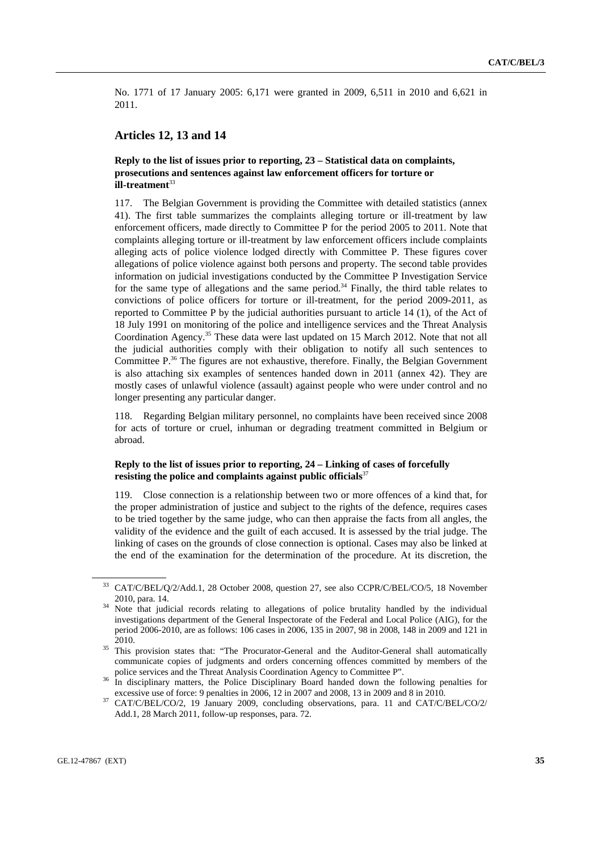No. 1771 of 17 January 2005: 6,171 were granted in 2009, 6,511 in 2010 and 6,621 in 2011.

### **Articles 12, 13 and 14**

### **Reply to the list of issues prior to reporting, 23 – Statistical data on complaints, prosecutions and sentences against law enforcement officers for torture or ill-treatment**<sup>33</sup>

117. The Belgian Government is providing the Committee with detailed statistics (annex 41). The first table summarizes the complaints alleging torture or ill-treatment by law enforcement officers, made directly to Committee P for the period 2005 to 2011. Note that complaints alleging torture or ill-treatment by law enforcement officers include complaints alleging acts of police violence lodged directly with Committee P. These figures cover allegations of police violence against both persons and property. The second table provides information on judicial investigations conducted by the Committee P Investigation Service for the same type of allegations and the same period.<sup>34</sup> Finally, the third table relates to convictions of police officers for torture or ill-treatment, for the period 2009-2011, as reported to Committee P by the judicial authorities pursuant to article 14 (1), of the Act of 18 July 1991 on monitoring of the police and intelligence services and the Threat Analysis Coordination Agency.35 These data were last updated on 15 March 2012. Note that not all the judicial authorities comply with their obligation to notify all such sentences to Committee  $P^{36}$  The figures are not exhaustive, therefore. Finally, the Belgian Government is also attaching six examples of sentences handed down in 2011 (annex 42). They are mostly cases of unlawful violence (assault) against people who were under control and no longer presenting any particular danger.

118. Regarding Belgian military personnel, no complaints have been received since 2008 for acts of torture or cruel, inhuman or degrading treatment committed in Belgium or abroad.

### **Reply to the list of issues prior to reporting, 24 – Linking of cases of forcefully resisting the police and complaints against public officials**<sup>37</sup>

119. Close connection is a relationship between two or more offences of a kind that, for the proper administration of justice and subject to the rights of the defence, requires cases to be tried together by the same judge, who can then appraise the facts from all angles, the validity of the evidence and the guilt of each accused. It is assessed by the trial judge. The linking of cases on the grounds of close connection is optional. Cases may also be linked at the end of the examination for the determination of the procedure. At its discretion, the

<sup>33</sup> CAT/C/BEL/Q/2/Add.1, 28 October 2008, question 27, see also CCPR/C/BEL/CO/5, 18 November

<sup>2010,</sup> para. 14.<br><sup>34</sup> Note that judicial records relating to allegations of police brutality handled by the individual investigations department of the General Inspectorate of the Federal and Local Police (AIG), for the period 2006-2010, are as follows: 106 cases in 2006, 135 in 2007, 98 in 2008, 148 in 2009 and 121 in

<sup>2010. 35</sup> This provision states that: "The Procurator-General and the Auditor-General shall automatically communicate copies of judgments and orders concerning offences committed by members of the

police services and the Threat Analysis Coordination Agency to Committee P". 36 In disciplinary matters, the Police Disciplinary Board handed down the following penalties for

excessive use of force: 9 penalties in 2006, 12 in 2007 and 2008, 13 in 2009 and 8 in 2010. 37 CAT/C/BEL/CO/2, 19 January 2009, concluding observations, para. 11 and CAT/C/BEL/CO/2/ Add.1, 28 March 2011, follow-up responses, para. 72.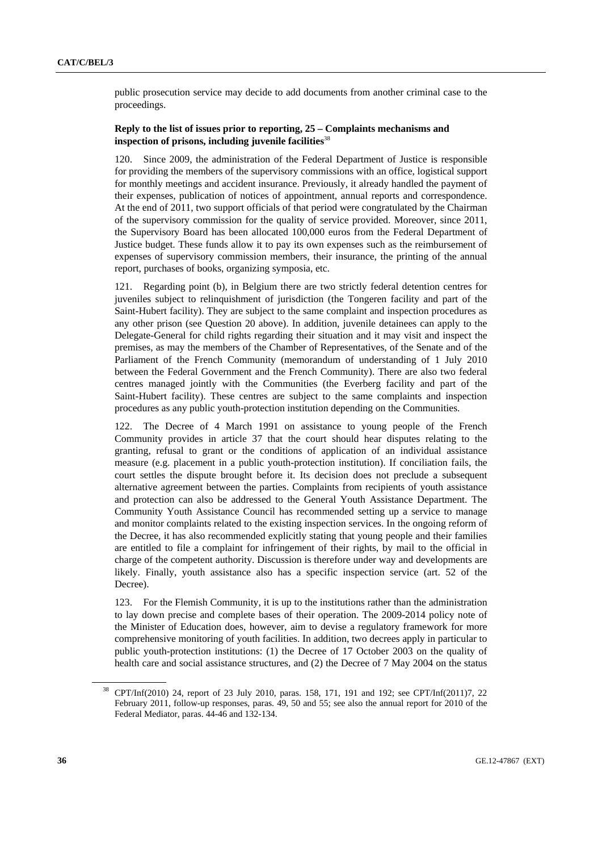public prosecution service may decide to add documents from another criminal case to the proceedings.

### **Reply to the list of issues prior to reporting, 25 – Complaints mechanisms and inspection of prisons, including juvenile facilities**<sup>38</sup>

120. Since 2009, the administration of the Federal Department of Justice is responsible for providing the members of the supervisory commissions with an office, logistical support for monthly meetings and accident insurance. Previously, it already handled the payment of their expenses, publication of notices of appointment, annual reports and correspondence. At the end of 2011, two support officials of that period were congratulated by the Chairman of the supervisory commission for the quality of service provided. Moreover, since 2011, the Supervisory Board has been allocated 100,000 euros from the Federal Department of Justice budget. These funds allow it to pay its own expenses such as the reimbursement of expenses of supervisory commission members, their insurance, the printing of the annual report, purchases of books, organizing symposia, etc.

121. Regarding point (b), in Belgium there are two strictly federal detention centres for juveniles subject to relinquishment of jurisdiction (the Tongeren facility and part of the Saint-Hubert facility). They are subject to the same complaint and inspection procedures as any other prison (see Question 20 above). In addition, juvenile detainees can apply to the Delegate-General for child rights regarding their situation and it may visit and inspect the premises, as may the members of the Chamber of Representatives, of the Senate and of the Parliament of the French Community (memorandum of understanding of 1 July 2010 between the Federal Government and the French Community). There are also two federal centres managed jointly with the Communities (the Everberg facility and part of the Saint-Hubert facility). These centres are subject to the same complaints and inspection procedures as any public youth-protection institution depending on the Communities.

122. The Decree of 4 March 1991 on assistance to young people of the French Community provides in article 37 that the court should hear disputes relating to the granting, refusal to grant or the conditions of application of an individual assistance measure (e.g. placement in a public youth-protection institution). If conciliation fails, the court settles the dispute brought before it. Its decision does not preclude a subsequent alternative agreement between the parties. Complaints from recipients of youth assistance and protection can also be addressed to the General Youth Assistance Department. The Community Youth Assistance Council has recommended setting up a service to manage and monitor complaints related to the existing inspection services. In the ongoing reform of the Decree, it has also recommended explicitly stating that young people and their families are entitled to file a complaint for infringement of their rights, by mail to the official in charge of the competent authority. Discussion is therefore under way and developments are likely. Finally, youth assistance also has a specific inspection service (art. 52 of the Decree).

123. For the Flemish Community, it is up to the institutions rather than the administration to lay down precise and complete bases of their operation. The 2009-2014 policy note of the Minister of Education does, however, aim to devise a regulatory framework for more comprehensive monitoring of youth facilities. In addition, two decrees apply in particular to public youth-protection institutions: (1) the Decree of 17 October 2003 on the quality of health care and social assistance structures, and (2) the Decree of 7 May 2004 on the status

<sup>38</sup> CPT/Inf(2010) 24, report of 23 July 2010, paras. 158, 171, 191 and 192; see CPT/Inf(2011)7, 22 February 2011, follow-up responses, paras. 49, 50 and 55; see also the annual report for 2010 of the Federal Mediator, paras. 44-46 and 132-134.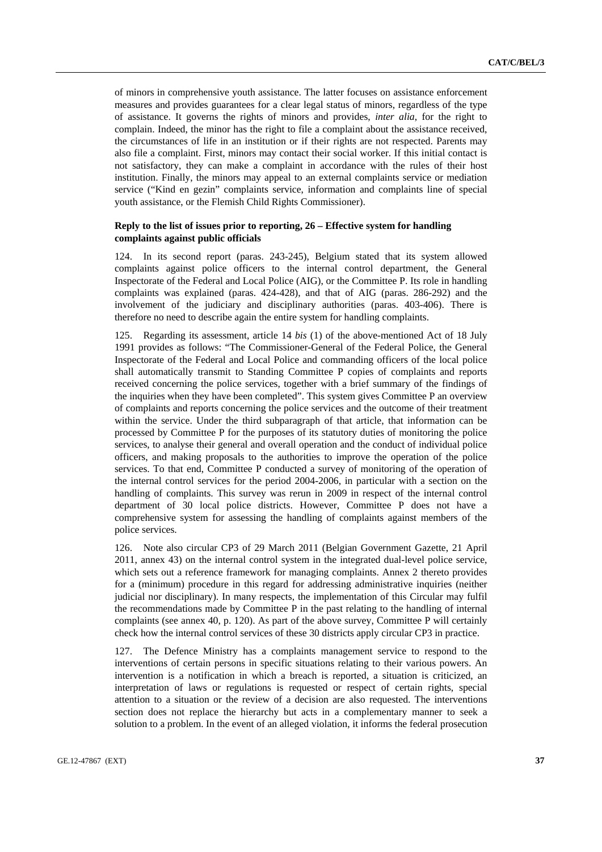of minors in comprehensive youth assistance. The latter focuses on assistance enforcement measures and provides guarantees for a clear legal status of minors, regardless of the type of assistance. It governs the rights of minors and provides, *inter alia*, for the right to complain. Indeed, the minor has the right to file a complaint about the assistance received, the circumstances of life in an institution or if their rights are not respected. Parents may also file a complaint. First, minors may contact their social worker. If this initial contact is not satisfactory, they can make a complaint in accordance with the rules of their host institution. Finally, the minors may appeal to an external complaints service or mediation service ("Kind en gezin" complaints service, information and complaints line of special youth assistance, or the Flemish Child Rights Commissioner).

### **Reply to the list of issues prior to reporting, 26 – Effective system for handling complaints against public officials**

124. In its second report (paras. 243-245), Belgium stated that its system allowed complaints against police officers to the internal control department, the General Inspectorate of the Federal and Local Police (AIG), or the Committee P. Its role in handling complaints was explained (paras. 424-428), and that of AIG (paras. 286-292) and the involvement of the judiciary and disciplinary authorities (paras. 403-406). There is therefore no need to describe again the entire system for handling complaints.

125. Regarding its assessment, article 14 *bis* (1) of the above-mentioned Act of 18 July 1991 provides as follows: "The Commissioner-General of the Federal Police, the General Inspectorate of the Federal and Local Police and commanding officers of the local police shall automatically transmit to Standing Committee P copies of complaints and reports received concerning the police services, together with a brief summary of the findings of the inquiries when they have been completed". This system gives Committee P an overview of complaints and reports concerning the police services and the outcome of their treatment within the service. Under the third subparagraph of that article, that information can be processed by Committee P for the purposes of its statutory duties of monitoring the police services, to analyse their general and overall operation and the conduct of individual police officers, and making proposals to the authorities to improve the operation of the police services. To that end, Committee P conducted a survey of monitoring of the operation of the internal control services for the period 2004-2006, in particular with a section on the handling of complaints. This survey was rerun in 2009 in respect of the internal control department of 30 local police districts. However, Committee P does not have a comprehensive system for assessing the handling of complaints against members of the police services.

126. Note also circular CP3 of 29 March 2011 (Belgian Government Gazette, 21 April 2011, annex 43) on the internal control system in the integrated dual-level police service, which sets out a reference framework for managing complaints. Annex 2 thereto provides for a (minimum) procedure in this regard for addressing administrative inquiries (neither judicial nor disciplinary). In many respects, the implementation of this Circular may fulfil the recommendations made by Committee P in the past relating to the handling of internal complaints (see annex 40, p. 120). As part of the above survey, Committee P will certainly check how the internal control services of these 30 districts apply circular CP3 in practice.

127. The Defence Ministry has a complaints management service to respond to the interventions of certain persons in specific situations relating to their various powers. An intervention is a notification in which a breach is reported, a situation is criticized, an interpretation of laws or regulations is requested or respect of certain rights, special attention to a situation or the review of a decision are also requested. The interventions section does not replace the hierarchy but acts in a complementary manner to seek a solution to a problem. In the event of an alleged violation, it informs the federal prosecution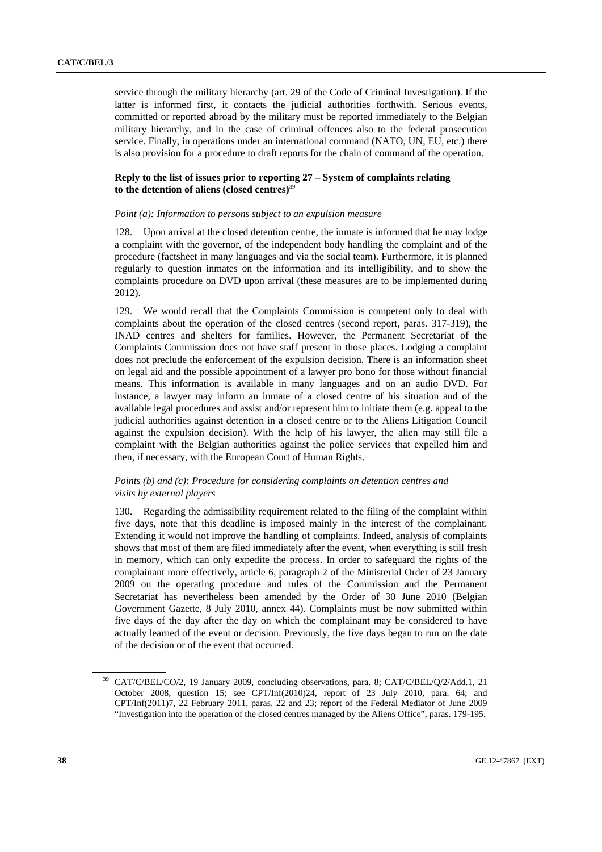service through the military hierarchy (art. 29 of the Code of Criminal Investigation). If the latter is informed first, it contacts the judicial authorities forthwith. Serious events, committed or reported abroad by the military must be reported immediately to the Belgian military hierarchy, and in the case of criminal offences also to the federal prosecution service. Finally, in operations under an international command (NATO, UN, EU, etc.) there is also provision for a procedure to draft reports for the chain of command of the operation.

### **Reply to the list of issues prior to reporting 27 – System of complaints relating to the detention of aliens (closed centres)**<sup>39</sup>

#### *Point (a): Information to persons subject to an expulsion measure*

128. Upon arrival at the closed detention centre, the inmate is informed that he may lodge a complaint with the governor, of the independent body handling the complaint and of the procedure (factsheet in many languages and via the social team). Furthermore, it is planned regularly to question inmates on the information and its intelligibility, and to show the complaints procedure on DVD upon arrival (these measures are to be implemented during 2012).

129. We would recall that the Complaints Commission is competent only to deal with complaints about the operation of the closed centres (second report, paras. 317-319), the INAD centres and shelters for families. However, the Permanent Secretariat of the Complaints Commission does not have staff present in those places. Lodging a complaint does not preclude the enforcement of the expulsion decision. There is an information sheet on legal aid and the possible appointment of a lawyer pro bono for those without financial means. This information is available in many languages and on an audio DVD. For instance, a lawyer may inform an inmate of a closed centre of his situation and of the available legal procedures and assist and/or represent him to initiate them (e.g. appeal to the judicial authorities against detention in a closed centre or to the Aliens Litigation Council against the expulsion decision). With the help of his lawyer, the alien may still file a complaint with the Belgian authorities against the police services that expelled him and then, if necessary, with the European Court of Human Rights.

### *Points (b) and (c): Procedure for considering complaints on detention centres and visits by external players*

130. Regarding the admissibility requirement related to the filing of the complaint within five days, note that this deadline is imposed mainly in the interest of the complainant. Extending it would not improve the handling of complaints. Indeed, analysis of complaints shows that most of them are filed immediately after the event, when everything is still fresh in memory, which can only expedite the process. In order to safeguard the rights of the complainant more effectively, article 6, paragraph 2 of the Ministerial Order of 23 January 2009 on the operating procedure and rules of the Commission and the Permanent Secretariat has nevertheless been amended by the Order of 30 June 2010 (Belgian Government Gazette, 8 July 2010, annex 44). Complaints must be now submitted within five days of the day after the day on which the complainant may be considered to have actually learned of the event or decision. Previously, the five days began to run on the date of the decision or of the event that occurred.

<sup>&</sup>lt;sup>39</sup> CAT/C/BEL/CO/2, 19 January 2009, concluding observations, para. 8: CAT/C/BEL/O/2/Add.1, 21 October 2008, question 15; see CPT/Inf(2010)24, report of 23 July 2010, para. 64; and CPT/Inf(2011)7, 22 February 2011, paras. 22 and 23; report of the Federal Mediator of June 2009 "Investigation into the operation of the closed centres managed by the Aliens Office", paras. 179-195.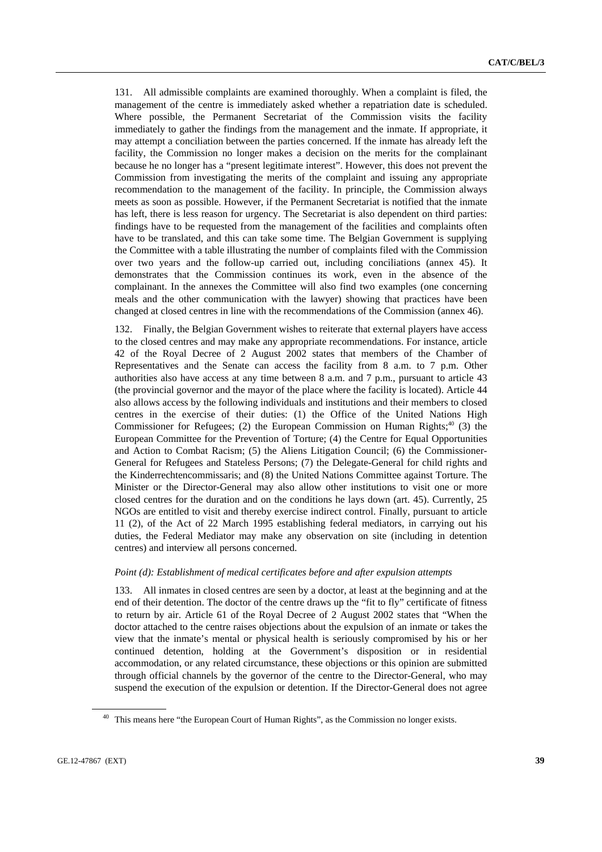131. All admissible complaints are examined thoroughly. When a complaint is filed, the management of the centre is immediately asked whether a repatriation date is scheduled. Where possible, the Permanent Secretariat of the Commission visits the facility immediately to gather the findings from the management and the inmate. If appropriate, it may attempt a conciliation between the parties concerned. If the inmate has already left the facility, the Commission no longer makes a decision on the merits for the complainant because he no longer has a "present legitimate interest". However, this does not prevent the Commission from investigating the merits of the complaint and issuing any appropriate recommendation to the management of the facility. In principle, the Commission always meets as soon as possible. However, if the Permanent Secretariat is notified that the inmate has left, there is less reason for urgency. The Secretariat is also dependent on third parties: findings have to be requested from the management of the facilities and complaints often have to be translated, and this can take some time. The Belgian Government is supplying the Committee with a table illustrating the number of complaints filed with the Commission over two years and the follow-up carried out, including conciliations (annex 45). It demonstrates that the Commission continues its work, even in the absence of the complainant. In the annexes the Committee will also find two examples (one concerning meals and the other communication with the lawyer) showing that practices have been changed at closed centres in line with the recommendations of the Commission (annex 46).

132. Finally, the Belgian Government wishes to reiterate that external players have access to the closed centres and may make any appropriate recommendations. For instance, article 42 of the Royal Decree of 2 August 2002 states that members of the Chamber of Representatives and the Senate can access the facility from 8 a.m. to 7 p.m. Other authorities also have access at any time between 8 a.m. and 7 p.m., pursuant to article 43 (the provincial governor and the mayor of the place where the facility is located). Article 44 also allows access by the following individuals and institutions and their members to closed centres in the exercise of their duties: (1) the Office of the United Nations High Commissioner for Refugees; (2) the European Commission on Human Rights; $40$  (3) the European Committee for the Prevention of Torture; (4) the Centre for Equal Opportunities and Action to Combat Racism; (5) the Aliens Litigation Council; (6) the Commissioner-General for Refugees and Stateless Persons; (7) the Delegate-General for child rights and the Kinderrechtencommissaris; and (8) the United Nations Committee against Torture. The Minister or the Director-General may also allow other institutions to visit one or more closed centres for the duration and on the conditions he lays down (art. 45). Currently, 25 NGOs are entitled to visit and thereby exercise indirect control. Finally, pursuant to article 11 (2), of the Act of 22 March 1995 establishing federal mediators, in carrying out his duties, the Federal Mediator may make any observation on site (including in detention centres) and interview all persons concerned.

#### *Point (d): Establishment of medical certificates before and after expulsion attempts*

133. All inmates in closed centres are seen by a doctor, at least at the beginning and at the end of their detention. The doctor of the centre draws up the "fit to fly" certificate of fitness to return by air. Article 61 of the Royal Decree of 2 August 2002 states that "When the doctor attached to the centre raises objections about the expulsion of an inmate or takes the view that the inmate's mental or physical health is seriously compromised by his or her continued detention, holding at the Government's disposition or in residential accommodation, or any related circumstance, these objections or this opinion are submitted through official channels by the governor of the centre to the Director-General, who may suspend the execution of the expulsion or detention. If the Director-General does not agree

<sup>&</sup>lt;sup>40</sup> This means here "the European Court of Human Rights", as the Commission no longer exists.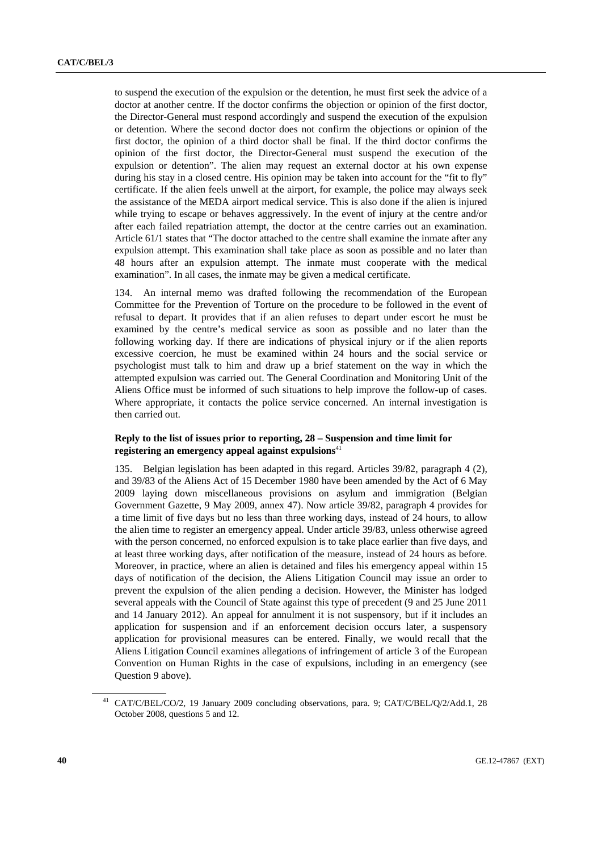to suspend the execution of the expulsion or the detention, he must first seek the advice of a doctor at another centre. If the doctor confirms the objection or opinion of the first doctor, the Director-General must respond accordingly and suspend the execution of the expulsion or detention. Where the second doctor does not confirm the objections or opinion of the first doctor, the opinion of a third doctor shall be final. If the third doctor confirms the opinion of the first doctor, the Director-General must suspend the execution of the expulsion or detention". The alien may request an external doctor at his own expense during his stay in a closed centre. His opinion may be taken into account for the "fit to fly" certificate. If the alien feels unwell at the airport, for example, the police may always seek the assistance of the MEDA airport medical service. This is also done if the alien is injured while trying to escape or behaves aggressively. In the event of injury at the centre and/or after each failed repatriation attempt, the doctor at the centre carries out an examination. Article 61/1 states that "The doctor attached to the centre shall examine the inmate after any expulsion attempt. This examination shall take place as soon as possible and no later than 48 hours after an expulsion attempt. The inmate must cooperate with the medical examination". In all cases, the inmate may be given a medical certificate.

134. An internal memo was drafted following the recommendation of the European Committee for the Prevention of Torture on the procedure to be followed in the event of refusal to depart. It provides that if an alien refuses to depart under escort he must be examined by the centre's medical service as soon as possible and no later than the following working day. If there are indications of physical injury or if the alien reports excessive coercion, he must be examined within 24 hours and the social service or psychologist must talk to him and draw up a brief statement on the way in which the attempted expulsion was carried out. The General Coordination and Monitoring Unit of the Aliens Office must be informed of such situations to help improve the follow-up of cases. Where appropriate, it contacts the police service concerned. An internal investigation is then carried out.

### **Reply to the list of issues prior to reporting, 28 – Suspension and time limit for registering an emergency appeal against expulsions**<sup>41</sup>

135. Belgian legislation has been adapted in this regard. Articles 39/82, paragraph 4 (2), and 39/83 of the Aliens Act of 15 December 1980 have been amended by the Act of 6 May 2009 laying down miscellaneous provisions on asylum and immigration (Belgian Government Gazette, 9 May 2009, annex 47). Now article 39/82, paragraph 4 provides for a time limit of five days but no less than three working days, instead of 24 hours, to allow the alien time to register an emergency appeal. Under article 39/83, unless otherwise agreed with the person concerned, no enforced expulsion is to take place earlier than five days, and at least three working days, after notification of the measure, instead of 24 hours as before. Moreover, in practice, where an alien is detained and files his emergency appeal within 15 days of notification of the decision, the Aliens Litigation Council may issue an order to prevent the expulsion of the alien pending a decision. However, the Minister has lodged several appeals with the Council of State against this type of precedent (9 and 25 June 2011 and 14 January 2012). An appeal for annulment it is not suspensory, but if it includes an application for suspension and if an enforcement decision occurs later, a suspensory application for provisional measures can be entered. Finally, we would recall that the Aliens Litigation Council examines allegations of infringement of article 3 of the European Convention on Human Rights in the case of expulsions, including in an emergency (see Question 9 above).

<sup>41</sup> CAT/C/BEL/CO/2, 19 January 2009 concluding observations, para. 9; CAT/C/BEL/Q/2/Add.1, 28 October 2008, questions 5 and 12.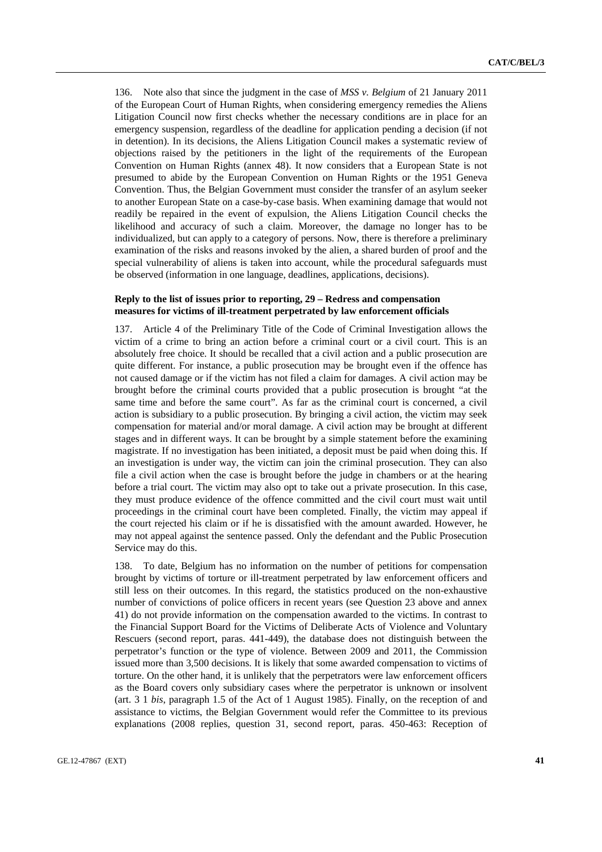136. Note also that since the judgment in the case of *MSS v. Belgium* of 21 January 2011 of the European Court of Human Rights, when considering emergency remedies the Aliens Litigation Council now first checks whether the necessary conditions are in place for an emergency suspension, regardless of the deadline for application pending a decision (if not in detention). In its decisions, the Aliens Litigation Council makes a systematic review of objections raised by the petitioners in the light of the requirements of the European Convention on Human Rights (annex 48). It now considers that a European State is not presumed to abide by the European Convention on Human Rights or the 1951 Geneva Convention. Thus, the Belgian Government must consider the transfer of an asylum seeker to another European State on a case-by-case basis. When examining damage that would not readily be repaired in the event of expulsion, the Aliens Litigation Council checks the likelihood and accuracy of such a claim. Moreover, the damage no longer has to be individualized, but can apply to a category of persons. Now, there is therefore a preliminary examination of the risks and reasons invoked by the alien, a shared burden of proof and the special vulnerability of aliens is taken into account, while the procedural safeguards must be observed (information in one language, deadlines, applications, decisions).

### **Reply to the list of issues prior to reporting, 29 – Redress and compensation measures for victims of ill-treatment perpetrated by law enforcement officials**

137. Article 4 of the Preliminary Title of the Code of Criminal Investigation allows the victim of a crime to bring an action before a criminal court or a civil court. This is an absolutely free choice. It should be recalled that a civil action and a public prosecution are quite different. For instance, a public prosecution may be brought even if the offence has not caused damage or if the victim has not filed a claim for damages. A civil action may be brought before the criminal courts provided that a public prosecution is brought "at the same time and before the same court". As far as the criminal court is concerned, a civil action is subsidiary to a public prosecution. By bringing a civil action, the victim may seek compensation for material and/or moral damage. A civil action may be brought at different stages and in different ways. It can be brought by a simple statement before the examining magistrate. If no investigation has been initiated, a deposit must be paid when doing this. If an investigation is under way, the victim can join the criminal prosecution. They can also file a civil action when the case is brought before the judge in chambers or at the hearing before a trial court. The victim may also opt to take out a private prosecution. In this case, they must produce evidence of the offence committed and the civil court must wait until proceedings in the criminal court have been completed. Finally, the victim may appeal if the court rejected his claim or if he is dissatisfied with the amount awarded. However, he may not appeal against the sentence passed. Only the defendant and the Public Prosecution Service may do this.

138. To date, Belgium has no information on the number of petitions for compensation brought by victims of torture or ill-treatment perpetrated by law enforcement officers and still less on their outcomes. In this regard, the statistics produced on the non-exhaustive number of convictions of police officers in recent years (see Question 23 above and annex 41) do not provide information on the compensation awarded to the victims. In contrast to the Financial Support Board for the Victims of Deliberate Acts of Violence and Voluntary Rescuers (second report, paras. 441-449), the database does not distinguish between the perpetrator's function or the type of violence. Between 2009 and 2011, the Commission issued more than 3,500 decisions. It is likely that some awarded compensation to victims of torture. On the other hand, it is unlikely that the perpetrators were law enforcement officers as the Board covers only subsidiary cases where the perpetrator is unknown or insolvent (art. 3 1 *bis*, paragraph 1.5 of the Act of 1 August 1985). Finally, on the reception of and assistance to victims, the Belgian Government would refer the Committee to its previous explanations (2008 replies, question 31, second report, paras. 450-463: Reception of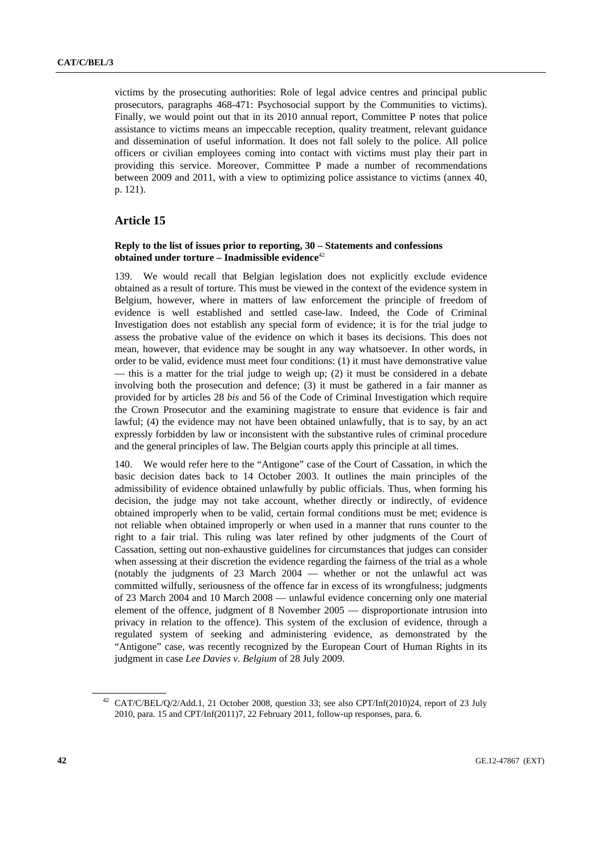victims by the prosecuting authorities: Role of legal advice centres and principal public prosecutors, paragraphs 468-471: Psychosocial support by the Communities to victims). Finally, we would point out that in its 2010 annual report, Committee P notes that police assistance to victims means an impeccable reception, quality treatment, relevant guidance and dissemination of useful information. It does not fall solely to the police. All police officers or civilian employees coming into contact with victims must play their part in providing this service. Moreover, Committee P made a number of recommendations between 2009 and 2011, with a view to optimizing police assistance to victims (annex 40, p. 121).

### **Article 15**

### **Reply to the list of issues prior to reporting, 30 – Statements and confessions obtained under torture – Inadmissible evidence**<sup>42</sup>

139. We would recall that Belgian legislation does not explicitly exclude evidence obtained as a result of torture. This must be viewed in the context of the evidence system in Belgium, however, where in matters of law enforcement the principle of freedom of evidence is well established and settled case-law. Indeed, the Code of Criminal Investigation does not establish any special form of evidence; it is for the trial judge to assess the probative value of the evidence on which it bases its decisions. This does not mean, however, that evidence may be sought in any way whatsoever. In other words, in order to be valid, evidence must meet four conditions: (1) it must have demonstrative value — this is a matter for the trial judge to weigh up; (2) it must be considered in a debate involving both the prosecution and defence; (3) it must be gathered in a fair manner as provided for by articles 28 *bis* and 56 of the Code of Criminal Investigation which require the Crown Prosecutor and the examining magistrate to ensure that evidence is fair and lawful; (4) the evidence may not have been obtained unlawfully, that is to say, by an act expressly forbidden by law or inconsistent with the substantive rules of criminal procedure and the general principles of law. The Belgian courts apply this principle at all times.

140. We would refer here to the "Antigone" case of the Court of Cassation, in which the basic decision dates back to 14 October 2003. It outlines the main principles of the admissibility of evidence obtained unlawfully by public officials. Thus, when forming his decision, the judge may not take account, whether directly or indirectly, of evidence obtained improperly when to be valid, certain formal conditions must be met; evidence is not reliable when obtained improperly or when used in a manner that runs counter to the right to a fair trial. This ruling was later refined by other judgments of the Court of Cassation, setting out non-exhaustive guidelines for circumstances that judges can consider when assessing at their discretion the evidence regarding the fairness of the trial as a whole (notably the judgments of 23 March 2004 — whether or not the unlawful act was committed wilfully, seriousness of the offence far in excess of its wrongfulness; judgments of 23 March 2004 and 10 March 2008 — unlawful evidence concerning only one material element of the offence, judgment of 8 November 2005 — disproportionate intrusion into privacy in relation to the offence). This system of the exclusion of evidence, through a regulated system of seeking and administering evidence, as demonstrated by the "Antigone" case, was recently recognized by the European Court of Human Rights in its judgment in case *Lee Davies v. Belgium* of 28 July 2009.

<sup>42</sup> CAT/C/BEL/Q/2/Add.1, 21 October 2008, question 33; see also CPT/Inf(2010)24, report of 23 July 2010, para. 15 and CPT/Inf(2011)7, 22 February 2011, follow-up responses, para. 6.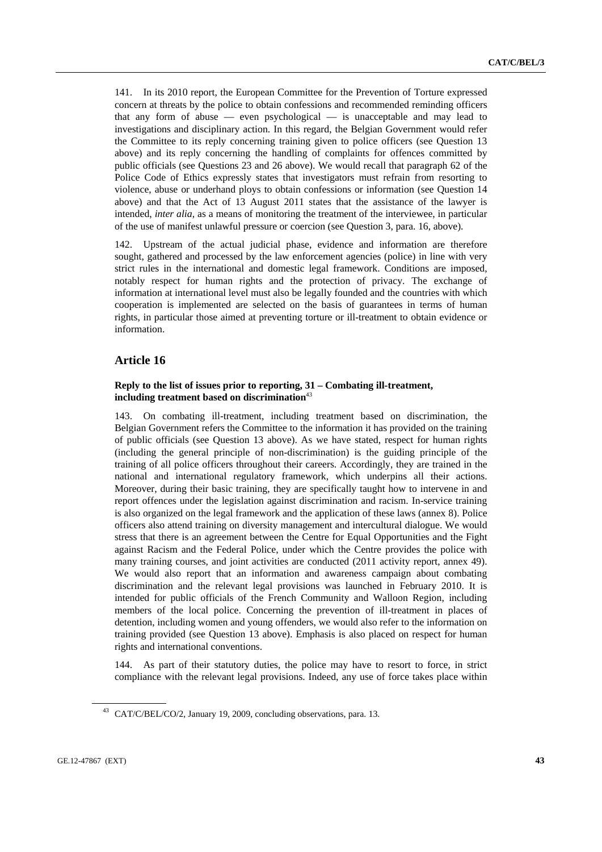141. In its 2010 report, the European Committee for the Prevention of Torture expressed concern at threats by the police to obtain confessions and recommended reminding officers that any form of abuse — even psychological — is unacceptable and may lead to investigations and disciplinary action. In this regard, the Belgian Government would refer the Committee to its reply concerning training given to police officers (see Question 13 above) and its reply concerning the handling of complaints for offences committed by public officials (see Questions 23 and 26 above). We would recall that paragraph 62 of the Police Code of Ethics expressly states that investigators must refrain from resorting to violence, abuse or underhand ploys to obtain confessions or information (see Question 14 above) and that the Act of 13 August 2011 states that the assistance of the lawyer is intended, *inter alia*, as a means of monitoring the treatment of the interviewee, in particular of the use of manifest unlawful pressure or coercion (see Question 3, para. 16, above).

142. Upstream of the actual judicial phase, evidence and information are therefore sought, gathered and processed by the law enforcement agencies (police) in line with very strict rules in the international and domestic legal framework. Conditions are imposed, notably respect for human rights and the protection of privacy. The exchange of information at international level must also be legally founded and the countries with which cooperation is implemented are selected on the basis of guarantees in terms of human rights, in particular those aimed at preventing torture or ill-treatment to obtain evidence or information.

### **Article 16**

### **Reply to the list of issues prior to reporting, 31 – Combating ill-treatment, including treatment based on discrimination**<sup>43</sup>

143. On combating ill-treatment, including treatment based on discrimination, the Belgian Government refers the Committee to the information it has provided on the training of public officials (see Question 13 above). As we have stated, respect for human rights (including the general principle of non-discrimination) is the guiding principle of the training of all police officers throughout their careers. Accordingly, they are trained in the national and international regulatory framework, which underpins all their actions. Moreover, during their basic training, they are specifically taught how to intervene in and report offences under the legislation against discrimination and racism. In-service training is also organized on the legal framework and the application of these laws (annex 8). Police officers also attend training on diversity management and intercultural dialogue. We would stress that there is an agreement between the Centre for Equal Opportunities and the Fight against Racism and the Federal Police, under which the Centre provides the police with many training courses, and joint activities are conducted (2011 activity report, annex 49). We would also report that an information and awareness campaign about combating discrimination and the relevant legal provisions was launched in February 2010. It is intended for public officials of the French Community and Walloon Region, including members of the local police. Concerning the prevention of ill-treatment in places of detention, including women and young offenders, we would also refer to the information on training provided (see Question 13 above). Emphasis is also placed on respect for human rights and international conventions.

144. As part of their statutory duties, the police may have to resort to force, in strict compliance with the relevant legal provisions. Indeed, any use of force takes place within

<sup>43</sup> CAT/C/BEL/CO/2, January 19, 2009, concluding observations, para. 13.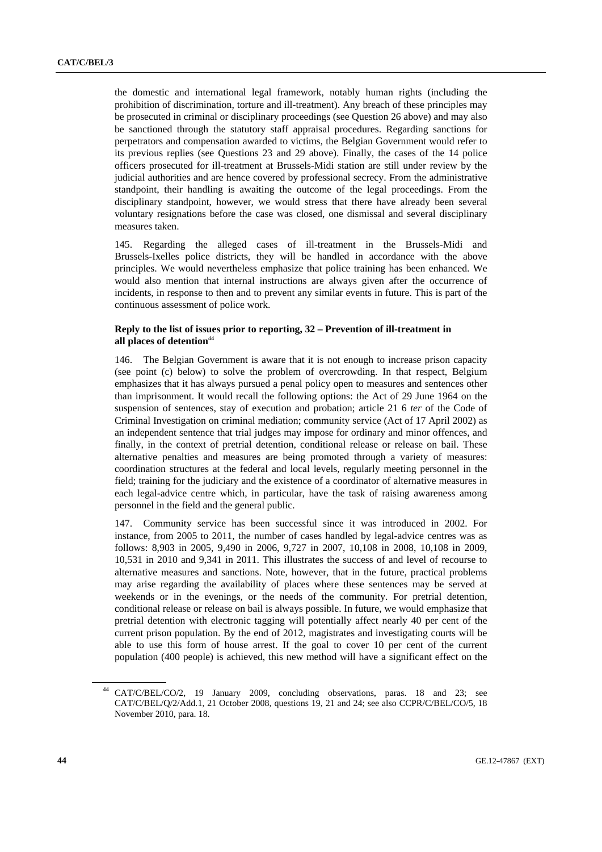the domestic and international legal framework, notably human rights (including the prohibition of discrimination, torture and ill-treatment). Any breach of these principles may be prosecuted in criminal or disciplinary proceedings (see Question 26 above) and may also be sanctioned through the statutory staff appraisal procedures. Regarding sanctions for perpetrators and compensation awarded to victims, the Belgian Government would refer to its previous replies (see Questions 23 and 29 above). Finally, the cases of the 14 police officers prosecuted for ill-treatment at Brussels-Midi station are still under review by the judicial authorities and are hence covered by professional secrecy. From the administrative standpoint, their handling is awaiting the outcome of the legal proceedings. From the disciplinary standpoint, however, we would stress that there have already been several voluntary resignations before the case was closed, one dismissal and several disciplinary measures taken.

145. Regarding the alleged cases of ill-treatment in the Brussels-Midi and Brussels-Ixelles police districts, they will be handled in accordance with the above principles. We would nevertheless emphasize that police training has been enhanced. We would also mention that internal instructions are always given after the occurrence of incidents, in response to then and to prevent any similar events in future. This is part of the continuous assessment of police work.

### **Reply to the list of issues prior to reporting, 32 – Prevention of ill-treatment in**  all places of detention<sup>44</sup>

146. The Belgian Government is aware that it is not enough to increase prison capacity (see point (c) below) to solve the problem of overcrowding. In that respect, Belgium emphasizes that it has always pursued a penal policy open to measures and sentences other than imprisonment. It would recall the following options: the Act of 29 June 1964 on the suspension of sentences, stay of execution and probation; article 21 6 *ter* of the Code of Criminal Investigation on criminal mediation; community service (Act of 17 April 2002) as an independent sentence that trial judges may impose for ordinary and minor offences, and finally, in the context of pretrial detention, conditional release or release on bail. These alternative penalties and measures are being promoted through a variety of measures: coordination structures at the federal and local levels, regularly meeting personnel in the field; training for the judiciary and the existence of a coordinator of alternative measures in each legal-advice centre which, in particular, have the task of raising awareness among personnel in the field and the general public.

147. Community service has been successful since it was introduced in 2002. For instance, from 2005 to 2011, the number of cases handled by legal-advice centres was as follows: 8,903 in 2005, 9,490 in 2006, 9,727 in 2007, 10,108 in 2008, 10,108 in 2009, 10,531 in 2010 and 9,341 in 2011. This illustrates the success of and level of recourse to alternative measures and sanctions. Note, however, that in the future, practical problems may arise regarding the availability of places where these sentences may be served at weekends or in the evenings, or the needs of the community. For pretrial detention, conditional release or release on bail is always possible. In future, we would emphasize that pretrial detention with electronic tagging will potentially affect nearly 40 per cent of the current prison population. By the end of 2012, magistrates and investigating courts will be able to use this form of house arrest. If the goal to cover 10 per cent of the current population (400 people) is achieved, this new method will have a significant effect on the

<sup>44</sup> CAT/C/BEL/CO/2, 19 January 2009, concluding observations, paras. 18 and 23; see CAT/C/BEL/Q/2/Add.1, 21 October 2008, questions 19, 21 and 24; see also CCPR/C/BEL/CO/5, 18 November 2010, para. 18.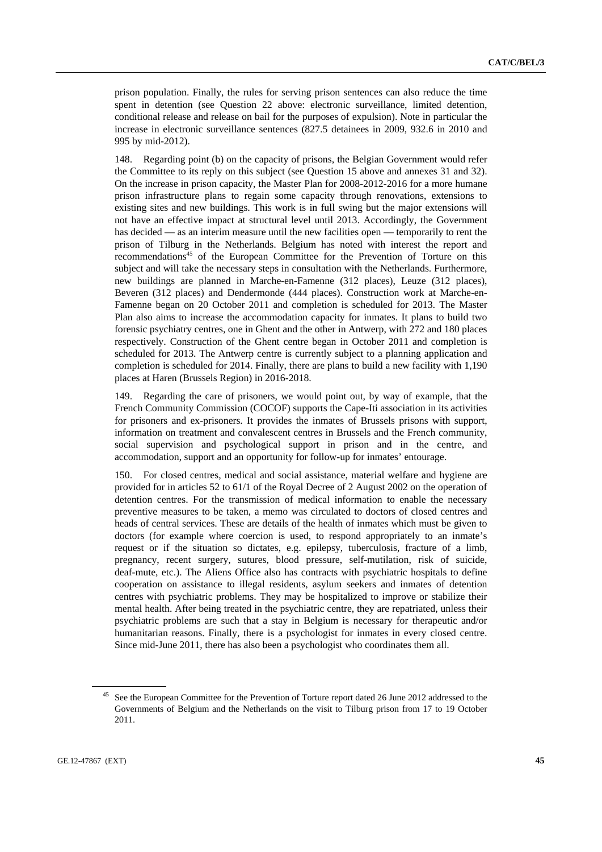prison population. Finally, the rules for serving prison sentences can also reduce the time spent in detention (see Question 22 above: electronic surveillance, limited detention, conditional release and release on bail for the purposes of expulsion). Note in particular the increase in electronic surveillance sentences (827.5 detainees in 2009, 932.6 in 2010 and 995 by mid-2012).

148. Regarding point (b) on the capacity of prisons, the Belgian Government would refer the Committee to its reply on this subject (see Question 15 above and annexes 31 and 32). On the increase in prison capacity, the Master Plan for 2008-2012-2016 for a more humane prison infrastructure plans to regain some capacity through renovations, extensions to existing sites and new buildings. This work is in full swing but the major extensions will not have an effective impact at structural level until 2013. Accordingly, the Government has decided — as an interim measure until the new facilities open — temporarily to rent the prison of Tilburg in the Netherlands. Belgium has noted with interest the report and recommendations<sup>45</sup> of the European Committee for the Prevention of Torture on this subject and will take the necessary steps in consultation with the Netherlands. Furthermore, new buildings are planned in Marche-en-Famenne (312 places), Leuze (312 places), Beveren (312 places) and Dendermonde (444 places). Construction work at Marche-en-Famenne began on 20 October 2011 and completion is scheduled for 2013. The Master Plan also aims to increase the accommodation capacity for inmates. It plans to build two forensic psychiatry centres, one in Ghent and the other in Antwerp, with 272 and 180 places respectively. Construction of the Ghent centre began in October 2011 and completion is scheduled for 2013. The Antwerp centre is currently subject to a planning application and completion is scheduled for 2014. Finally, there are plans to build a new facility with 1,190 places at Haren (Brussels Region) in 2016-2018.

149. Regarding the care of prisoners, we would point out, by way of example, that the French Community Commission (COCOF) supports the Cape-Iti association in its activities for prisoners and ex-prisoners. It provides the inmates of Brussels prisons with support, information on treatment and convalescent centres in Brussels and the French community, social supervision and psychological support in prison and in the centre, and accommodation, support and an opportunity for follow-up for inmates' entourage.

150. For closed centres, medical and social assistance, material welfare and hygiene are provided for in articles 52 to 61/1 of the Royal Decree of 2 August 2002 on the operation of detention centres. For the transmission of medical information to enable the necessary preventive measures to be taken, a memo was circulated to doctors of closed centres and heads of central services. These are details of the health of inmates which must be given to doctors (for example where coercion is used, to respond appropriately to an inmate's request or if the situation so dictates, e.g. epilepsy, tuberculosis, fracture of a limb, pregnancy, recent surgery, sutures, blood pressure, self-mutilation, risk of suicide, deaf-mute, etc.). The Aliens Office also has contracts with psychiatric hospitals to define cooperation on assistance to illegal residents, asylum seekers and inmates of detention centres with psychiatric problems. They may be hospitalized to improve or stabilize their mental health. After being treated in the psychiatric centre, they are repatriated, unless their psychiatric problems are such that a stay in Belgium is necessary for therapeutic and/or humanitarian reasons. Finally, there is a psychologist for inmates in every closed centre. Since mid-June 2011, there has also been a psychologist who coordinates them all.

<sup>&</sup>lt;sup>45</sup> See the European Committee for the Prevention of Torture report dated 26 June 2012 addressed to the Governments of Belgium and the Netherlands on the visit to Tilburg prison from 17 to 19 October 2011.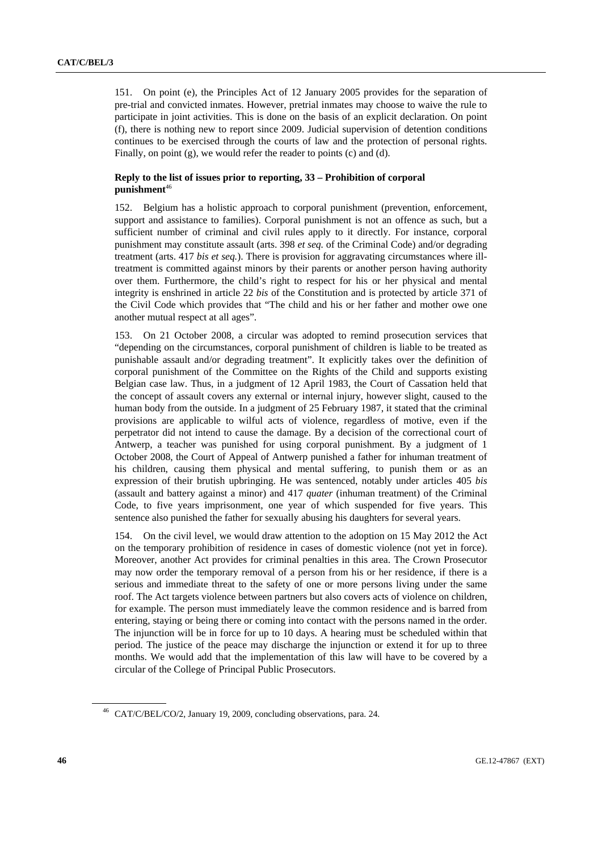151. On point (e), the Principles Act of 12 January 2005 provides for the separation of pre-trial and convicted inmates. However, pretrial inmates may choose to waive the rule to participate in joint activities. This is done on the basis of an explicit declaration. On point (f), there is nothing new to report since 2009. Judicial supervision of detention conditions continues to be exercised through the courts of law and the protection of personal rights. Finally, on point  $(g)$ , we would refer the reader to points  $(c)$  and  $(d)$ .

### **Reply to the list of issues prior to reporting, 33 – Prohibition of corporal punishment**<sup>46</sup>

152. Belgium has a holistic approach to corporal punishment (prevention, enforcement, support and assistance to families). Corporal punishment is not an offence as such, but a sufficient number of criminal and civil rules apply to it directly. For instance, corporal punishment may constitute assault (arts. 398 *et seq.* of the Criminal Code) and/or degrading treatment (arts. 417 *bis et seq.*). There is provision for aggravating circumstances where illtreatment is committed against minors by their parents or another person having authority over them. Furthermore, the child's right to respect for his or her physical and mental integrity is enshrined in article 22 *bis* of the Constitution and is protected by article 371 of the Civil Code which provides that "The child and his or her father and mother owe one another mutual respect at all ages".

153. On 21 October 2008, a circular was adopted to remind prosecution services that "depending on the circumstances, corporal punishment of children is liable to be treated as punishable assault and/or degrading treatment". It explicitly takes over the definition of corporal punishment of the Committee on the Rights of the Child and supports existing Belgian case law. Thus, in a judgment of 12 April 1983, the Court of Cassation held that the concept of assault covers any external or internal injury, however slight, caused to the human body from the outside. In a judgment of 25 February 1987, it stated that the criminal provisions are applicable to wilful acts of violence, regardless of motive, even if the perpetrator did not intend to cause the damage. By a decision of the correctional court of Antwerp, a teacher was punished for using corporal punishment. By a judgment of 1 October 2008, the Court of Appeal of Antwerp punished a father for inhuman treatment of his children, causing them physical and mental suffering, to punish them or as an expression of their brutish upbringing. He was sentenced, notably under articles 405 *bis* (assault and battery against a minor) and 417 *quater* (inhuman treatment) of the Criminal Code, to five years imprisonment, one year of which suspended for five years. This sentence also punished the father for sexually abusing his daughters for several years.

154. On the civil level, we would draw attention to the adoption on 15 May 2012 the Act on the temporary prohibition of residence in cases of domestic violence (not yet in force). Moreover, another Act provides for criminal penalties in this area. The Crown Prosecutor may now order the temporary removal of a person from his or her residence, if there is a serious and immediate threat to the safety of one or more persons living under the same roof. The Act targets violence between partners but also covers acts of violence on children, for example. The person must immediately leave the common residence and is barred from entering, staying or being there or coming into contact with the persons named in the order. The injunction will be in force for up to 10 days. A hearing must be scheduled within that period. The justice of the peace may discharge the injunction or extend it for up to three months. We would add that the implementation of this law will have to be covered by a circular of the College of Principal Public Prosecutors.

<sup>46</sup> CAT/C/BEL/CO/2, January 19, 2009, concluding observations, para. 24.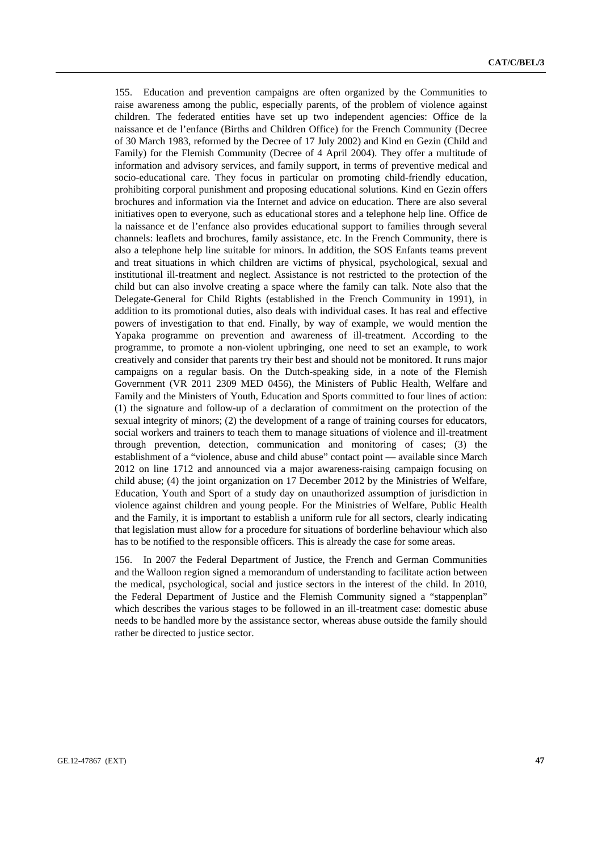155. Education and prevention campaigns are often organized by the Communities to raise awareness among the public, especially parents, of the problem of violence against children. The federated entities have set up two independent agencies: Office de la naissance et de l'enfance (Births and Children Office) for the French Community (Decree of 30 March 1983, reformed by the Decree of 17 July 2002) and Kind en Gezin (Child and Family) for the Flemish Community (Decree of 4 April 2004). They offer a multitude of information and advisory services, and family support, in terms of preventive medical and socio-educational care. They focus in particular on promoting child-friendly education, prohibiting corporal punishment and proposing educational solutions. Kind en Gezin offers brochures and information via the Internet and advice on education. There are also several initiatives open to everyone, such as educational stores and a telephone help line. Office de la naissance et de l'enfance also provides educational support to families through several channels: leaflets and brochures, family assistance, etc. In the French Community, there is also a telephone help line suitable for minors. In addition, the SOS Enfants teams prevent and treat situations in which children are victims of physical, psychological, sexual and institutional ill-treatment and neglect. Assistance is not restricted to the protection of the child but can also involve creating a space where the family can talk. Note also that the Delegate-General for Child Rights (established in the French Community in 1991), in addition to its promotional duties, also deals with individual cases. It has real and effective powers of investigation to that end. Finally, by way of example, we would mention the Yapaka programme on prevention and awareness of ill-treatment. According to the programme, to promote a non-violent upbringing, one need to set an example, to work creatively and consider that parents try their best and should not be monitored. It runs major campaigns on a regular basis. On the Dutch-speaking side, in a note of the Flemish Government (VR 2011 2309 MED 0456), the Ministers of Public Health, Welfare and Family and the Ministers of Youth, Education and Sports committed to four lines of action: (1) the signature and follow-up of a declaration of commitment on the protection of the sexual integrity of minors; (2) the development of a range of training courses for educators, social workers and trainers to teach them to manage situations of violence and ill-treatment through prevention, detection, communication and monitoring of cases; (3) the establishment of a "violence, abuse and child abuse" contact point — available since March 2012 on line 1712 and announced via a major awareness-raising campaign focusing on child abuse; (4) the joint organization on 17 December 2012 by the Ministries of Welfare, Education, Youth and Sport of a study day on unauthorized assumption of jurisdiction in violence against children and young people. For the Ministries of Welfare, Public Health and the Family, it is important to establish a uniform rule for all sectors, clearly indicating that legislation must allow for a procedure for situations of borderline behaviour which also has to be notified to the responsible officers. This is already the case for some areas.

156. In 2007 the Federal Department of Justice, the French and German Communities and the Walloon region signed a memorandum of understanding to facilitate action between the medical, psychological, social and justice sectors in the interest of the child. In 2010, the Federal Department of Justice and the Flemish Community signed a "stappenplan" which describes the various stages to be followed in an ill-treatment case: domestic abuse needs to be handled more by the assistance sector, whereas abuse outside the family should rather be directed to justice sector.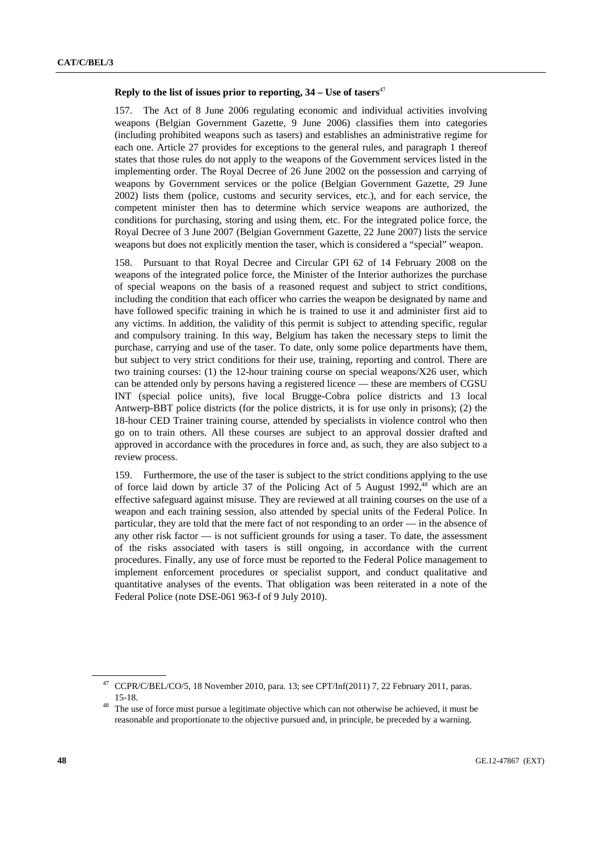#### **Reply to the list of issues prior to reporting,**  $34 -$ **Use of tasers**<sup>47</sup>

157. The Act of 8 June 2006 regulating economic and individual activities involving weapons (Belgian Government Gazette, 9 June 2006) classifies them into categories (including prohibited weapons such as tasers) and establishes an administrative regime for each one. Article 27 provides for exceptions to the general rules, and paragraph 1 thereof states that those rules do not apply to the weapons of the Government services listed in the implementing order. The Royal Decree of 26 June 2002 on the possession and carrying of weapons by Government services or the police (Belgian Government Gazette, 29 June 2002) lists them (police, customs and security services, etc.), and for each service, the competent minister then has to determine which service weapons are authorized, the conditions for purchasing, storing and using them, etc. For the integrated police force, the Royal Decree of 3 June 2007 (Belgian Government Gazette, 22 June 2007) lists the service weapons but does not explicitly mention the taser, which is considered a "special" weapon.

158. Pursuant to that Royal Decree and Circular GPI 62 of 14 February 2008 on the weapons of the integrated police force, the Minister of the Interior authorizes the purchase of special weapons on the basis of a reasoned request and subject to strict conditions, including the condition that each officer who carries the weapon be designated by name and have followed specific training in which he is trained to use it and administer first aid to any victims. In addition, the validity of this permit is subject to attending specific, regular and compulsory training. In this way, Belgium has taken the necessary steps to limit the purchase, carrying and use of the taser. To date, only some police departments have them, but subject to very strict conditions for their use, training, reporting and control. There are two training courses: (1) the 12-hour training course on special weapons/X26 user, which can be attended only by persons having a registered licence — these are members of CGSU INT (special police units), five local Brugge-Cobra police districts and 13 local Antwerp-BBT police districts (for the police districts, it is for use only in prisons); (2) the 18-hour CED Trainer training course, attended by specialists in violence control who then go on to train others. All these courses are subject to an approval dossier drafted and approved in accordance with the procedures in force and, as such, they are also subject to a review process.

159. Furthermore, the use of the taser is subject to the strict conditions applying to the use of force laid down by article 37 of the Policing Act of 5 August 1992,<sup>48</sup> which are an effective safeguard against misuse. They are reviewed at all training courses on the use of a weapon and each training session, also attended by special units of the Federal Police. In particular, they are told that the mere fact of not responding to an order — in the absence of any other risk factor — is not sufficient grounds for using a taser. To date, the assessment of the risks associated with tasers is still ongoing, in accordance with the current procedures. Finally, any use of force must be reported to the Federal Police management to implement enforcement procedures or specialist support, and conduct qualitative and quantitative analyses of the events. That obligation was been reiterated in a note of the Federal Police (note DSE-061 963-f of 9 July 2010).

<sup>47</sup> CCPR/C/BEL/CO/5, 18 November 2010, para. 13; see CPT/Inf(2011) 7, 22 February 2011, paras.

<sup>15-18. 48</sup> The use of force must pursue a legitimate objective which can not otherwise be achieved, it must be reasonable and proportionate to the objective pursued and, in principle, be preceded by a warning.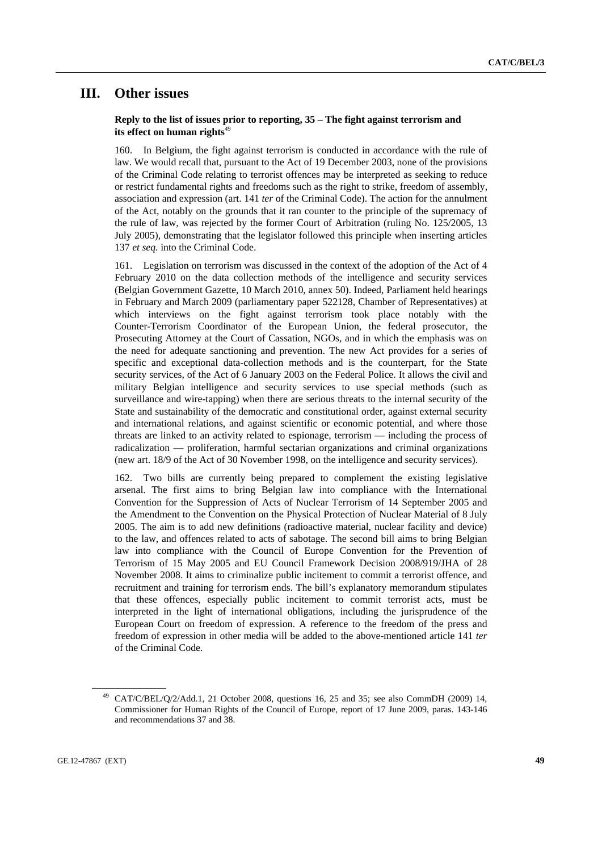## **III. Other issues**

### **Reply to the list of issues prior to reporting, 35 – The fight against terrorism and its effect on human rights**<sup>49</sup>

160. In Belgium, the fight against terrorism is conducted in accordance with the rule of law. We would recall that, pursuant to the Act of 19 December 2003, none of the provisions of the Criminal Code relating to terrorist offences may be interpreted as seeking to reduce or restrict fundamental rights and freedoms such as the right to strike, freedom of assembly, association and expression (art. 141 *ter* of the Criminal Code). The action for the annulment of the Act, notably on the grounds that it ran counter to the principle of the supremacy of the rule of law, was rejected by the former Court of Arbitration (ruling No. 125/2005, 13 July 2005), demonstrating that the legislator followed this principle when inserting articles 137 *et seq.* into the Criminal Code.

161. Legislation on terrorism was discussed in the context of the adoption of the Act of 4 February 2010 on the data collection methods of the intelligence and security services (Belgian Government Gazette, 10 March 2010, annex 50). Indeed, Parliament held hearings in February and March 2009 (parliamentary paper 522128, Chamber of Representatives) at which interviews on the fight against terrorism took place notably with the Counter-Terrorism Coordinator of the European Union, the federal prosecutor, the Prosecuting Attorney at the Court of Cassation, NGOs, and in which the emphasis was on the need for adequate sanctioning and prevention. The new Act provides for a series of specific and exceptional data-collection methods and is the counterpart, for the State security services, of the Act of 6 January 2003 on the Federal Police. It allows the civil and military Belgian intelligence and security services to use special methods (such as surveillance and wire-tapping) when there are serious threats to the internal security of the State and sustainability of the democratic and constitutional order, against external security and international relations, and against scientific or economic potential, and where those threats are linked to an activity related to espionage, terrorism — including the process of radicalization — proliferation, harmful sectarian organizations and criminal organizations (new art. 18/9 of the Act of 30 November 1998, on the intelligence and security services).

162. Two bills are currently being prepared to complement the existing legislative arsenal. The first aims to bring Belgian law into compliance with the International Convention for the Suppression of Acts of Nuclear Terrorism of 14 September 2005 and the Amendment to the Convention on the Physical Protection of Nuclear Material of 8 July 2005. The aim is to add new definitions (radioactive material, nuclear facility and device) to the law, and offences related to acts of sabotage. The second bill aims to bring Belgian law into compliance with the Council of Europe Convention for the Prevention of Terrorism of 15 May 2005 and EU Council Framework Decision 2008/919/JHA of 28 November 2008. It aims to criminalize public incitement to commit a terrorist offence, and recruitment and training for terrorism ends. The bill's explanatory memorandum stipulates that these offences, especially public incitement to commit terrorist acts, must be interpreted in the light of international obligations, including the jurisprudence of the European Court on freedom of expression. A reference to the freedom of the press and freedom of expression in other media will be added to the above-mentioned article 141 *ter* of the Criminal Code.

<sup>49</sup> CAT/C/BEL/Q/2/Add.1, 21 October 2008, questions 16, 25 and 35; see also CommDH (2009) 14, Commissioner for Human Rights of the Council of Europe, report of 17 June 2009, paras. 143-146 and recommendations 37 and 38.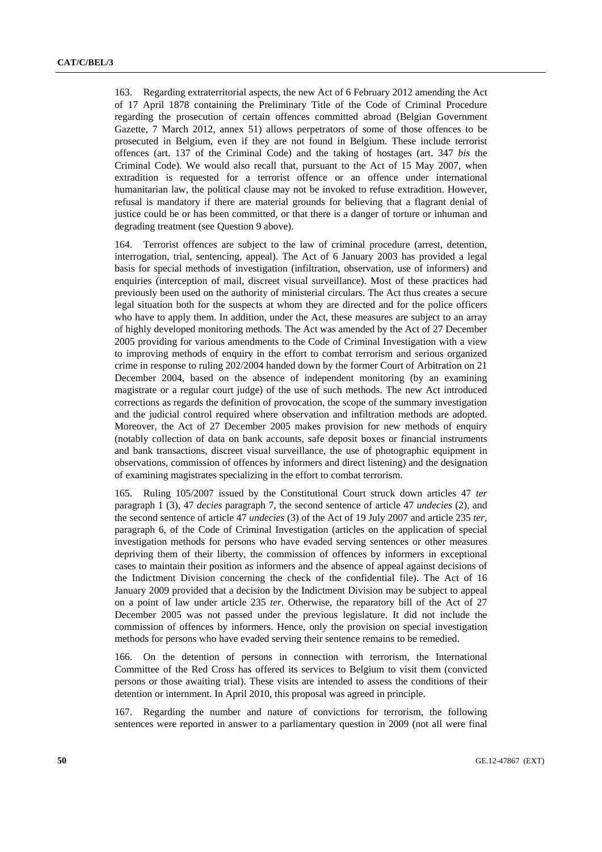163. Regarding extraterritorial aspects, the new Act of 6 February 2012 amending the Act of 17 April 1878 containing the Preliminary Title of the Code of Criminal Procedure regarding the prosecution of certain offences committed abroad (Belgian Government Gazette, 7 March 2012, annex 51) allows perpetrators of some of those offences to be prosecuted in Belgium, even if they are not found in Belgium. These include terrorist offences (art. 137 of the Criminal Code) and the taking of hostages (art. 347 *bis* the Criminal Code). We would also recall that, pursuant to the Act of 15 May 2007, when extradition is requested for a terrorist offence or an offence under international humanitarian law, the political clause may not be invoked to refuse extradition. However, refusal is mandatory if there are material grounds for believing that a flagrant denial of justice could be or has been committed, or that there is a danger of torture or inhuman and degrading treatment (see Question 9 above).

164. Terrorist offences are subject to the law of criminal procedure (arrest, detention, interrogation, trial, sentencing, appeal). The Act of 6 January 2003 has provided a legal basis for special methods of investigation (infiltration, observation, use of informers) and enquiries (interception of mail, discreet visual surveillance). Most of these practices had previously been used on the authority of ministerial circulars. The Act thus creates a secure legal situation both for the suspects at whom they are directed and for the police officers who have to apply them. In addition, under the Act, these measures are subject to an array of highly developed monitoring methods. The Act was amended by the Act of 27 December 2005 providing for various amendments to the Code of Criminal Investigation with a view to improving methods of enquiry in the effort to combat terrorism and serious organized crime in response to ruling 202/2004 handed down by the former Court of Arbitration on 21 December 2004, based on the absence of independent monitoring (by an examining magistrate or a regular court judge) of the use of such methods. The new Act introduced corrections as regards the definition of provocation, the scope of the summary investigation and the judicial control required where observation and infiltration methods are adopted. Moreover, the Act of 27 December 2005 makes provision for new methods of enquiry (notably collection of data on bank accounts, safe deposit boxes or financial instruments and bank transactions, discreet visual surveillance, the use of photographic equipment in observations, commission of offences by informers and direct listening) and the designation of examining magistrates specializing in the effort to combat terrorism.

165. Ruling 105/2007 issued by the Constitutional Court struck down articles 47 *ter* paragraph 1 (3), 47 *decies* paragraph 7, the second sentence of article 47 *undecies* (2), and the second sentence of article 47 *undecies* (3) of the Act of 19 July 2007 and article 235 *ter*, paragraph 6, of the Code of Criminal Investigation (articles on the application of special investigation methods for persons who have evaded serving sentences or other measures depriving them of their liberty, the commission of offences by informers in exceptional cases to maintain their position as informers and the absence of appeal against decisions of the Indictment Division concerning the check of the confidential file). The Act of 16 January 2009 provided that a decision by the Indictment Division may be subject to appeal on a point of law under article 235 *ter*. Otherwise, the reparatory bill of the Act of 27 December 2005 was not passed under the previous legislature. It did not include the commission of offences by informers. Hence, only the provision on special investigation methods for persons who have evaded serving their sentence remains to be remedied.

166. On the detention of persons in connection with terrorism, the International Committee of the Red Cross has offered its services to Belgium to visit them (convicted persons or those awaiting trial). These visits are intended to assess the conditions of their detention or internment. In April 2010, this proposal was agreed in principle.

167. Regarding the number and nature of convictions for terrorism, the following sentences were reported in answer to a parliamentary question in 2009 (not all were final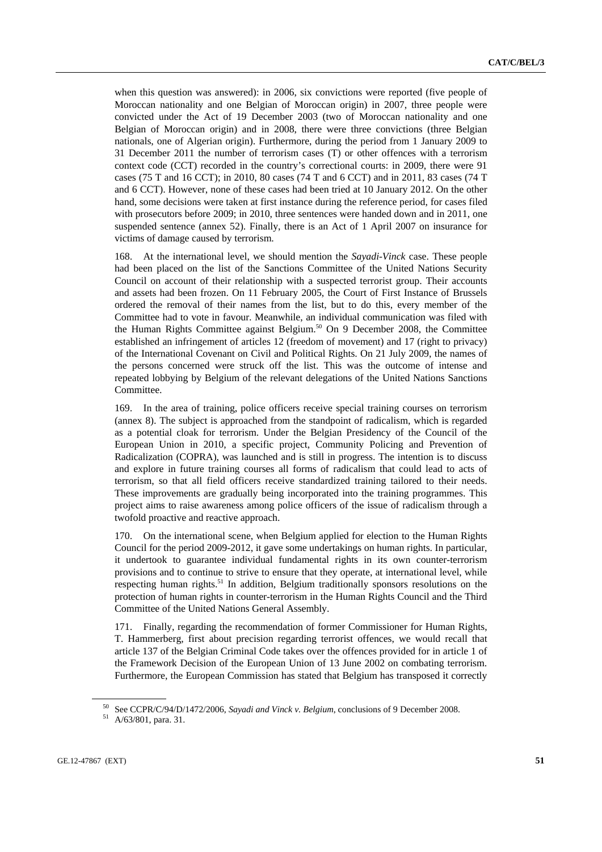when this question was answered): in 2006, six convictions were reported (five people of Moroccan nationality and one Belgian of Moroccan origin) in 2007, three people were convicted under the Act of 19 December 2003 (two of Moroccan nationality and one Belgian of Moroccan origin) and in 2008, there were three convictions (three Belgian nationals, one of Algerian origin). Furthermore, during the period from 1 January 2009 to 31 December 2011 the number of terrorism cases (T) or other offences with a terrorism context code (CCT) recorded in the country's correctional courts: in 2009, there were 91 cases (75 T and 16 CCT); in 2010, 80 cases (74 T and 6 CCT) and in 2011, 83 cases (74 T and 6 CCT). However, none of these cases had been tried at 10 January 2012. On the other hand, some decisions were taken at first instance during the reference period, for cases filed with prosecutors before 2009; in 2010, three sentences were handed down and in 2011, one suspended sentence (annex 52). Finally, there is an Act of 1 April 2007 on insurance for victims of damage caused by terrorism.

168. At the international level, we should mention the *Sayadi-Vinck* case. These people had been placed on the list of the Sanctions Committee of the United Nations Security Council on account of their relationship with a suspected terrorist group. Their accounts and assets had been frozen. On 11 February 2005, the Court of First Instance of Brussels ordered the removal of their names from the list, but to do this, every member of the Committee had to vote in favour. Meanwhile, an individual communication was filed with the Human Rights Committee against Belgium.<sup>50</sup> On 9 December 2008, the Committee established an infringement of articles 12 (freedom of movement) and 17 (right to privacy) of the International Covenant on Civil and Political Rights. On 21 July 2009, the names of the persons concerned were struck off the list. This was the outcome of intense and repeated lobbying by Belgium of the relevant delegations of the United Nations Sanctions Committee.

169. In the area of training, police officers receive special training courses on terrorism (annex 8). The subject is approached from the standpoint of radicalism, which is regarded as a potential cloak for terrorism. Under the Belgian Presidency of the Council of the European Union in 2010, a specific project, Community Policing and Prevention of Radicalization (COPRA), was launched and is still in progress. The intention is to discuss and explore in future training courses all forms of radicalism that could lead to acts of terrorism, so that all field officers receive standardized training tailored to their needs. These improvements are gradually being incorporated into the training programmes. This project aims to raise awareness among police officers of the issue of radicalism through a twofold proactive and reactive approach.

170. On the international scene, when Belgium applied for election to the Human Rights Council for the period 2009-2012, it gave some undertakings on human rights. In particular, it undertook to guarantee individual fundamental rights in its own counter-terrorism provisions and to continue to strive to ensure that they operate, at international level, while respecting human rights.<sup>51</sup> In addition, Belgium traditionally sponsors resolutions on the protection of human rights in counter-terrorism in the Human Rights Council and the Third Committee of the United Nations General Assembly.

171. Finally, regarding the recommendation of former Commissioner for Human Rights, T. Hammerberg, first about precision regarding terrorist offences, we would recall that article 137 of the Belgian Criminal Code takes over the offences provided for in article 1 of the Framework Decision of the European Union of 13 June 2002 on combating terrorism. Furthermore, the European Commission has stated that Belgium has transposed it correctly

<sup>50</sup> See CCPR/C/94/D/1472/2006, *Sayadi and Vinck v. Belgium*, conclusions of 9 December 2008. 51 A/63/801, para. 31.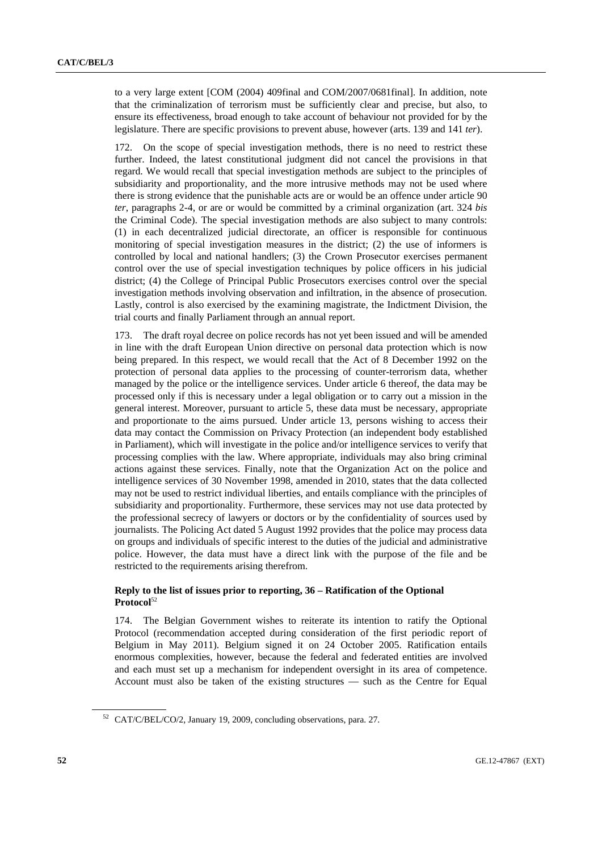to a very large extent [COM (2004) 409final and COM/2007/0681final]. In addition, note that the criminalization of terrorism must be sufficiently clear and precise, but also, to ensure its effectiveness, broad enough to take account of behaviour not provided for by the legislature. There are specific provisions to prevent abuse, however (arts. 139 and 141 *ter*).

172. On the scope of special investigation methods, there is no need to restrict these further. Indeed, the latest constitutional judgment did not cancel the provisions in that regard. We would recall that special investigation methods are subject to the principles of subsidiarity and proportionality, and the more intrusive methods may not be used where there is strong evidence that the punishable acts are or would be an offence under article 90 *ter*, paragraphs 2-4, or are or would be committed by a criminal organization (art. 324 *bis* the Criminal Code). The special investigation methods are also subject to many controls: (1) in each decentralized judicial directorate, an officer is responsible for continuous monitoring of special investigation measures in the district; (2) the use of informers is controlled by local and national handlers; (3) the Crown Prosecutor exercises permanent control over the use of special investigation techniques by police officers in his judicial district; (4) the College of Principal Public Prosecutors exercises control over the special investigation methods involving observation and infiltration, in the absence of prosecution. Lastly, control is also exercised by the examining magistrate, the Indictment Division, the trial courts and finally Parliament through an annual report.

173. The draft royal decree on police records has not yet been issued and will be amended in line with the draft European Union directive on personal data protection which is now being prepared. In this respect, we would recall that the Act of 8 December 1992 on the protection of personal data applies to the processing of counter-terrorism data, whether managed by the police or the intelligence services. Under article 6 thereof, the data may be processed only if this is necessary under a legal obligation or to carry out a mission in the general interest. Moreover, pursuant to article 5, these data must be necessary, appropriate and proportionate to the aims pursued. Under article 13, persons wishing to access their data may contact the Commission on Privacy Protection (an independent body established in Parliament), which will investigate in the police and/or intelligence services to verify that processing complies with the law. Where appropriate, individuals may also bring criminal actions against these services. Finally, note that the Organization Act on the police and intelligence services of 30 November 1998, amended in 2010, states that the data collected may not be used to restrict individual liberties, and entails compliance with the principles of subsidiarity and proportionality. Furthermore, these services may not use data protected by the professional secrecy of lawyers or doctors or by the confidentiality of sources used by journalists. The Policing Act dated 5 August 1992 provides that the police may process data on groups and individuals of specific interest to the duties of the judicial and administrative police. However, the data must have a direct link with the purpose of the file and be restricted to the requirements arising therefrom.

### **Reply to the list of issues prior to reporting, 36 – Ratification of the Optional Protocol**<sup>52</sup>

174. The Belgian Government wishes to reiterate its intention to ratify the Optional Protocol (recommendation accepted during consideration of the first periodic report of Belgium in May 2011). Belgium signed it on 24 October 2005. Ratification entails enormous complexities, however, because the federal and federated entities are involved and each must set up a mechanism for independent oversight in its area of competence. Account must also be taken of the existing structures — such as the Centre for Equal

<sup>52</sup> CAT/C/BEL/CO/2, January 19, 2009, concluding observations, para. 27.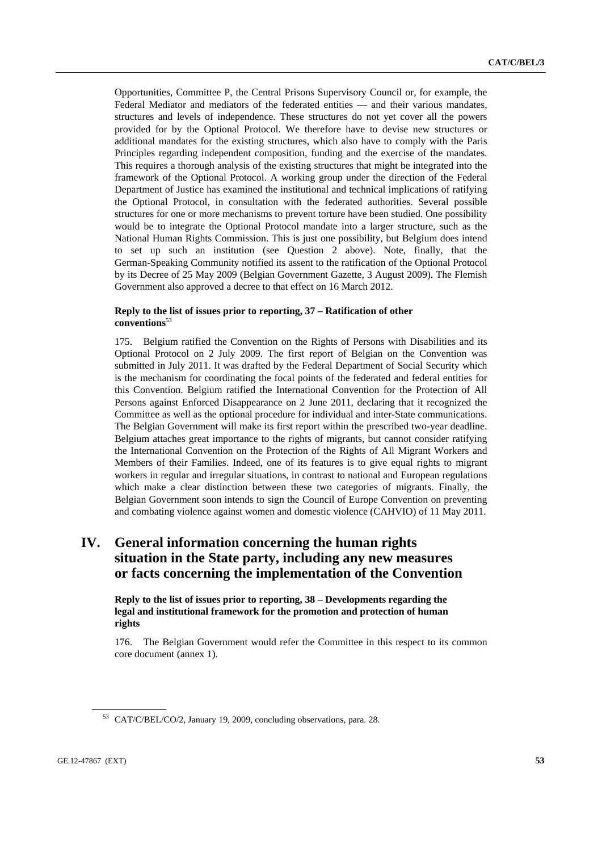Opportunities, Committee P, the Central Prisons Supervisory Council or, for example, the Federal Mediator and mediators of the federated entities — and their various mandates, structures and levels of independence. These structures do not yet cover all the powers provided for by the Optional Protocol. We therefore have to devise new structures or additional mandates for the existing structures, which also have to comply with the Paris Principles regarding independent composition, funding and the exercise of the mandates. This requires a thorough analysis of the existing structures that might be integrated into the framework of the Optional Protocol. A working group under the direction of the Federal Department of Justice has examined the institutional and technical implications of ratifying the Optional Protocol, in consultation with the federated authorities. Several possible structures for one or more mechanisms to prevent torture have been studied. One possibility would be to integrate the Optional Protocol mandate into a larger structure, such as the National Human Rights Commission. This is just one possibility, but Belgium does intend to set up such an institution (see Question 2 above). Note, finally, that the German-Speaking Community notified its assent to the ratification of the Optional Protocol by its Decree of 25 May 2009 (Belgian Government Gazette, 3 August 2009). The Flemish Government also approved a decree to that effect on 16 March 2012.

### **Reply to the list of issues prior to reporting, 37 – Ratification of other conventions**<sup>53</sup>

175. Belgium ratified the Convention on the Rights of Persons with Disabilities and its Optional Protocol on 2 July 2009. The first report of Belgian on the Convention was submitted in July 2011. It was drafted by the Federal Department of Social Security which is the mechanism for coordinating the focal points of the federated and federal entities for this Convention. Belgium ratified the International Convention for the Protection of All Persons against Enforced Disappearance on 2 June 2011, declaring that it recognized the Committee as well as the optional procedure for individual and inter-State communications. The Belgian Government will make its first report within the prescribed two-year deadline. Belgium attaches great importance to the rights of migrants, but cannot consider ratifying the International Convention on the Protection of the Rights of All Migrant Workers and Members of their Families. Indeed, one of its features is to give equal rights to migrant workers in regular and irregular situations, in contrast to national and European regulations which make a clear distinction between these two categories of migrants. Finally, the Belgian Government soon intends to sign the Council of Europe Convention on preventing and combating violence against women and domestic violence (CAHVIO) of 11 May 2011.

## **IV. General information concerning the human rights situation in the State party, including any new measures or facts concerning the implementation of the Convention**

 **Reply to the list of issues prior to reporting, 38 – Developments regarding the legal and institutional framework for the promotion and protection of human rights** 

176. The Belgian Government would refer the Committee in this respect to its common core document (annex 1).

<sup>53</sup> CAT/C/BEL/CO/2, January 19, 2009, concluding observations, para. 28.